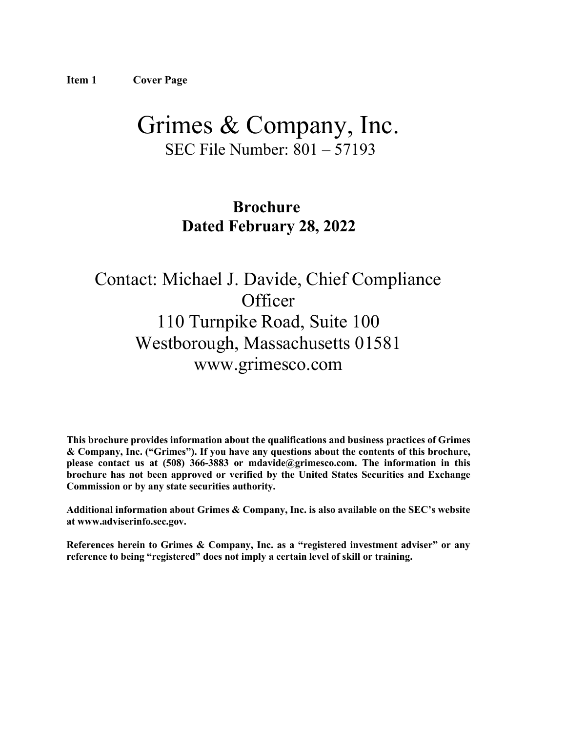# <span id="page-0-0"></span>Grimes & Company, Inc. SEC File Number: 801 – 57193

## **Brochure Dated February 28, 2022**

# Contact: Michael J. Davide, Chief Compliance **Officer** 110 Turnpike Road, Suite 100 Westborough, Massachusetts 01581 [www.grimesco.com](http://www.grimesco.com/)

**This brochure provides information about the qualifications and business practices of Grimes & Company, Inc. ("Grimes"). If you have any questions about the contents of this brochure, please contact us at (508) 366-3883 or [mdavide@grimesco.com.](mailto:mdavide@grimesco.com) The information in this brochure has not been approved or verified by the United States Securities and Exchange Commission or by any state securities authority.**

**Additional information about Grimes & Company, Inc. is also available on the SEC's website at [www.adviserinfo.sec.gov.](http://www.adviserinfo.sec.gov/)**

**References herein to Grimes & Company, Inc. as a "registered investment adviser" or any reference to being "registered" does not imply a certain level of skill or training.**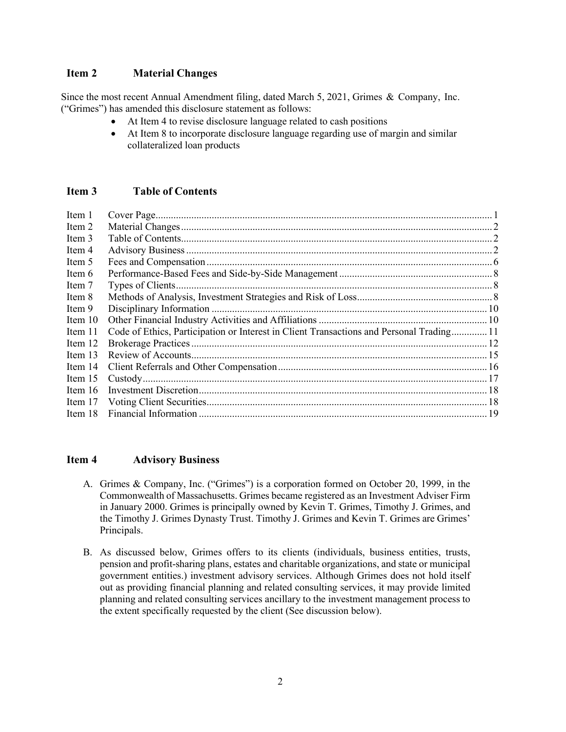#### <span id="page-1-0"></span>**Item 2 Material Changes**

Since the most recent Annual Amendment filing, dated March 5, 2021, Grimes & Company, Inc. ("Grimes") has amended this disclosure statement as follows:

- At Item 4 to revise disclosure language related to cash positions
- At Item 8 to incorporate disclosure language regarding use of margin and similar collateralized loan products

#### <span id="page-1-1"></span>**Item 3 Table of Contents**

| Item 1    | Cover Page                                                                               |  |
|-----------|------------------------------------------------------------------------------------------|--|
| Item 2    |                                                                                          |  |
| Item 3    |                                                                                          |  |
| Item 4    |                                                                                          |  |
| Item 5    |                                                                                          |  |
| Item 6    |                                                                                          |  |
| Item 7    |                                                                                          |  |
| Item 8    |                                                                                          |  |
| Item 9    |                                                                                          |  |
| Item 10   |                                                                                          |  |
| Item 11   | Code of Ethics, Participation or Interest in Client Transactions and Personal Trading 11 |  |
| Item 12   |                                                                                          |  |
| Item 13   |                                                                                          |  |
| Item 14   |                                                                                          |  |
| Item 15   |                                                                                          |  |
| Item $16$ |                                                                                          |  |
| Item 17   |                                                                                          |  |
| Item 18   |                                                                                          |  |

#### <span id="page-1-2"></span>**Item 4 Advisory Business**

- A. Grimes & Company, Inc. ("Grimes") is a corporation formed on October 20, 1999, in the Commonwealth of Massachusetts. Grimes became registered as an Investment Adviser Firm in January 2000. Grimes is principally owned by Kevin T. Grimes, Timothy J. Grimes, and the Timothy J. Grimes Dynasty Trust. Timothy J. Grimes and Kevin T. Grimes are Grimes' Principals.
- B. As discussed below, Grimes offers to its clients (individuals, business entities, trusts, pension and profit-sharing plans, estates and charitable organizations, and state or municipal government entities.) investment advisory services. Although Grimes does not hold itself out as providing financial planning and related consulting services, it may provide limited planning and related consulting services ancillary to the investment management process to the extent specifically requested by the client (See discussion below).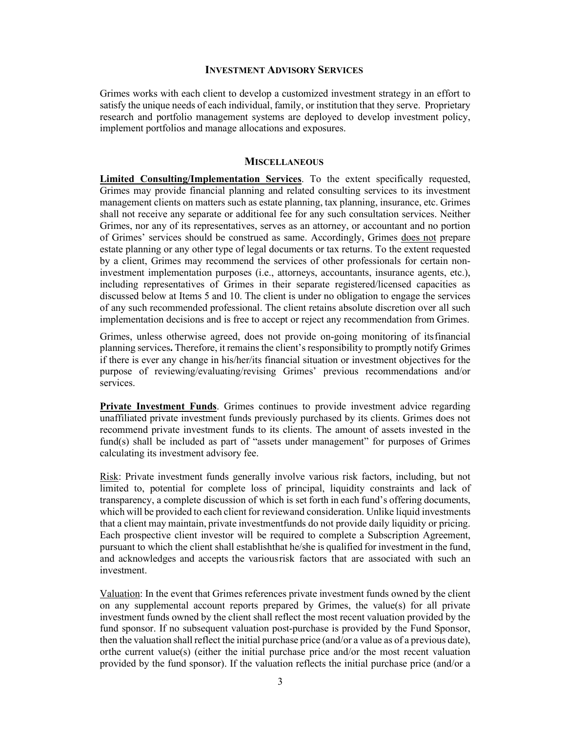#### **INVESTMENT ADVISORY SERVICES**

Grimes works with each client to develop a customized investment strategy in an effort to satisfy the unique needs of each individual, family, or institution that they serve. Proprietary research and portfolio management systems are deployed to develop investment policy, implement portfolios and manage allocations and exposures.

#### **MISCELLANEOUS**

**Limited Consulting/Implementation Services**. To the extent specifically requested, Grimes may provide financial planning and related consulting services to its investment management clients on matters such as estate planning, tax planning, insurance, etc. Grimes shall not receive any separate or additional fee for any such consultation services. Neither Grimes, nor any of its representatives, serves as an attorney, or accountant and no portion of Grimes' services should be construed as same. Accordingly, Grimes does not prepare estate planning or any other type of legal documents or tax returns. To the extent requested by a client, Grimes may recommend the services of other professionals for certain noninvestment implementation purposes (i.e., attorneys, accountants, insurance agents, etc.), including representatives of Grimes in their separate registered/licensed capacities as discussed below at Items 5 and 10. The client is under no obligation to engage the services of any such recommended professional. The client retains absolute discretion over all such implementation decisions and is free to accept or reject any recommendation from Grimes.

Grimes, unless otherwise agreed, does not provide on-going monitoring of itsfinancial planning services**.** Therefore, it remains the client's responsibility to promptly notify Grimes if there is ever any change in his/her/its financial situation or investment objectives for the purpose of reviewing/evaluating/revising Grimes' previous recommendations and/or services.

**Private Investment Funds**. Grimes continues to provide investment advice regarding unaffiliated private investment funds previously purchased by its clients. Grimes does not recommend private investment funds to its clients. The amount of assets invested in the fund(s) shall be included as part of "assets under management" for purposes of Grimes calculating its investment advisory fee.

Risk: Private investment funds generally involve various risk factors, including, but not limited to, potential for complete loss of principal, liquidity constraints and lack of transparency, a complete discussion of which is set forth in each fund's offering documents, which will be provided to each client for reviewand consideration. Unlike liquid investments that a client may maintain, private investmentfunds do not provide daily liquidity or pricing. Each prospective client investor will be required to complete a Subscription Agreement, pursuant to which the client shall establishthat he/she is qualified for investment in the fund, and acknowledges and accepts the variousrisk factors that are associated with such an investment.

Valuation: In the event that Grimes references private investment funds owned by the client on any supplemental account reports prepared by Grimes, the value(s) for all private investment funds owned by the client shall reflect the most recent valuation provided by the fund sponsor. If no subsequent valuation post-purchase is provided by the Fund Sponsor, then the valuation shall reflect the initial purchase price (and/or a value as of a previous date), orthe current value(s) (either the initial purchase price and/or the most recent valuation provided by the fund sponsor). If the valuation reflects the initial purchase price (and/or a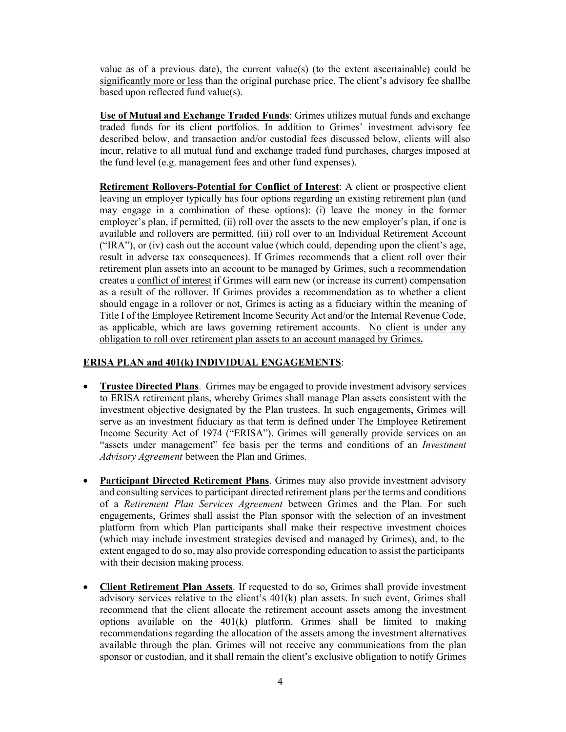value as of a previous date), the current value(s) (to the extent ascertainable) could be significantly more or less than the original purchase price. The client's advisory fee shallbe based upon reflected fund value(s).

**Use of Mutual and Exchange Traded Funds**: Grimes utilizes mutual funds and exchange traded funds for its client portfolios. In addition to Grimes' investment advisory fee described below, and transaction and/or custodial fees discussed below, clients will also incur, relative to all mutual fund and exchange traded fund purchases, charges imposed at the fund level (e.g. management fees and other fund expenses).

**Retirement Rollovers-Potential for Conflict of Interest**: A client or prospective client leaving an employer typically has four options regarding an existing retirement plan (and may engage in a combination of these options): (i) leave the money in the former employer's plan, if permitted, (ii) roll over the assets to the new employer's plan, if one is available and rollovers are permitted, (iii) roll over to an Individual Retirement Account ("IRA"), or (iv) cash out the account value (which could, depending upon the client's age, result in adverse tax consequences). If Grimes recommends that a client roll over their retirement plan assets into an account to be managed by Grimes, such a recommendation creates a conflict of interest if Grimes will earn new (or increase its current) compensation as a result of the rollover. If Grimes provides a recommendation as to whether a client should engage in a rollover or not, Grimes is acting as a fiduciary within the meaning of Title I of the Employee Retirement Income Security Act and/or the Internal Revenue Code, as applicable, which are laws governing retirement accounts. No client is under any obligation to roll over retirement plan assets to an account managed by Grimes**.**

#### **ERISA PLAN and 401(k) INDIVIDUAL ENGAGEMENTS**:

- **Trustee Directed Plans**. Grimes may be engaged to provide investment advisory services to ERISA retirement plans, whereby Grimes shall manage Plan assets consistent with the investment objective designated by the Plan trustees. In such engagements, Grimes will serve as an investment fiduciary as that term is defined under The Employee Retirement Income Security Act of 1974 ("ERISA"). Grimes will generally provide services on an "assets under management" fee basis per the terms and conditions of an *Investment Advisory Agreement* between the Plan and Grimes.
- **Participant Directed Retirement Plans**. Grimes may also provide investment advisory and consulting services to participant directed retirement plans per the terms and conditions of a *Retirement Plan Services Agreement* between Grimes and the Plan. For such engagements, Grimes shall assist the Plan sponsor with the selection of an investment platform from which Plan participants shall make their respective investment choices (which may include investment strategies devised and managed by Grimes), and, to the extent engaged to do so, may also provide corresponding education to assist the participants with their decision making process.
- **Client Retirement Plan Assets**. If requested to do so, Grimes shall provide investment advisory services relative to the client's 401(k) plan assets. In such event, Grimes shall recommend that the client allocate the retirement account assets among the investment options available on the 401(k) platform. Grimes shall be limited to making recommendations regarding the allocation of the assets among the investment alternatives available through the plan. Grimes will not receive any communications from the plan sponsor or custodian, and it shall remain the client's exclusive obligation to notify Grimes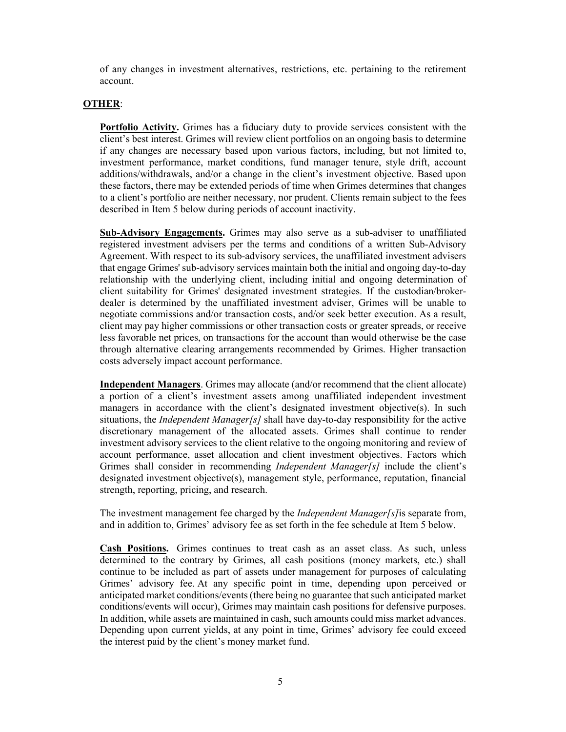of any changes in investment alternatives, restrictions, etc. pertaining to the retirement account.

#### **OTHER**:

**Portfolio Activity.** Grimes has a fiduciary duty to provide services consistent with the client's best interest. Grimes will review client portfolios on an ongoing basis to determine if any changes are necessary based upon various factors, including, but not limited to, investment performance, market conditions, fund manager tenure, style drift, account additions/withdrawals, and/or a change in the client's investment objective. Based upon these factors, there may be extended periods of time when Grimes determines that changes to a client's portfolio are neither necessary, nor prudent. Clients remain subject to the fees described in Item 5 below during periods of account inactivity.

**Sub-Advisory Engagements.** Grimes may also serve as a sub-adviser to unaffiliated registered investment advisers per the terms and conditions of a written Sub-Advisory Agreement. With respect to its sub-advisory services, the unaffiliated investment advisers that engage Grimes' sub-advisory services maintain both the initial and ongoing day-to-day relationship with the underlying client, including initial and ongoing determination of client suitability for Grimes' designated investment strategies. If the custodian/brokerdealer is determined by the unaffiliated investment adviser, Grimes will be unable to negotiate commissions and/or transaction costs, and/or seek better execution. As a result, client may pay higher commissions or other transaction costs or greater spreads, or receive less favorable net prices, on transactions for the account than would otherwise be the case through alternative clearing arrangements recommended by Grimes. Higher transaction costs adversely impact account performance.

**Independent Managers**. Grimes may allocate (and/or recommend that the client allocate) a portion of a client's investment assets among unaffiliated independent investment managers in accordance with the client's designated investment objective(s). In such situations, the *Independent Manager[s]* shall have day-to-day responsibility for the active discretionary management of the allocated assets. Grimes shall continue to render investment advisory services to the client relative to the ongoing monitoring and review of account performance, asset allocation and client investment objectives. Factors which Grimes shall consider in recommending *Independent Manager[s]* include the client's designated investment objective(s), management style, performance, reputation, financial strength, reporting, pricing, and research.

The investment management fee charged by the *Independent Manager[s]*is separate from, and in addition to, Grimes' advisory fee as set forth in the fee schedule at Item 5 below.

**Cash Positions.** Grimes continues to treat cash as an asset class. As such, unless determined to the contrary by Grimes, all cash positions (money markets, etc.) shall continue to be included as part of assets under management for purposes of calculating Grimes' advisory fee. At any specific point in time, depending upon perceived or anticipated market conditions/events (there being no guarantee that such anticipated market conditions/events will occur), Grimes may maintain cash positions for defensive purposes. In addition, while assets are maintained in cash, such amounts could miss market advances. Depending upon current yields, at any point in time, Grimes' advisory fee could exceed the interest paid by the client's money market fund.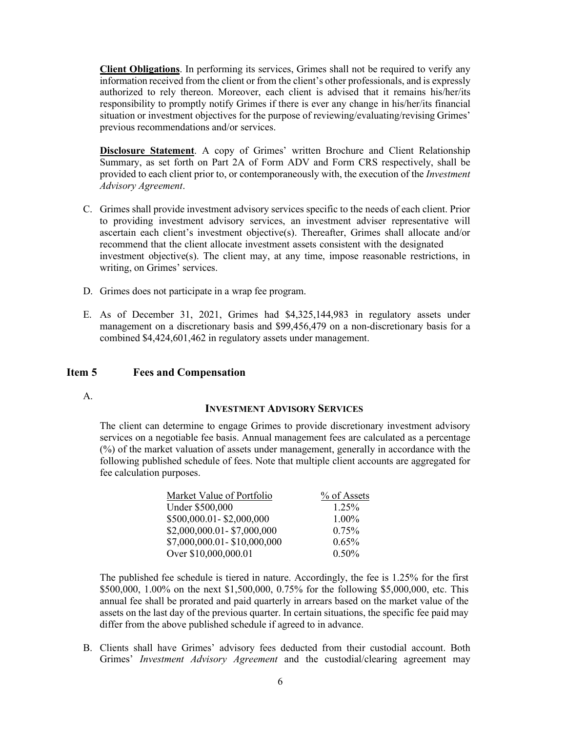**Client Obligations**. In performing its services, Grimes shall not be required to verify any information received from the client or from the client's other professionals, and is expressly authorized to rely thereon. Moreover, each client is advised that it remains his/her/its responsibility to promptly notify Grimes if there is ever any change in his/her/its financial situation or investment objectives for the purpose of reviewing/evaluating/revising Grimes' previous recommendations and/or services.

**Disclosure Statement**. A copy of Grimes' written Brochure and Client Relationship Summary, as set forth on Part 2A of Form ADV and Form CRS respectively, shall be provided to each client prior to, or contemporaneously with, the execution of the *Investment Advisory Agreement*.

- C. Grimes shall provide investment advisory services specific to the needs of each client. Prior to providing investment advisory services, an investment adviser representative will ascertain each client's investment objective(s). Thereafter, Grimes shall allocate and/or recommend that the client allocate investment assets consistent with the designated investment objective(s). The client may, at any time, impose reasonable restrictions, in writing, on Grimes' services.
- D. Grimes does not participate in a wrap fee program.
- E. As of December 31, 2021, Grimes had \$4,325,144,983 in regulatory assets under management on a discretionary basis and \$99,456,479 on a non-discretionary basis for a combined \$4,424,601,462 in regulatory assets under management.

#### <span id="page-5-0"></span>**Item 5 Fees and Compensation**

A.

#### **INVESTMENT ADVISORY SERVICES**

The client can determine to engage Grimes to provide discretionary investment advisory services on a negotiable fee basis. Annual management fees are calculated as a percentage (%) of the market valuation of assets under management, generally in accordance with the following published schedule of fees. Note that multiple client accounts are aggregated for fee calculation purposes.

| Market Value of Portfolio   | % of Assets |
|-----------------------------|-------------|
| Under \$500,000             | 1.25%       |
| \$500,000.01-\$2,000,000    | $1.00\%$    |
| \$2,000,000.01-\$7,000,000  | 0.75%       |
| \$7,000,000.01-\$10,000,000 | 0.65%       |
| Over \$10,000,000.01        | 0.50%       |

The published fee schedule is tiered in nature. Accordingly, the fee is 1.25% for the first \$500,000, 1.00% on the next \$1,500,000, 0.75% for the following \$5,000,000, etc. This annual fee shall be prorated and paid quarterly in arrears based on the market value of the assets on the last day of the previous quarter. In certain situations, the specific fee paid may differ from the above published schedule if agreed to in advance.

B. Clients shall have Grimes' advisory fees deducted from their custodial account. Both Grimes' *Investment Advisory Agreement* and the custodial/clearing agreement may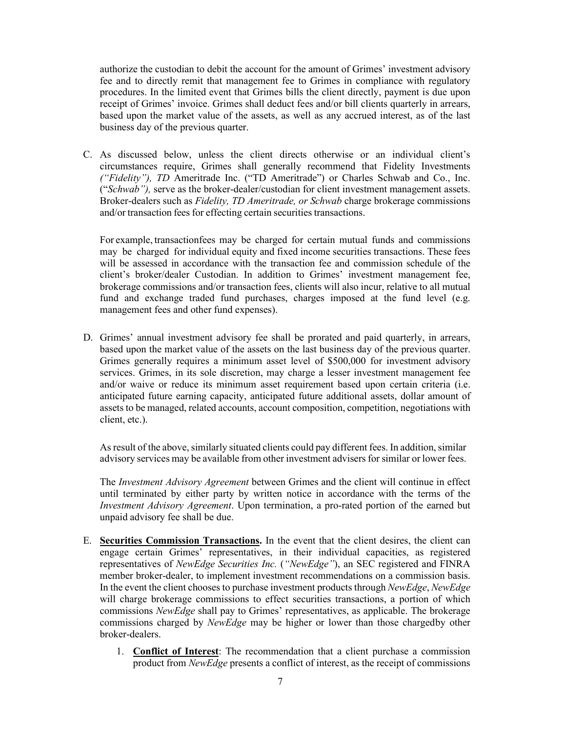authorize the custodian to debit the account for the amount of Grimes' investment advisory fee and to directly remit that management fee to Grimes in compliance with regulatory procedures. In the limited event that Grimes bills the client directly, payment is due upon receipt of Grimes' invoice. Grimes shall deduct fees and/or bill clients quarterly in arrears, based upon the market value of the assets, as well as any accrued interest, as of the last business day of the previous quarter.

C. As discussed below, unless the client directs otherwise or an individual client's circumstances require, Grimes shall generally recommend that Fidelity Investments *("Fidelity"), TD* Ameritrade Inc. ("TD Ameritrade") or Charles Schwab and Co., Inc. ("*Schwab"),* serve as the broker-dealer/custodian for client investment management assets. Broker-dealers such as *Fidelity, TD Ameritrade, or Schwab* charge brokerage commissions and/or transaction fees for effecting certain securities transactions.

For example, transactionfees may be charged for certain mutual funds and commissions may be charged for individual equity and fixed income securities transactions. These fees will be assessed in accordance with the transaction fee and commission schedule of the client's broker/dealer Custodian. In addition to Grimes' investment management fee, brokerage commissions and/or transaction fees, clients will also incur, relative to all mutual fund and exchange traded fund purchases, charges imposed at the fund level (e.g. management fees and other fund expenses).

D. Grimes' annual investment advisory fee shall be prorated and paid quarterly, in arrears, based upon the market value of the assets on the last business day of the previous quarter. Grimes generally requires a minimum asset level of \$500,000 for investment advisory services. Grimes, in its sole discretion, may charge a lesser investment management fee and/or waive or reduce its minimum asset requirement based upon certain criteria (i.e. anticipated future earning capacity, anticipated future additional assets, dollar amount of assets to be managed, related accounts, account composition, competition, negotiations with client, etc.).

As result of the above, similarly situated clients could pay different fees. In addition, similar advisory services may be available from other investment advisers for similar or lower fees.

The *Investment Advisory Agreement* between Grimes and the client will continue in effect until terminated by either party by written notice in accordance with the terms of the *Investment Advisory Agreement*. Upon termination, a pro-rated portion of the earned but unpaid advisory fee shall be due.

- E. **Securities Commission Transactions.** In the event that the client desires, the client can engage certain Grimes' representatives, in their individual capacities, as registered representatives of *NewEdge Securities Inc.* (*"NewEdge"*), an SEC registered and FINRA member broker-dealer, to implement investment recommendations on a commission basis. In the event the client chooses to purchase investment products through *NewEdge*, *NewEdge* will charge brokerage commissions to effect securities transactions, a portion of which commissions *NewEdge* shall pay to Grimes' representatives, as applicable. The brokerage commissions charged by *NewEdge* may be higher or lower than those chargedby other broker-dealers.
	- 1. **Conflict of Interest**: The recommendation that a client purchase a commission product from *NewEdge* presents a conflict of interest, as the receipt of commissions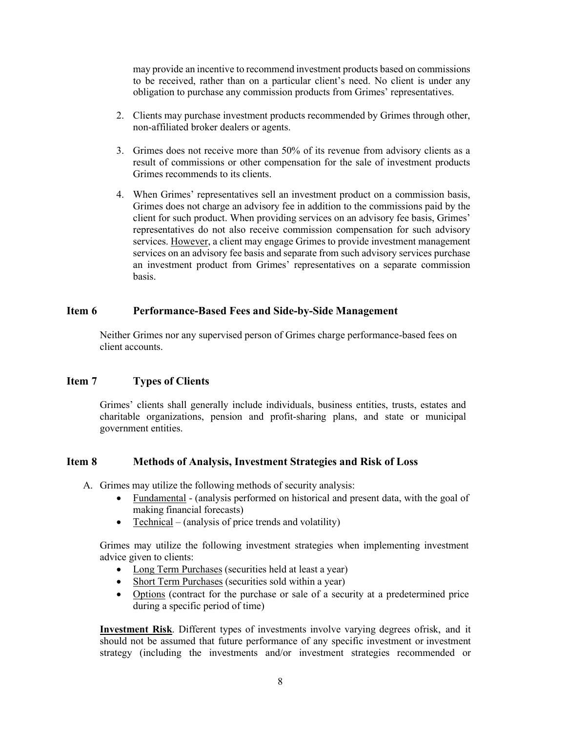may provide an incentive to recommend investment products based on commissions to be received, rather than on a particular client's need. No client is under any obligation to purchase any commission products from Grimes' representatives.

- 2. Clients may purchase investment products recommended by Grimes through other, non-affiliated broker dealers or agents.
- 3. Grimes does not receive more than 50% of its revenue from advisory clients as a result of commissions or other compensation for the sale of investment products Grimes recommends to its clients.
- 4. When Grimes' representatives sell an investment product on a commission basis, Grimes does not charge an advisory fee in addition to the commissions paid by the client for such product. When providing services on an advisory fee basis, Grimes' representatives do not also receive commission compensation for such advisory services. However, a client may engage Grimes to provide investment management services on an advisory fee basis and separate from such advisory services purchase an investment product from Grimes' representatives on a separate commission basis.

#### <span id="page-7-0"></span>**Item 6 Performance-Based Fees and Side-by-Side Management**

Neither Grimes nor any supervised person of Grimes charge performance-based fees on client accounts.

#### <span id="page-7-1"></span>**Item 7 Types of Clients**

Grimes' clients shall generally include individuals, business entities, trusts, estates and charitable organizations, pension and profit-sharing plans, and state or municipal government entities.

#### <span id="page-7-2"></span>**Item 8 Methods of Analysis, Investment Strategies and Risk of Loss**

- A. Grimes may utilize the following methods of security analysis:
	- Fundamental (analysis performed on historical and present data, with the goal of making financial forecasts)
	- Technical (analysis of price trends and volatility)

Grimes may utilize the following investment strategies when implementing investment advice given to clients:

- Long Term Purchases (securities held at least a year)
- Short Term Purchases (securities sold within a year)
- Options (contract for the purchase or sale of a security at a predetermined price during a specific period of time)

**Investment Risk**. Different types of investments involve varying degrees ofrisk, and it should not be assumed that future performance of any specific investment or investment strategy (including the investments and/or investment strategies recommended or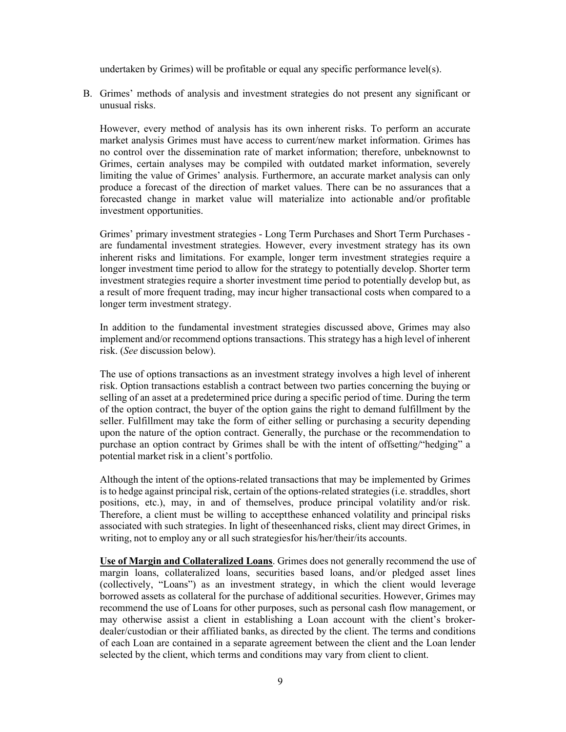undertaken by Grimes) will be profitable or equal any specific performance level(s).

B. Grimes' methods of analysis and investment strategies do not present any significant or unusual risks.

However, every method of analysis has its own inherent risks. To perform an accurate market analysis Grimes must have access to current/new market information. Grimes has no control over the dissemination rate of market information; therefore, unbeknownst to Grimes, certain analyses may be compiled with outdated market information, severely limiting the value of Grimes' analysis. Furthermore, an accurate market analysis can only produce a forecast of the direction of market values. There can be no assurances that a forecasted change in market value will materialize into actionable and/or profitable investment opportunities.

Grimes' primary investment strategies - Long Term Purchases and Short Term Purchases are fundamental investment strategies. However, every investment strategy has its own inherent risks and limitations. For example, longer term investment strategies require a longer investment time period to allow for the strategy to potentially develop. Shorter term investment strategies require a shorter investment time period to potentially develop but, as a result of more frequent trading, may incur higher transactional costs when compared to a longer term investment strategy.

In addition to the fundamental investment strategies discussed above, Grimes may also implement and/or recommend options transactions. This strategy has a high level of inherent risk. (*See* discussion below).

The use of options transactions as an investment strategy involves a high level of inherent risk. Option transactions establish a contract between two parties concerning the buying or selling of an asset at a predetermined price during a specific period of time. During the term of the option contract, the buyer of the option gains the right to demand fulfillment by the seller. Fulfillment may take the form of either selling or purchasing a security depending upon the nature of the option contract. Generally, the purchase or the recommendation to purchase an option contract by Grimes shall be with the intent of offsetting/"hedging" a potential market risk in a client's portfolio.

Although the intent of the options-related transactions that may be implemented by Grimes is to hedge against principal risk, certain of the options-related strategies (i.e. straddles, short positions, etc.), may, in and of themselves, produce principal volatility and/or risk. Therefore, a client must be willing to acceptthese enhanced volatility and principal risks associated with such strategies. In light of theseenhanced risks, client may direct Grimes, in writing, not to employ any or all such strategiesfor his/her/their/its accounts.

**Use of Margin and Collateralized Loans**. Grimes does not generally recommend the use of margin loans, collateralized loans, securities based loans, and/or pledged asset lines (collectively, "Loans") as an investment strategy, in which the client would leverage borrowed assets as collateral for the purchase of additional securities. However, Grimes may recommend the use of Loans for other purposes, such as personal cash flow management, or may otherwise assist a client in establishing a Loan account with the client's brokerdealer/custodian or their affiliated banks, as directed by the client. The terms and conditions of each Loan are contained in a separate agreement between the client and the Loan lender selected by the client, which terms and conditions may vary from client to client.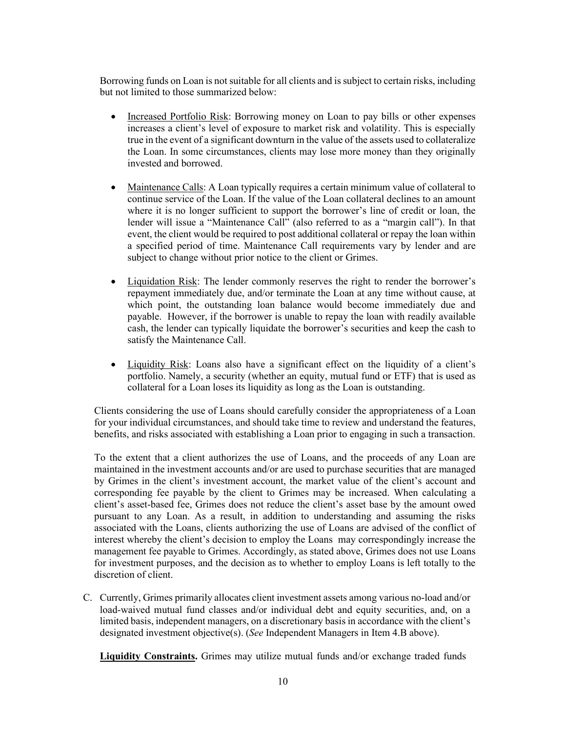Borrowing funds on Loan is not suitable for all clients and is subject to certain risks, including but not limited to those summarized below:

- Increased Portfolio Risk: Borrowing money on Loan to pay bills or other expenses increases a client's level of exposure to market risk and volatility. This is especially true in the event of a significant downturn in the value of the assets used to collateralize the Loan. In some circumstances, clients may lose more money than they originally invested and borrowed.
- Maintenance Calls: A Loan typically requires a certain minimum value of collateral to continue service of the Loan. If the value of the Loan collateral declines to an amount where it is no longer sufficient to support the borrower's line of credit or loan, the lender will issue a "Maintenance Call" (also referred to as a "margin call"). In that event, the client would be required to post additional collateral or repay the loan within a specified period of time. Maintenance Call requirements vary by lender and are subject to change without prior notice to the client or Grimes.
- Liquidation Risk: The lender commonly reserves the right to render the borrower's repayment immediately due, and/or terminate the Loan at any time without cause, at which point, the outstanding loan balance would become immediately due and payable. However, if the borrower is unable to repay the loan with readily available cash, the lender can typically liquidate the borrower's securities and keep the cash to satisfy the Maintenance Call.
- Liquidity Risk: Loans also have a significant effect on the liquidity of a client's portfolio. Namely, a security (whether an equity, mutual fund or ETF) that is used as collateral for a Loan loses its liquidity as long as the Loan is outstanding.

Clients considering the use of Loans should carefully consider the appropriateness of a Loan for your individual circumstances, and should take time to review and understand the features, benefits, and risks associated with establishing a Loan prior to engaging in such a transaction.

To the extent that a client authorizes the use of Loans, and the proceeds of any Loan are maintained in the investment accounts and/or are used to purchase securities that are managed by Grimes in the client's investment account, the market value of the client's account and corresponding fee payable by the client to Grimes may be increased. When calculating a client's asset-based fee, Grimes does not reduce the client's asset base by the amount owed pursuant to any Loan. As a result, in addition to understanding and assuming the risks associated with the Loans, clients authorizing the use of Loans are advised of the conflict of interest whereby the client's decision to employ the Loans may correspondingly increase the management fee payable to Grimes. Accordingly, as stated above, Grimes does not use Loans for investment purposes, and the decision as to whether to employ Loans is left totally to the discretion of client.

C. Currently, Grimes primarily allocates client investment assets among various no-load and/or load-waived mutual fund classes and/or individual debt and equity securities, and, on a limited basis, independent managers, on a discretionary basis in accordance with the client's designated investment objective(s). (*See* Independent Managers in Item 4.B above).

**Liquidity Constraints.** Grimes may utilize mutual funds and/or exchange traded funds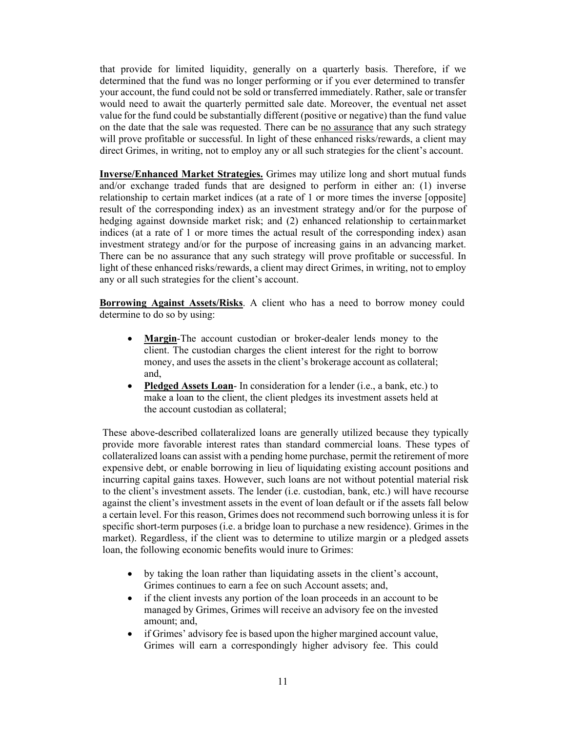that provide for limited liquidity, generally on a quarterly basis. Therefore, if we determined that the fund was no longer performing or if you ever determined to transfer your account, the fund could not be sold or transferred immediately. Rather, sale or transfer would need to await the quarterly permitted sale date. Moreover, the eventual net asset value for the fund could be substantially different (positive or negative) than the fund value on the date that the sale was requested. There can be no assurance that any such strategy will prove profitable or successful. In light of these enhanced risks/rewards, a client may direct Grimes, in writing, not to employ any or all such strategies for the client's account.

**Inverse/Enhanced Market Strategies.** Grimes may utilize long and short mutual funds and/or exchange traded funds that are designed to perform in either an: (1) inverse relationship to certain market indices (at a rate of 1 or more times the inverse [opposite] result of the corresponding index) as an investment strategy and/or for the purpose of hedging against downside market risk; and (2) enhanced relationship to certainmarket indices (at a rate of 1 or more times the actual result of the corresponding index) asan investment strategy and/or for the purpose of increasing gains in an advancing market. There can be no assurance that any such strategy will prove profitable or successful. In light of these enhanced risks/rewards, a client may direct Grimes, in writing, not to employ any or all such strategies for the client's account.

**Borrowing Against Assets/Risks**. A client who has a need to borrow money could determine to do so by using:

- **Margin**-The account custodian or broker-dealer lends money to the client. The custodian charges the client interest for the right to borrow money, and uses the assets in the client's brokerage account as collateral; and,
- **Pledged Assets Loan** In consideration for a lender (i.e., a bank, etc.) to make a loan to the client, the client pledges its investment assets held at the account custodian as collateral;

These above-described collateralized loans are generally utilized because they typically provide more favorable interest rates than standard commercial loans. These types of collateralized loans can assist with a pending home purchase, permit the retirement of more expensive debt, or enable borrowing in lieu of liquidating existing account positions and incurring capital gains taxes. However, such loans are not without potential material risk to the client's investment assets. The lender (i.e. custodian, bank, etc.) will have recourse against the client's investment assets in the event of loan default or if the assets fall below a certain level. For this reason, Grimes does not recommend such borrowing unless it is for specific short-term purposes (i.e. a bridge loan to purchase a new residence). Grimes in the market). Regardless, if the client was to determine to utilize margin or a pledged assets loan, the following economic benefits would inure to Grimes:

- by taking the loan rather than liquidating assets in the client's account, Grimes continues to earn a fee on such Account assets; and,
- if the client invests any portion of the loan proceeds in an account to be managed by Grimes, Grimes will receive an advisory fee on the invested amount; and,
- if Grimes' advisory fee is based upon the higher margined account value, Grimes will earn a correspondingly higher advisory fee. This could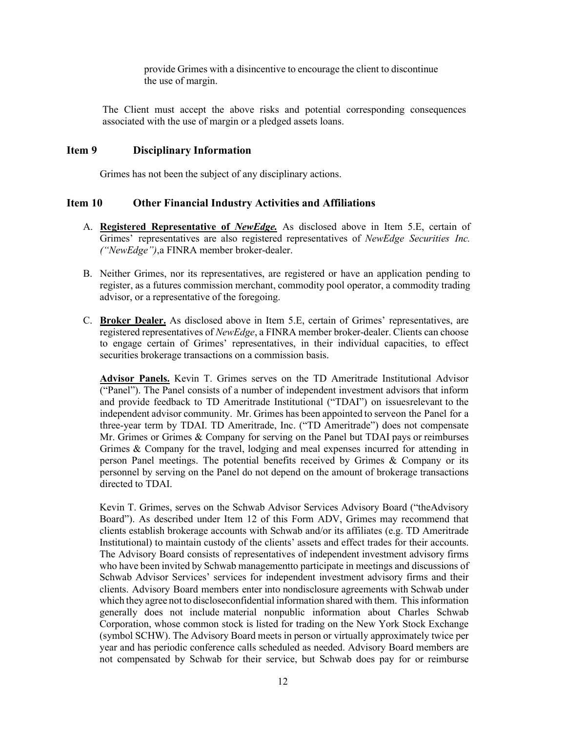provide Grimes with a disincentive to encourage the client to discontinue the use of margin.

The Client must accept the above risks and potential corresponding consequences associated with the use of margin or a pledged assets loans.

#### <span id="page-11-0"></span>**Item 9 Disciplinary Information**

Grimes has not been the subject of any disciplinary actions.

#### <span id="page-11-1"></span>**Item 10 Other Financial Industry Activities and Affiliations**

- A. **Registered Representative of** *NewEdge.* As disclosed above in Item 5.E, certain of Grimes' representatives are also registered representatives of *NewEdge Securities Inc. ("NewEdge")*,a FINRA member broker-dealer.
- B. Neither Grimes, nor its representatives, are registered or have an application pending to register, as a futures commission merchant, commodity pool operator, a commodity trading advisor, or a representative of the foregoing.
- C. **Broker Dealer.** As disclosed above in Item 5.E, certain of Grimes' representatives, are registered representatives of *NewEdge*, a FINRA member broker-dealer. Clients can choose to engage certain of Grimes' representatives, in their individual capacities, to effect securities brokerage transactions on a commission basis.

**Advisor Panels.** Kevin T. Grimes serves on the TD Ameritrade Institutional Advisor ("Panel"). The Panel consists of a number of independent investment advisors that inform and provide feedback to TD Ameritrade Institutional ("TDAI") on issuesrelevant to the independent advisor community. Mr. Grimes has been appointed to serveon the Panel for a three-year term by TDAI. TD Ameritrade, Inc. ("TD Ameritrade") does not compensate Mr. Grimes or Grimes & Company for serving on the Panel but TDAI pays or reimburses Grimes & Company for the travel, lodging and meal expenses incurred for attending in person Panel meetings. The potential benefits received by Grimes & Company or its personnel by serving on the Panel do not depend on the amount of brokerage transactions directed to TDAI.

Kevin T. Grimes, serves on the Schwab Advisor Services Advisory Board ("theAdvisory Board"). As described under Item 12 of this Form ADV, Grimes may recommend that clients establish brokerage accounts with Schwab and/or its affiliates (e.g. TD Ameritrade Institutional) to maintain custody of the clients' assets and effect trades for their accounts. The Advisory Board consists of representatives of independent investment advisory firms who have been invited by Schwab managementto participate in meetings and discussions of Schwab Advisor Services' services for independent investment advisory firms and their clients. Advisory Board members enter into nondisclosure agreements with Schwab under which they agree not to disclose confidential information shared with them. This information generally does not include material nonpublic information about Charles Schwab Corporation, whose common stock is listed for trading on the New York Stock Exchange (symbol SCHW). The Advisory Board meets in person or virtually approximately twice per year and has periodic conference calls scheduled as needed. Advisory Board members are not compensated by Schwab for their service, but Schwab does pay for or reimburse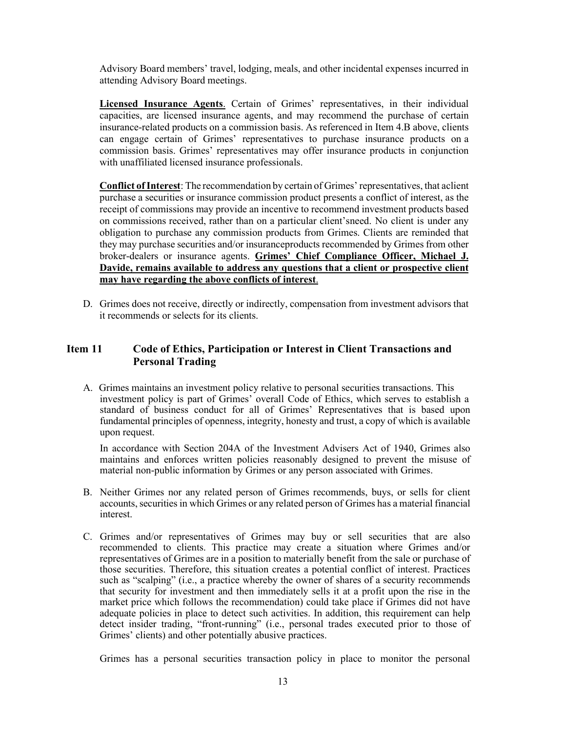Advisory Board members' travel, lodging, meals, and other incidental expenses incurred in attending Advisory Board meetings.

**Licensed Insurance Agents**. Certain of Grimes' representatives, in their individual capacities, are licensed insurance agents, and may recommend the purchase of certain insurance-related products on a commission basis. As referenced in Item 4.B above, clients can engage certain of Grimes' representatives to purchase insurance products on a commission basis. Grimes' representatives may offer insurance products in conjunction with unaffiliated licensed insurance professionals.

**Conflict of Interest**: The recommendation by certain of Grimes' representatives, that aclient purchase a securities or insurance commission product presents a conflict of interest, as the receipt of commissions may provide an incentive to recommend investment products based on commissions received, rather than on a particular client'sneed. No client is under any obligation to purchase any commission products from Grimes. Clients are reminded that they may purchase securities and/or insuranceproducts recommended by Grimes from other broker-dealers or insurance agents. **Grimes' Chief Compliance Officer, Michael J. Davide, remains available to address any questions that a client or prospective client may have regarding the above conflicts of interest**.

D. Grimes does not receive, directly or indirectly, compensation from investment advisors that it recommends or selects for its clients.

#### <span id="page-12-0"></span>**Item 11 Code of Ethics, Participation or Interest in Client Transactions and Personal Trading**

A. Grimes maintains an investment policy relative to personal securities transactions. This investment policy is part of Grimes' overall Code of Ethics, which serves to establish a standard of business conduct for all of Grimes' Representatives that is based upon fundamental principles of openness, integrity, honesty and trust, a copy of which is available upon request.

In accordance with Section 204A of the Investment Advisers Act of 1940, Grimes also maintains and enforces written policies reasonably designed to prevent the misuse of material non-public information by Grimes or any person associated with Grimes.

- B. Neither Grimes nor any related person of Grimes recommends, buys, or sells for client accounts, securities in which Grimes or any related person of Grimes has a material financial interest.
- C. Grimes and/or representatives of Grimes may buy or sell securities that are also recommended to clients. This practice may create a situation where Grimes and/or representatives of Grimes are in a position to materially benefit from the sale or purchase of those securities. Therefore, this situation creates a potential conflict of interest. Practices such as "scalping" (i.e., a practice whereby the owner of shares of a security recommends that security for investment and then immediately sells it at a profit upon the rise in the market price which follows the recommendation) could take place if Grimes did not have adequate policies in place to detect such activities. In addition, this requirement can help detect insider trading, "front-running" (i.e., personal trades executed prior to those of Grimes' clients) and other potentially abusive practices.

Grimes has a personal securities transaction policy in place to monitor the personal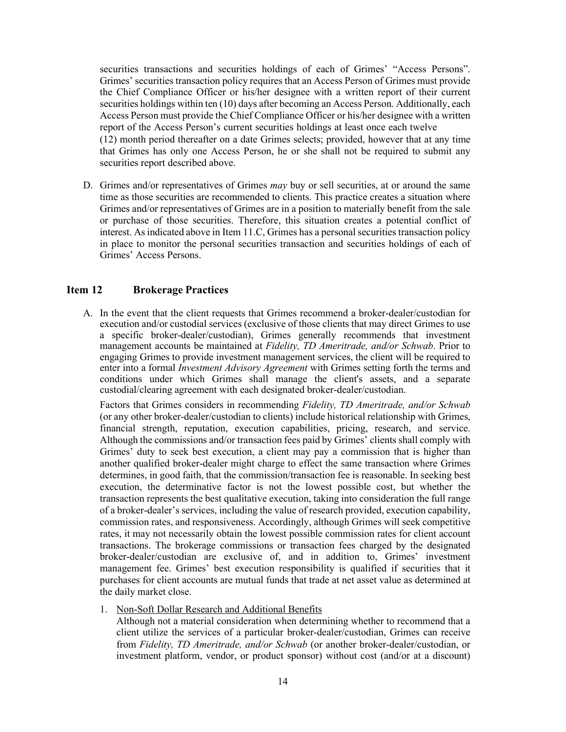securities transactions and securities holdings of each of Grimes' "Access Persons". Grimes' securities transaction policy requires that an Access Person of Grimes must provide the Chief Compliance Officer or his/her designee with a written report of their current securities holdings within ten (10) days after becoming an Access Person. Additionally, each Access Person must provide the Chief Compliance Officer or his/her designee with a written report of the Access Person's current securities holdings at least once each twelve (12) month period thereafter on a date Grimes selects; provided, however that at any time that Grimes has only one Access Person, he or she shall not be required to submit any securities report described above.

D. Grimes and/or representatives of Grimes *may* buy or sell securities, at or around the same time as those securities are recommended to clients. This practice creates a situation where Grimes and/or representatives of Grimes are in a position to materially benefit from the sale or purchase of those securities. Therefore, this situation creates a potential conflict of interest. As indicated above in Item 11.C, Grimes has a personal securities transaction policy in place to monitor the personal securities transaction and securities holdings of each of Grimes' Access Persons.

#### <span id="page-13-0"></span>**Item 12 Brokerage Practices**

A. In the event that the client requests that Grimes recommend a broker-dealer/custodian for execution and/or custodial services (exclusive of those clients that may direct Grimes to use a specific broker-dealer/custodian), Grimes generally recommends that investment management accounts be maintained at *Fidelity, TD Ameritrade, and/or Schwab*. Prior to engaging Grimes to provide investment management services, the client will be required to enter into a formal *Investment Advisory Agreement* with Grimes setting forth the terms and conditions under which Grimes shall manage the client's assets, and a separate custodial/clearing agreement with each designated broker-dealer/custodian.

Factors that Grimes considers in recommending *Fidelity, TD Ameritrade, and/or Schwab* (or any other broker-dealer/custodian to clients) include historical relationship with Grimes, financial strength, reputation, execution capabilities, pricing, research, and service. Although the commissions and/or transaction fees paid by Grimes' clients shall comply with Grimes' duty to seek best execution, a client may pay a commission that is higher than another qualified broker-dealer might charge to effect the same transaction where Grimes determines, in good faith, that the commission/transaction fee is reasonable. In seeking best execution, the determinative factor is not the lowest possible cost, but whether the transaction represents the best qualitative execution, taking into consideration the full range of a broker-dealer's services, including the value of research provided, execution capability, commission rates, and responsiveness. Accordingly, although Grimes will seek competitive rates, it may not necessarily obtain the lowest possible commission rates for client account transactions. The brokerage commissions or transaction fees charged by the designated broker-dealer/custodian are exclusive of, and in addition to, Grimes' investment management fee. Grimes' best execution responsibility is qualified if securities that it purchases for client accounts are mutual funds that trade at net asset value as determined at the daily market close.

1. Non-Soft Dollar Research and Additional Benefits

Although not a material consideration when determining whether to recommend that a client utilize the services of a particular broker-dealer/custodian, Grimes can receive from *Fidelity, TD Ameritrade, and/or Schwab* (or another broker-dealer/custodian, or investment platform, vendor, or product sponsor) without cost (and/or at a discount)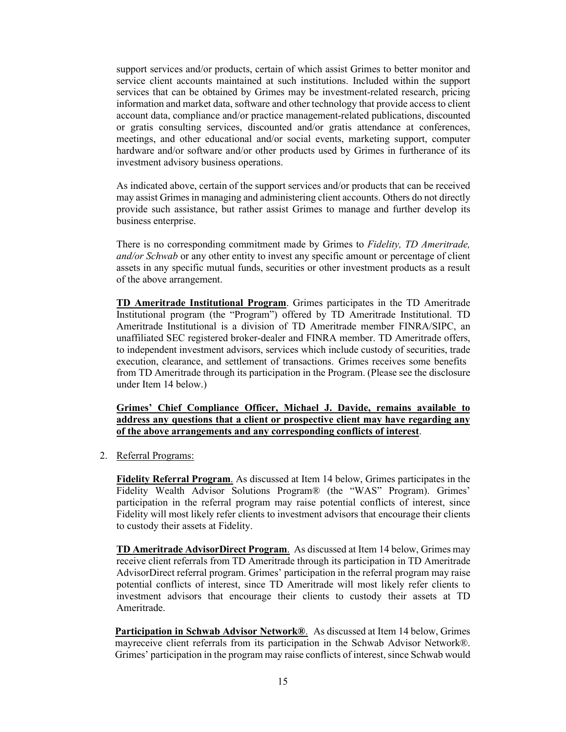support services and/or products, certain of which assist Grimes to better monitor and service client accounts maintained at such institutions. Included within the support services that can be obtained by Grimes may be investment-related research, pricing information and market data, software and other technology that provide access to client account data, compliance and/or practice management-related publications, discounted or gratis consulting services, discounted and/or gratis attendance at conferences, meetings, and other educational and/or social events, marketing support, computer hardware and/or software and/or other products used by Grimes in furtherance of its investment advisory business operations.

As indicated above, certain of the support services and/or products that can be received may assist Grimes in managing and administering client accounts. Others do not directly provide such assistance, but rather assist Grimes to manage and further develop its business enterprise.

There is no corresponding commitment made by Grimes to *Fidelity, TD Ameritrade, and/or Schwab* or any other entity to invest any specific amount or percentage of client assets in any specific mutual funds, securities or other investment products as a result of the above arrangement.

**TD Ameritrade Institutional Program**. Grimes participates in the TD Ameritrade Institutional program (the "Program") offered by TD Ameritrade Institutional. TD Ameritrade Institutional is a division of TD Ameritrade member FINRA/SIPC, an unaffiliated SEC registered broker-dealer and FINRA member. TD Ameritrade offers, to independent investment advisors, services which include custody of securities, trade execution, clearance, and settlement of transactions. Grimes receives some benefits from TD Ameritrade through its participation in the Program. (Please see the disclosure under Item 14 below.)

**Grimes' Chief Compliance Officer, Michael J. Davide, remains available to address any questions that a client or prospective client may have regarding any of the above arrangements and any corresponding conflicts of interest**.

2. Referral Programs:

**Fidelity Referral Program**. As discussed at Item 14 below, Grimes participates in the Fidelity Wealth Advisor Solutions Program® (the "WAS" Program). Grimes' participation in the referral program may raise potential conflicts of interest, since Fidelity will most likely refer clients to investment advisors that encourage their clients to custody their assets at Fidelity.

**TD Ameritrade AdvisorDirect Program**. As discussed at Item 14 below, Grimes may receive client referrals from TD Ameritrade through its participation in TD Ameritrade AdvisorDirect referral program. Grimes' participation in the referral program may raise potential conflicts of interest, since TD Ameritrade will most likely refer clients to investment advisors that encourage their clients to custody their assets at TD Ameritrade.

**Participation in Schwab Advisor Network®**. As discussed at Item 14 below, Grimes mayreceive client referrals from its participation in the Schwab Advisor Network®. Grimes' participation in the program may raise conflicts of interest, since Schwab would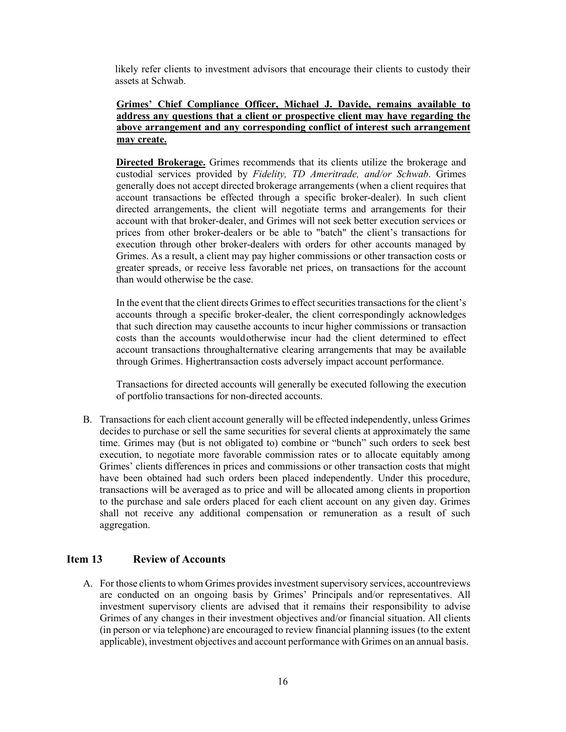likely refer clients to investment advisors that encourage their clients to custody their assets at Schwab.

#### **Grimes' Chief Compliance Officer, Michael J. Davide, remains available to address any questions that a client or prospective client may have regarding the above arrangement and any corresponding conflict of interest such arrangement may create.**

**Directed Brokerage.** Grimes recommends that its clients utilize the brokerage and custodial services provided by *Fidelity, TD Ameritrade, and/or Schwab*. Grimes generally does not accept directed brokerage arrangements (when a client requires that account transactions be effected through a specific broker-dealer). In such client directed arrangements, the client will negotiate terms and arrangements for their account with that broker-dealer, and Grimes will not seek better execution services or prices from other broker-dealers or be able to "batch" the client's transactions for execution through other broker-dealers with orders for other accounts managed by Grimes. As a result, a client may pay higher commissions or other transaction costs or greater spreads, or receive less favorable net prices, on transactions for the account than would otherwise be the case.

In the event that the client directs Grimes to effect securities transactions for the client's accounts through a specific broker-dealer, the client correspondingly acknowledges that such direction may causethe accounts to incur higher commissions or transaction costs than the accounts wouldotherwise incur had the client determined to effect account transactions throughalternative clearing arrangements that may be available through Grimes. Highertransaction costs adversely impact account performance.

Transactions for directed accounts will generally be executed following the execution of portfolio transactions for non-directed accounts.

B. Transactions for each client account generally will be effected independently, unless Grimes decides to purchase or sell the same securities for several clients at approximately the same time. Grimes may (but is not obligated to) combine or "bunch" such orders to seek best execution, to negotiate more favorable commission rates or to allocate equitably among Grimes' clients differences in prices and commissions or other transaction costs that might have been obtained had such orders been placed independently. Under this procedure, transactions will be averaged as to price and will be allocated among clients in proportion to the purchase and sale orders placed for each client account on any given day. Grimes shall not receive any additional compensation or remuneration as a result of such aggregation.

#### <span id="page-15-0"></span>**Item 13 Review of Accounts**

A. For those clients to whom Grimes provides investment supervisory services, accountreviews are conducted on an ongoing basis by Grimes' Principals and/or representatives. All investment supervisory clients are advised that it remains their responsibility to advise Grimes of any changes in their investment objectives and/or financial situation. All clients (in person or via telephone) are encouraged to review financial planning issues (to the extent applicable), investment objectives and account performance with Grimes on an annual basis.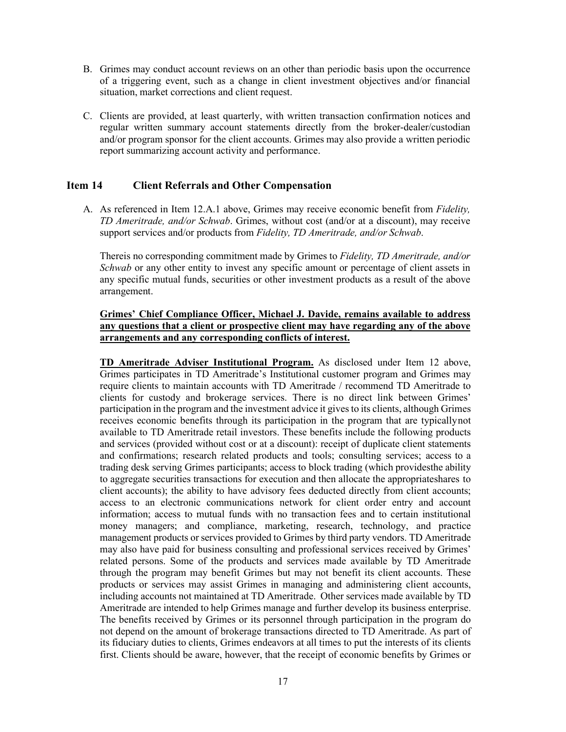- B. Grimes may conduct account reviews on an other than periodic basis upon the occurrence of a triggering event, such as a change in client investment objectives and/or financial situation, market corrections and client request.
- C. Clients are provided, at least quarterly, with written transaction confirmation notices and regular written summary account statements directly from the broker-dealer/custodian and/or program sponsor for the client accounts. Grimes may also provide a written periodic report summarizing account activity and performance.

#### <span id="page-16-0"></span>**Item 14 Client Referrals and Other Compensation**

A. As referenced in Item 12.A.1 above, Grimes may receive economic benefit from *Fidelity, TD Ameritrade, and/or Schwab*. Grimes, without cost (and/or at a discount), may receive support services and/or products from *Fidelity, TD Ameritrade, and/or Schwab*.

Thereis no corresponding commitment made by Grimes to *Fidelity, TD Ameritrade, and/or Schwab* or any other entity to invest any specific amount or percentage of client assets in any specific mutual funds, securities or other investment products as a result of the above arrangement.

#### **Grimes' Chief Compliance Officer, Michael J. Davide, remains available to address any questions that a client or prospective client may have regarding any of the above arrangements and any corresponding conflicts of interest.**

**TD Ameritrade Adviser Institutional Program.** As disclosed under Item 12 above, Grimes participates in TD Ameritrade's Institutional customer program and Grimes may require clients to maintain accounts with TD Ameritrade / recommend TD Ameritrade to clients for custody and brokerage services. There is no direct link between Grimes' participation in the program and the investment advice it gives to its clients, although Grimes receives economic benefits through its participation in the program that are typicallynot available to TD Ameritrade retail investors. These benefits include the following products and services (provided without cost or at a discount): receipt of duplicate client statements and confirmations; research related products and tools; consulting services; access to a trading desk serving Grimes participants; access to block trading (which providesthe ability to aggregate securities transactions for execution and then allocate the appropriateshares to client accounts); the ability to have advisory fees deducted directly from client accounts; access to an electronic communications network for client order entry and account information; access to mutual funds with no transaction fees and to certain institutional money managers; and compliance, marketing, research, technology, and practice management products or services provided to Grimes by third party vendors. TD Ameritrade may also have paid for business consulting and professional services received by Grimes' related persons. Some of the products and services made available by TD Ameritrade through the program may benefit Grimes but may not benefit its client accounts. These products or services may assist Grimes in managing and administering client accounts, including accounts not maintained at TD Ameritrade. Other services made available by TD Ameritrade are intended to help Grimes manage and further develop its business enterprise. The benefits received by Grimes or its personnel through participation in the program do not depend on the amount of brokerage transactions directed to TD Ameritrade. As part of its fiduciary duties to clients, Grimes endeavors at all times to put the interests of its clients first. Clients should be aware, however, that the receipt of economic benefits by Grimes or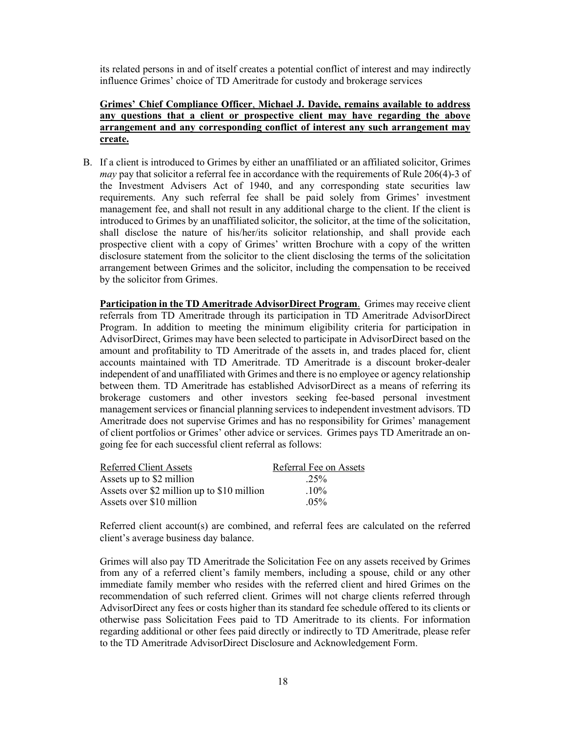its related persons in and of itself creates a potential conflict of interest and may indirectly influence Grimes' choice of TD Ameritrade for custody and brokerage services

#### **Grimes' Chief Compliance Officer**, **Michael J. Davide, remains available to address any questions that a client or prospective client may have regarding the above arrangement and any corresponding conflict of interest any such arrangement may create.**

B. If a client is introduced to Grimes by either an unaffiliated or an affiliated solicitor, Grimes *may* pay that solicitor a referral fee in accordance with the requirements of Rule 206(4)-3 of the Investment Advisers Act of 1940, and any corresponding state securities law requirements. Any such referral fee shall be paid solely from Grimes' investment management fee, and shall not result in any additional charge to the client. If the client is introduced to Grimes by an unaffiliated solicitor, the solicitor, at the time of the solicitation, shall disclose the nature of his/her/its solicitor relationship, and shall provide each prospective client with a copy of Grimes' written Brochure with a copy of the written disclosure statement from the solicitor to the client disclosing the terms of the solicitation arrangement between Grimes and the solicitor, including the compensation to be received by the solicitor from Grimes.

**Participation in the TD Ameritrade AdvisorDirect Program**. Grimes may receive client referrals from TD Ameritrade through its participation in TD Ameritrade AdvisorDirect Program. In addition to meeting the minimum eligibility criteria for participation in AdvisorDirect, Grimes may have been selected to participate in AdvisorDirect based on the amount and profitability to TD Ameritrade of the assets in, and trades placed for, client accounts maintained with TD Ameritrade. TD Ameritrade is a discount broker-dealer independent of and unaffiliated with Grimes and there is no employee or agency relationship between them. TD Ameritrade has established AdvisorDirect as a means of referring its brokerage customers and other investors seeking fee-based personal investment management services or financial planning services to independent investment advisors. TD Ameritrade does not supervise Grimes and has no responsibility for Grimes' management of client portfolios or Grimes' other advice or services. Grimes pays TD Ameritrade an ongoing fee for each successful client referral as follows:

| <b>Referred Client Assets</b>              | Referral Fee on Assets |
|--------------------------------------------|------------------------|
| Assets up to \$2 million                   | $.25\%$                |
| Assets over \$2 million up to \$10 million | $10\%$                 |
| Assets over \$10 million                   | $0.5\%$                |

Referred client account(s) are combined, and referral fees are calculated on the referred client's average business day balance.

Grimes will also pay TD Ameritrade the Solicitation Fee on any assets received by Grimes from any of a referred client's family members, including a spouse, child or any other immediate family member who resides with the referred client and hired Grimes on the recommendation of such referred client. Grimes will not charge clients referred through AdvisorDirect any fees or costs higher than its standard fee schedule offered to its clients or otherwise pass Solicitation Fees paid to TD Ameritrade to its clients. For information regarding additional or other fees paid directly or indirectly to TD Ameritrade, please refer to the TD Ameritrade AdvisorDirect Disclosure and Acknowledgement Form.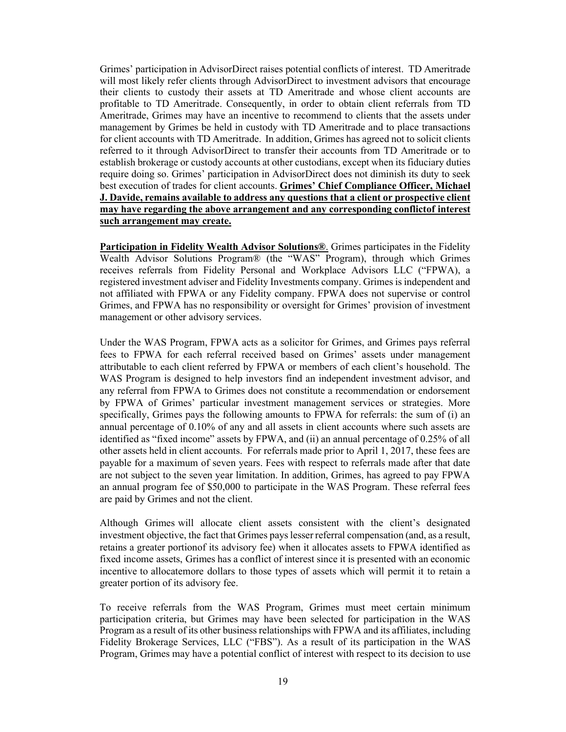Grimes' participation in AdvisorDirect raises potential conflicts of interest. TD Ameritrade will most likely refer clients through AdvisorDirect to investment advisors that encourage their clients to custody their assets at TD Ameritrade and whose client accounts are profitable to TD Ameritrade. Consequently, in order to obtain client referrals from TD Ameritrade, Grimes may have an incentive to recommend to clients that the assets under management by Grimes be held in custody with TD Ameritrade and to place transactions for client accounts with TD Ameritrade. In addition, Grimes has agreed not to solicit clients referred to it through AdvisorDirect to transfer their accounts from TD Ameritrade or to establish brokerage or custody accounts at other custodians, except when its fiduciary duties require doing so. Grimes' participation in AdvisorDirect does not diminish its duty to seek best execution of trades for client accounts. **Grimes' Chief Compliance Officer, Michael J. Davide, remains available to address any questions that a client or prospective client may have regarding the above arrangement and any corresponding conflictof interest such arrangement may create.**

**Participation in Fidelity Wealth Advisor Solutions®**. Grimes participates in the Fidelity Wealth Advisor Solutions Program® (the "WAS" Program), through which Grimes receives referrals from Fidelity Personal and Workplace Advisors LLC ("FPWA), a registered investment adviser and Fidelity Investments company. Grimes is independent and not affiliated with FPWA or any Fidelity company. FPWA does not supervise or control Grimes, and FPWA has no responsibility or oversight for Grimes' provision of investment management or other advisory services.

Under the WAS Program, FPWA acts as a solicitor for Grimes, and Grimes pays referral fees to FPWA for each referral received based on Grimes' assets under management attributable to each client referred by FPWA or members of each client's household. The WAS Program is designed to help investors find an independent investment advisor, and any referral from FPWA to Grimes does not constitute a recommendation or endorsement by FPWA of Grimes' particular investment management services or strategies. More specifically, Grimes pays the following amounts to FPWA for referrals: the sum of (i) an annual percentage of 0.10% of any and all assets in client accounts where such assets are identified as "fixed income" assets by FPWA, and (ii) an annual percentage of 0.25% of all other assets held in client accounts. For referrals made prior to April 1, 2017, these fees are payable for a maximum of seven years. Fees with respect to referrals made after that date are not subject to the seven year limitation. In addition, Grimes, has agreed to pay FPWA an annual program fee of \$50,000 to participate in the WAS Program. These referral fees are paid by Grimes and not the client.

Although Grimes will allocate client assets consistent with the client's designated investment objective, the fact that Grimes payslesser referral compensation (and, as a result, retains a greater portionof its advisory fee) when it allocates assets to FPWA identified as fixed income assets, Grimes has a conflict of interest since it is presented with an economic incentive to allocatemore dollars to those types of assets which will permit it to retain a greater portion of its advisory fee.

To receive referrals from the WAS Program, Grimes must meet certain minimum participation criteria, but Grimes may have been selected for participation in the WAS Program as a result of its other business relationships with FPWA and its affiliates, including Fidelity Brokerage Services, LLC ("FBS"). As a result of its participation in the WAS Program, Grimes may have a potential conflict of interest with respect to its decision to use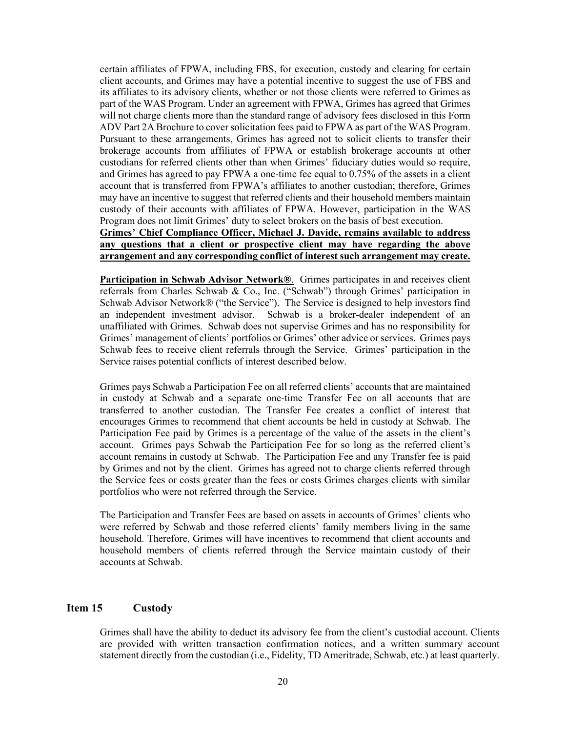certain affiliates of FPWA, including FBS, for execution, custody and clearing for certain client accounts, and Grimes may have a potential incentive to suggest the use of FBS and its affiliates to its advisory clients, whether or not those clients were referred to Grimes as part of the WAS Program. Under an agreement with FPWA, Grimes has agreed that Grimes will not charge clients more than the standard range of advisory fees disclosed in this Form ADV Part 2A Brochure to cover solicitation fees paid to FPWA as part of the WAS Program. Pursuant to these arrangements, Grimes has agreed not to solicit clients to transfer their brokerage accounts from affiliates of FPWA or establish brokerage accounts at other custodians for referred clients other than when Grimes' fiduciary duties would so require, and Grimes has agreed to pay FPWA a one-time fee equal to 0.75% of the assets in a client account that is transferred from FPWA's affiliates to another custodian; therefore, Grimes may have an incentive to suggest that referred clients and their household members maintain custody of their accounts with affiliates of FPWA. However, participation in the WAS Program does not limit Grimes' duty to select brokers on the basis of best execution.

**Grimes' Chief Compliance Officer, Michael J. Davide, remains available to address any questions that a client or prospective client may have regarding the above arrangement and any corresponding conflict of interest such arrangement may create.**

**Participation in Schwab Advisor Network®**. Grimes participates in and receives client referrals from Charles Schwab & Co., Inc. ("Schwab") through Grimes' participation in Schwab Advisor Network® ("the Service"). The Service is designed to help investors find an independent investment advisor. Schwab is a broker-dealer independent of an unaffiliated with Grimes. Schwab does not supervise Grimes and has no responsibility for Grimes' management of clients' portfolios or Grimes' other advice or services. Grimes pays Schwab fees to receive client referrals through the Service. Grimes' participation in the Service raises potential conflicts of interest described below.

Grimes pays Schwab a Participation Fee on all referred clients' accounts that are maintained in custody at Schwab and a separate one-time Transfer Fee on all accounts that are transferred to another custodian. The Transfer Fee creates a conflict of interest that encourages Grimes to recommend that client accounts be held in custody at Schwab. The Participation Fee paid by Grimes is a percentage of the value of the assets in the client's account. Grimes pays Schwab the Participation Fee for so long as the referred client's account remains in custody at Schwab. The Participation Fee and any Transfer fee is paid by Grimes and not by the client. Grimes has agreed not to charge clients referred through the Service fees or costs greater than the fees or costs Grimes charges clients with similar portfolios who were not referred through the Service.

The Participation and Transfer Fees are based on assets in accounts of Grimes' clients who were referred by Schwab and those referred clients' family members living in the same household. Therefore, Grimes will have incentives to recommend that client accounts and household members of clients referred through the Service maintain custody of their accounts at Schwab.

#### <span id="page-19-0"></span>**Item 15 Custody**

Grimes shall have the ability to deduct its advisory fee from the client's custodial account. Clients are provided with written transaction confirmation notices, and a written summary account statement directly from the custodian (i.e., Fidelity, TD Ameritrade, Schwab, etc.) at least quarterly.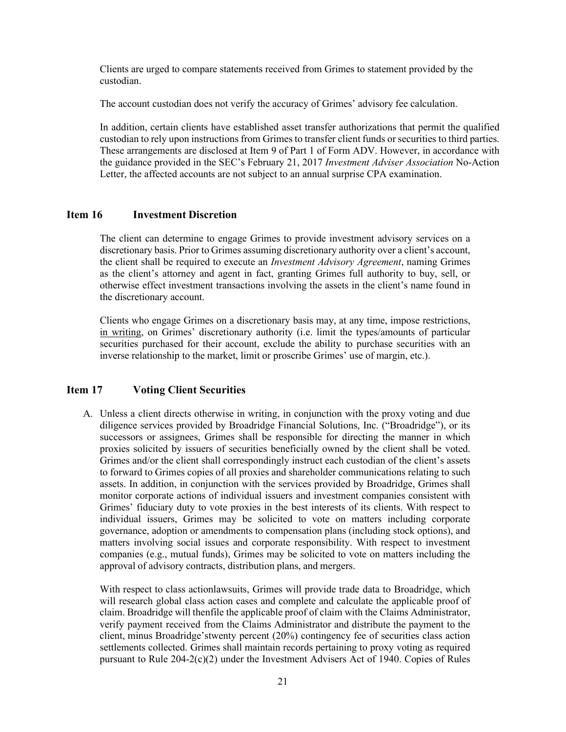Clients are urged to compare statements received from Grimes to statement provided by the custodian.

The account custodian does not verify the accuracy of Grimes' advisory fee calculation.

In addition, certain clients have established asset transfer authorizations that permit the qualified custodian to rely upon instructions from Grimes to transfer client funds or securities to third parties. These arrangements are disclosed at Item 9 of Part 1 of Form ADV. However, in accordance with the guidance provided in the SEC's February 21, 2017 *Investment Adviser Association* No-Action Letter, the affected accounts are not subject to an annual surprise CPA examination.

#### <span id="page-20-0"></span>**Item 16 Investment Discretion**

The client can determine to engage Grimes to provide investment advisory services on a discretionary basis. Prior to Grimes assuming discretionary authority over a client's account, the client shall be required to execute an *Investment Advisory Agreement*, naming Grimes as the client's attorney and agent in fact, granting Grimes full authority to buy, sell, or otherwise effect investment transactions involving the assets in the client's name found in the discretionary account.

Clients who engage Grimes on a discretionary basis may, at any time, impose restrictions, in writing, on Grimes' discretionary authority (i.e. limit the types/amounts of particular securities purchased for their account, exclude the ability to purchase securities with an inverse relationship to the market, limit or proscribe Grimes' use of margin, etc.).

#### <span id="page-20-1"></span>**Item 17 Voting Client Securities**

A. Unless a client directs otherwise in writing, in conjunction with the proxy voting and due diligence services provided by Broadridge Financial Solutions, Inc. ("Broadridge"), or its successors or assignees, Grimes shall be responsible for directing the manner in which proxies solicited by issuers of securities beneficially owned by the client shall be voted. Grimes and/or the client shall correspondingly instruct each custodian of the client's assets to forward to Grimes copies of all proxies and shareholder communications relating to such assets. In addition, in conjunction with the services provided by Broadridge, Grimes shall monitor corporate actions of individual issuers and investment companies consistent with Grimes' fiduciary duty to vote proxies in the best interests of its clients. With respect to individual issuers, Grimes may be solicited to vote on matters including corporate governance, adoption or amendments to compensation plans (including stock options), and matters involving social issues and corporate responsibility. With respect to investment companies (e.g., mutual funds), Grimes may be solicited to vote on matters including the approval of advisory contracts, distribution plans, and mergers.

With respect to class actionlawsuits, Grimes will provide trade data to Broadridge, which will research global class action cases and complete and calculate the applicable proof of claim. Broadridge will thenfile the applicable proof of claim with the Claims Administrator, verify payment received from the Claims Administrator and distribute the payment to the client, minus Broadridge'stwenty percent (20%) contingency fee of securities class action settlements collected. Grimes shall maintain records pertaining to proxy voting as required pursuant to Rule 204-2(c)(2) under the Investment Advisers Act of 1940. Copies of Rules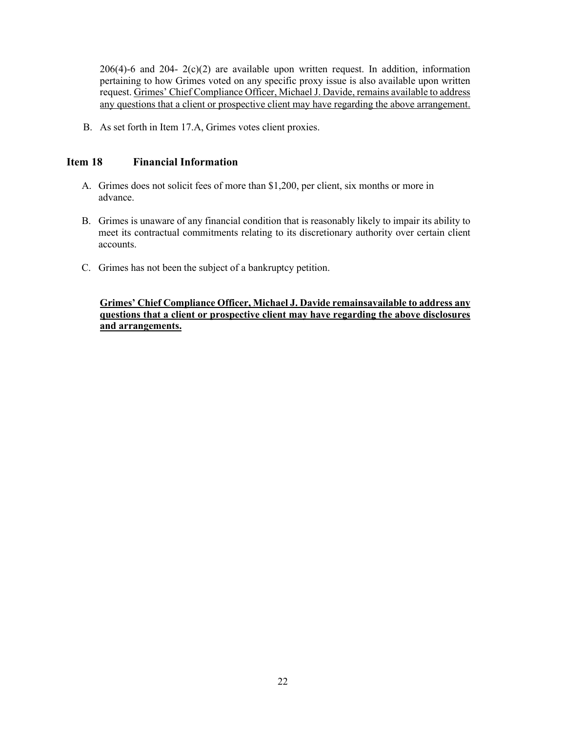$206(4)$ -6 and  $204-2(c)(2)$  are available upon written request. In addition, information pertaining to how Grimes voted on any specific proxy issue is also available upon written request. Grimes' Chief Compliance Officer, Michael J. Davide, remains available to address any questions that a client or prospective client may have regarding the above arrangement.

B. As set forth in Item 17.A, Grimes votes client proxies.

#### <span id="page-21-0"></span>**Item 18 Financial Information**

- A. Grimes does not solicit fees of more than \$1,200, per client, six months or more in advance.
- B. Grimes is unaware of any financial condition that is reasonably likely to impair its ability to meet its contractual commitments relating to its discretionary authority over certain client accounts.
- C. Grimes has not been the subject of a bankruptcy petition.

**Grimes' Chief Compliance Officer, Michael J. Davide remainsavailable to address any questions that a client or prospective client may have regarding the above disclosures and arrangements.**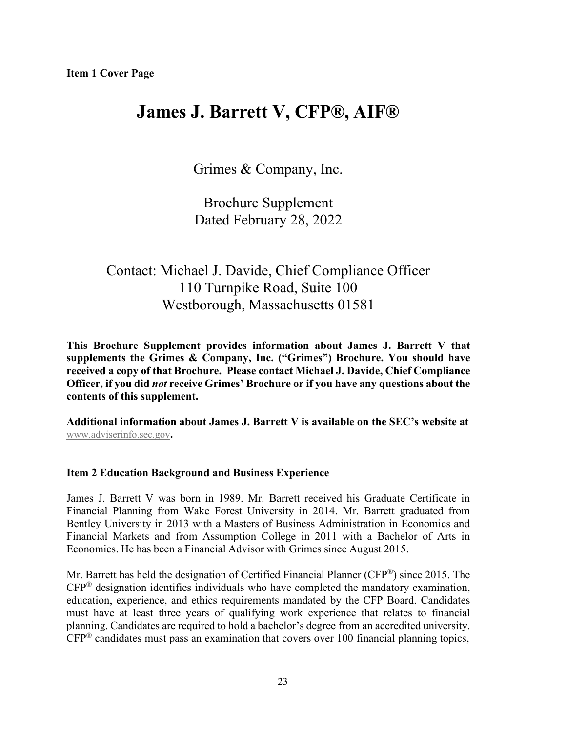# **James J. Barrett V, CFP®, AIF®**

Grimes & Company, Inc.

Brochure Supplement Dated February 28, 2022

## Contact: Michael J. Davide, Chief Compliance Officer 110 Turnpike Road, Suite 100 Westborough, Massachusetts 01581

**This Brochure Supplement provides information about James J. Barrett V that supplements the Grimes & Company, Inc. ("Grimes") Brochure. You should have received a copy of that Brochure. Please contact Michael J. Davide, Chief Compliance Officer, if you did** *not* **receive Grimes' Brochure or if you have any questions about the contents of this supplement.**

**Additional information about James J. Barrett V is available on the SEC's website at** [www.adviserinfo.sec.gov](http://www.adviserinfo.sec.gov/)**.**

## **Item 2 Education Background and Business Experience**

James J. Barrett V was born in 1989. Mr. Barrett received his Graduate Certificate in Financial Planning from Wake Forest University in 2014. Mr. Barrett graduated from Bentley University in 2013 with a Masters of Business Administration in Economics and Financial Markets and from Assumption College in 2011 with a Bachelor of Arts in Economics. He has been a Financial Advisor with Grimes since August 2015.

Mr. Barrett has held the designation of Certified Financial Planner (CFP®) since 2015. The CFP® designation identifies individuals who have completed the mandatory examination, education, experience, and ethics requirements mandated by the CFP Board. Candidates must have at least three years of qualifying work experience that relates to financial planning. Candidates are required to hold a bachelor's degree from an accredited university.  $CFP^®$  candidates must pass an examination that covers over 100 financial planning topics,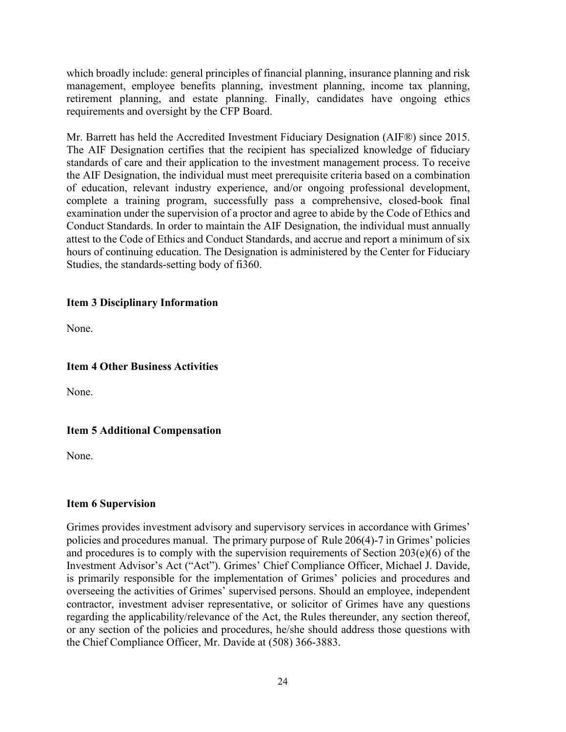which broadly include: general principles of financial planning, insurance planning and risk management, employee benefits planning, investment planning, income tax planning, retirement planning, and estate planning. Finally, candidates have ongoing ethics requirements and oversight by the CFP Board.

Mr. Barrett has held the Accredited Investment Fiduciary Designation (AIF®) since 2015. The AIF Designation certifies that the recipient has specialized knowledge of fiduciary standards of care and their application to the investment management process. To receive the AIF Designation, the individual must meet prerequisite criteria based on a combination of education, relevant industry experience, and/or ongoing professional development, complete a training program, successfully pass a comprehensive, closed-book final examination under the supervision of a proctor and agree to abide by the [Code of Ethics](http://www.fi360.com/main/pdf/codeofethics.pdf) and [Conduct Standards.](http://www.fi360.com/uploads/media/designationqualification.pdf) In order to maintain the AIF Designation, the individual must annually attest to the Code of Ethics and Conduct Standards, and accrue and report a minimum of six hours of continuing education. The Designation is administered by the Center for Fiduciary Studies, the standards-setting body of fi360.

### **Item 3 Disciplinary Information**

None.

### **Item 4 Other Business Activities**

None.

## **Item 5 Additional Compensation**

None.

#### **Item 6 Supervision**

Grimes provides investment advisory and supervisory services in accordance with Grimes' policies and procedures manual. The primary purpose of Rule 206(4)-7 in Grimes' policies and procedures is to comply with the supervision requirements of Section 203(e)(6) of the Investment Advisor's Act ("Act"). Grimes' Chief Compliance Officer, Michael J. Davide, is primarily responsible for the implementation of Grimes' policies and procedures and overseeing the activities of Grimes' supervised persons. Should an employee, independent contractor, investment adviser representative, or solicitor of Grimes have any questions regarding the applicability/relevance of the Act, the Rules thereunder, any section thereof, or any section of the policies and procedures, he/she should address those questions with the Chief Compliance Officer, Mr. Davide at (508) 366-3883.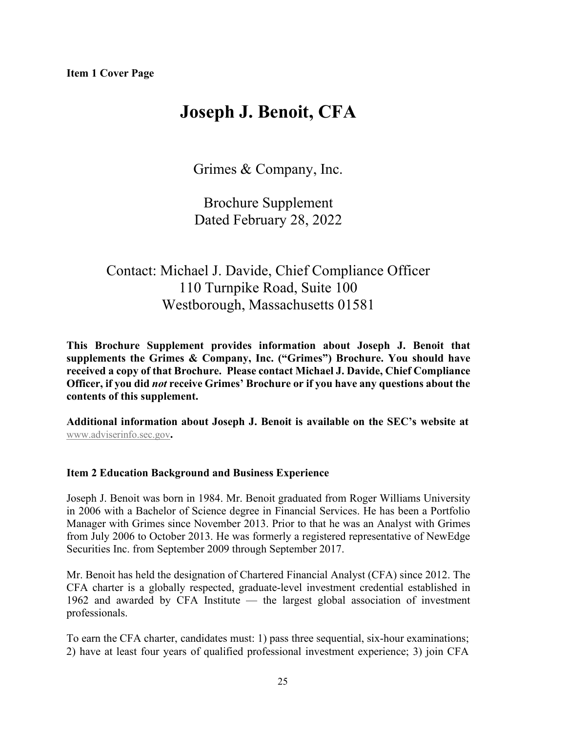# **Joseph J. Benoit, CFA**

Grimes & Company, Inc.

Brochure Supplement Dated February 28, 2022

## Contact: Michael J. Davide, Chief Compliance Officer 110 Turnpike Road, Suite 100 Westborough, Massachusetts 01581

**This Brochure Supplement provides information about Joseph J. Benoit that supplements the Grimes & Company, Inc. ("Grimes") Brochure. You should have received a copy of that Brochure. Please contact Michael J. Davide, Chief Compliance Officer, if you did** *not* **receive Grimes' Brochure or if you have any questions about the contents of this supplement.**

**Additional information about Joseph J. Benoit is available on the SEC's website at** [www.adviserinfo.sec.gov](http://www.adviserinfo.sec.gov/)**.**

## **Item 2 Education Background and Business Experience**

Joseph J. Benoit was born in 1984. Mr. Benoit graduated from Roger Williams University in 2006 with a Bachelor of Science degree in Financial Services. He has been a Portfolio Manager with Grimes since November 2013. Prior to that he was an Analyst with Grimes from July 2006 to October 2013. He was formerly a registered representative of NewEdge Securities Inc. from September 2009 through September 2017.

Mr. Benoit has held the designation of Chartered Financial Analyst (CFA) since 2012. The CFA charter is a globally respected, graduate-level investment credential established in 1962 and awarded by CFA Institute — the largest global association of investment professionals.

To earn the CFA charter, candidates must: 1) pass three sequential, six-hour examinations; 2) have at least four years of qualified professional investment experience; 3) join CFA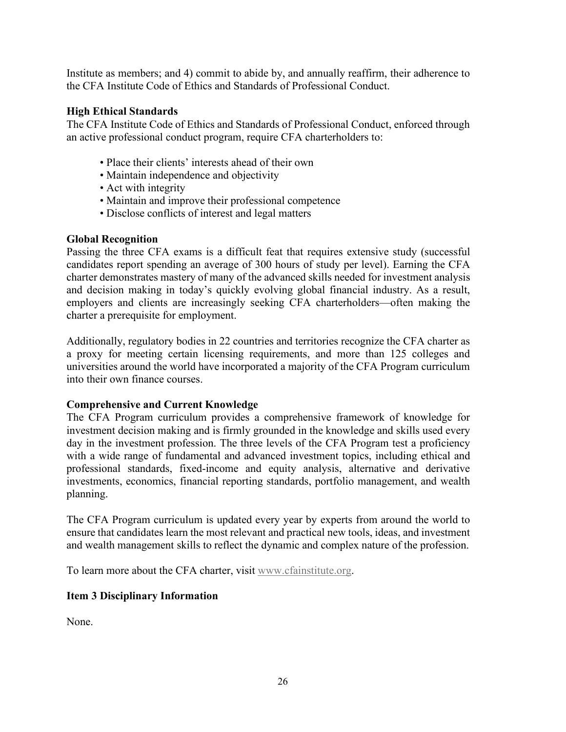Institute as members; and 4) commit to abide by, and annually reaffirm, their adherence to the CFA Institute Code of Ethics and Standards of Professional Conduct.

### **High Ethical Standards**

The CFA Institute Code of Ethics and Standards of Professional Conduct, enforced through an active professional conduct program, require CFA charterholders to:

- Place their clients' interests ahead of their own
- Maintain independence and objectivity
- Act with integrity
- Maintain and improve their professional competence
- Disclose conflicts of interest and legal matters

#### **Global Recognition**

Passing the three CFA exams is a difficult feat that requires extensive study (successful candidates report spending an average of 300 hours of study per level). Earning the CFA charter demonstrates mastery of many of the advanced skills needed for investment analysis and decision making in today's quickly evolving global financial industry. As a result, employers and clients are increasingly seeking CFA charterholders—often making the charter a prerequisite for employment.

Additionally, regulatory bodies in 22 countries and territories recognize the CFA charter as a proxy for meeting certain licensing requirements, and more than 125 colleges and universities around the world have incorporated a majority of the CFA Program curriculum into their own finance courses.

#### **Comprehensive and Current Knowledge**

The CFA Program curriculum provides a comprehensive framework of knowledge for investment decision making and is firmly grounded in the knowledge and skills used every day in the investment profession. The three levels of the CFA Program test a proficiency with a wide range of fundamental and advanced investment topics, including ethical and professional standards, fixed-income and equity analysis, alternative and derivative investments, economics, financial reporting standards, portfolio management, and wealth planning.

The CFA Program curriculum is updated every year by experts from around the world to ensure that candidates learn the most relevant and practical new tools, ideas, and investment and wealth management skills to reflect the dynamic and complex nature of the profession.

To learn more about the CFA charter, visit [www.cfainstitute.org.](http://www.cfainstitute.org/)

## **Item 3 Disciplinary Information**

None.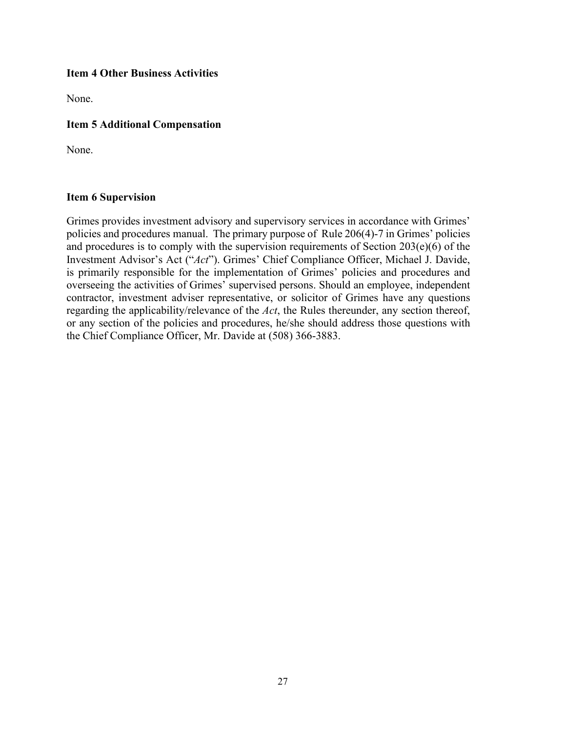### **Item 4 Other Business Activities**

None.

## **Item 5 Additional Compensation**

None.

#### **Item 6 Supervision**

Grimes provides investment advisory and supervisory services in accordance with Grimes' policies and procedures manual. The primary purpose of Rule 206(4)-7 in Grimes' policies and procedures is to comply with the supervision requirements of Section  $203(e)(6)$  of the Investment Advisor's Act ("*Act*"). Grimes' Chief Compliance Officer, Michael J. Davide, is primarily responsible for the implementation of Grimes' policies and procedures and overseeing the activities of Grimes' supervised persons. Should an employee, independent contractor, investment adviser representative, or solicitor of Grimes have any questions regarding the applicability/relevance of the *Act*, the Rules thereunder, any section thereof, or any section of the policies and procedures, he/she should address those questions with the Chief Compliance Officer, Mr. Davide at (508) 366-3883.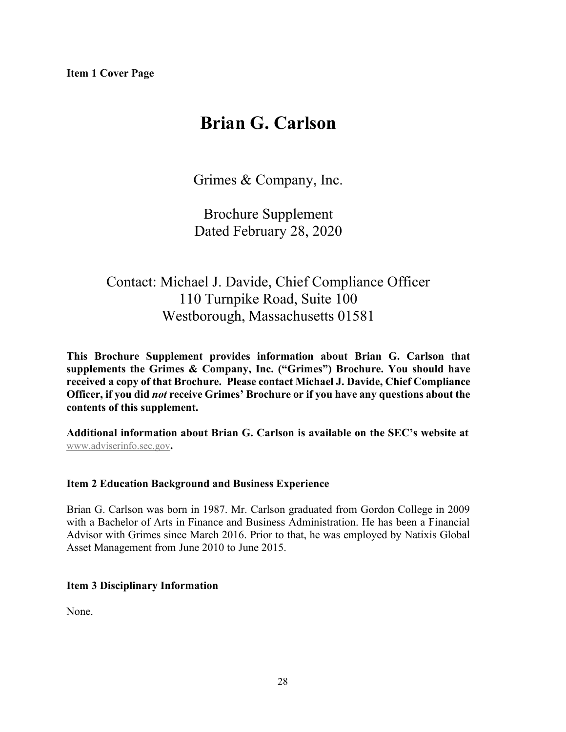# **Brian G. Carlson**

Grimes & Company, Inc.

Brochure Supplement Dated February 28, 2020

## Contact: Michael J. Davide, Chief Compliance Officer 110 Turnpike Road, Suite 100 Westborough, Massachusetts 01581

**This Brochure Supplement provides information about Brian G. Carlson that supplements the Grimes & Company, Inc. ("Grimes") Brochure. You should have received a copy of that Brochure. Please contact Michael J. Davide, Chief Compliance Officer, if you did** *not* **receive Grimes' Brochure or if you have any questions about the contents of this supplement.**

**Additional information about Brian G. Carlson is available on the SEC's website at** [www.adviserinfo.sec.gov](http://www.adviserinfo.sec.gov/)**.**

#### **Item 2 Education Background and Business Experience**

Brian G. Carlson was born in 1987. Mr. Carlson graduated from Gordon College in 2009 with a Bachelor of Arts in Finance and Business Administration. He has been a Financial Advisor with Grimes since March 2016. Prior to that, he was employed by Natixis Global Asset Management from June 2010 to June 2015.

#### **Item 3 Disciplinary Information**

None.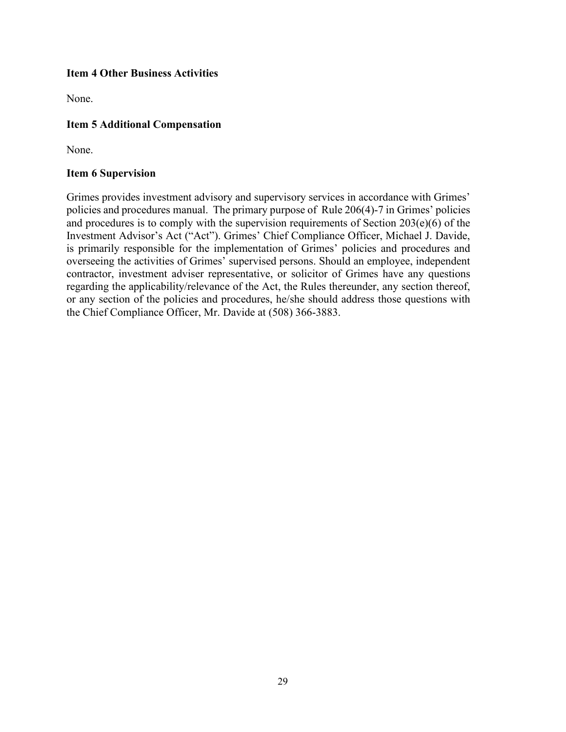### **Item 4 Other Business Activities**

None.

### **Item 5 Additional Compensation**

None.

#### **Item 6 Supervision**

Grimes provides investment advisory and supervisory services in accordance with Grimes' policies and procedures manual. The primary purpose of Rule 206(4)-7 in Grimes' policies and procedures is to comply with the supervision requirements of Section 203(e)(6) of the Investment Advisor's Act ("Act"). Grimes' Chief Compliance Officer, Michael J. Davide, is primarily responsible for the implementation of Grimes' policies and procedures and overseeing the activities of Grimes' supervised persons. Should an employee, independent contractor, investment adviser representative, or solicitor of Grimes have any questions regarding the applicability/relevance of the Act, the Rules thereunder, any section thereof, or any section of the policies and procedures, he/she should address those questions with the Chief Compliance Officer, Mr. Davide at (508) 366-3883.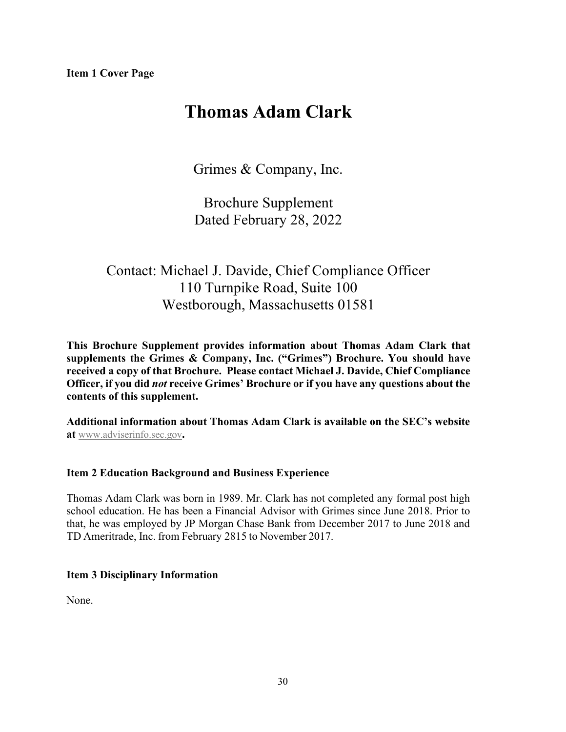# **Thomas Adam Clark**

Grimes & Company, Inc.

Brochure Supplement Dated February 28, 2022

## Contact: Michael J. Davide, Chief Compliance Officer 110 Turnpike Road, Suite 100 Westborough, Massachusetts 01581

**This Brochure Supplement provides information about Thomas Adam Clark that supplements the Grimes & Company, Inc. ("Grimes") Brochure. You should have received a copy of that Brochure. Please contact Michael J. Davide, Chief Compliance Officer, if you did** *not* **receive Grimes' Brochure or if you have any questions about the contents of this supplement.**

**Additional information about Thomas Adam Clark is available on the SEC's website at** [www.adviserinfo.sec.gov](http://www.adviserinfo.sec.gov/)**.**

## **Item 2 Education Background and Business Experience**

Thomas Adam Clark was born in 1989. Mr. Clark has not completed any formal post high school education. He has been a Financial Advisor with Grimes since June 2018. Prior to that, he was employed by JP Morgan Chase Bank from December 2017 to June 2018 and TD Ameritrade, Inc. from February 2815 to November 2017.

## **Item 3 Disciplinary Information**

None.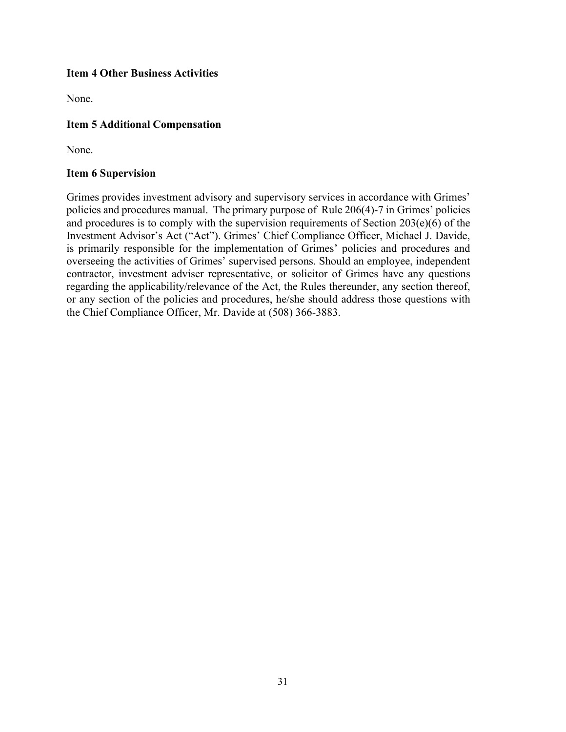### **Item 4 Other Business Activities**

None.

## **Item 5 Additional Compensation**

None.

#### **Item 6 Supervision**

Grimes provides investment advisory and supervisory services in accordance with Grimes' policies and procedures manual. The primary purpose of Rule 206(4)-7 in Grimes' policies and procedures is to comply with the supervision requirements of Section 203(e)(6) of the Investment Advisor's Act ("Act"). Grimes' Chief Compliance Officer, Michael J. Davide, is primarily responsible for the implementation of Grimes' policies and procedures and overseeing the activities of Grimes' supervised persons. Should an employee, independent contractor, investment adviser representative, or solicitor of Grimes have any questions regarding the applicability/relevance of the Act, the Rules thereunder, any section thereof, or any section of the policies and procedures, he/she should address those questions with the Chief Compliance Officer, Mr. Davide at (508) 366-3883.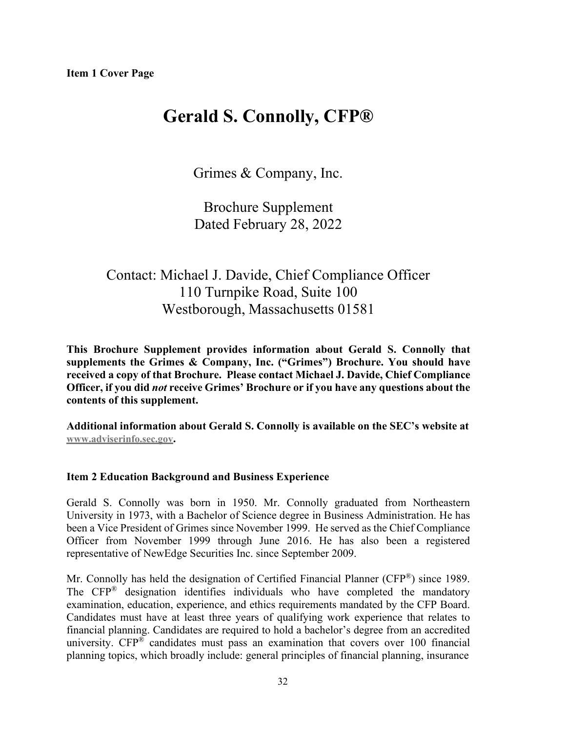# **Gerald S. Connolly, CFP®**

Grimes & Company, Inc.

Brochure Supplement Dated February 28, 2022

## Contact: Michael J. Davide, Chief Compliance Officer 110 Turnpike Road, Suite 100 Westborough, Massachusetts 01581

**This Brochure Supplement provides information about Gerald S. Connolly that supplements the Grimes & Company, Inc. ("Grimes") Brochure. You should have received a copy of that Brochure. Please contact Michael J. Davide, Chief Compliance Officer, if you did** *not* **receive Grimes' Brochure or if you have any questions about the contents of this supplement.**

**Additional information about Gerald S. Connolly is available on the SEC's website at [www.adviserinfo.sec.gov.](http://www.adviserinfo.sec.gov/)**

#### **Item 2 Education Background and Business Experience**

Gerald S. Connolly was born in 1950. Mr. Connolly graduated from Northeastern University in 1973, with a Bachelor of Science degree in Business Administration. He has been a Vice President of Grimes since November 1999. He served as the Chief Compliance Officer from November 1999 through June 2016. He has also been a registered representative of NewEdge Securities Inc. since September 2009.

Mr. Connolly has held the designation of Certified Financial Planner (CFP®) since 1989. The CFP® designation identifies individuals who have completed the mandatory examination, education, experience, and ethics requirements mandated by the CFP Board. Candidates must have at least three years of qualifying work experience that relates to financial planning. Candidates are required to hold a bachelor's degree from an accredited university.  $CFP^®$  candidates must pass an examination that covers over 100 financial planning topics, which broadly include: general principles of financial planning, insurance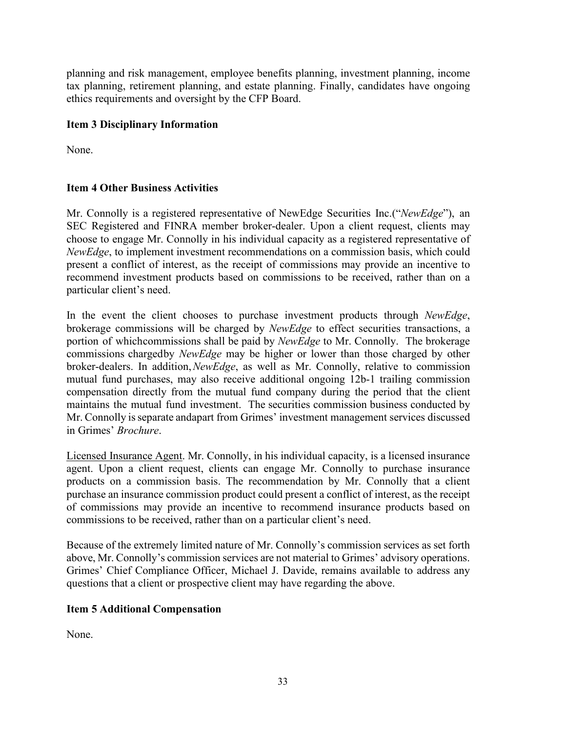planning and risk management, employee benefits planning, investment planning, income tax planning, retirement planning, and estate planning. Finally, candidates have ongoing ethics requirements and oversight by the CFP Board.

## **Item 3 Disciplinary Information**

None.

## **Item 4 Other Business Activities**

Mr. Connolly is a registered representative of NewEdge Securities Inc.("*NewEdge*"), an SEC Registered and FINRA member broker-dealer. Upon a client request, clients may choose to engage Mr. Connolly in his individual capacity as a registered representative of *NewEdge*, to implement investment recommendations on a commission basis, which could present a conflict of interest, as the receipt of commissions may provide an incentive to recommend investment products based on commissions to be received, rather than on a particular client's need.

In the event the client chooses to purchase investment products through *NewEdge*, brokerage commissions will be charged by *NewEdge* to effect securities transactions, a portion of whichcommissions shall be paid by *NewEdge* to Mr. Connolly. The brokerage commissions chargedby *NewEdge* may be higher or lower than those charged by other broker-dealers. In addition,*NewEdge*, as well as Mr. Connolly, relative to commission mutual fund purchases, may also receive additional ongoing 12b-1 trailing commission compensation directly from the mutual fund company during the period that the client maintains the mutual fund investment. The securities commission business conducted by Mr. Connolly is separate andapart from Grimes' investment management services discussed in Grimes' *Brochure*.

Licensed Insurance Agent. Mr. Connolly, in his individual capacity, is a licensed insurance agent. Upon a client request, clients can engage Mr. Connolly to purchase insurance products on a commission basis. The recommendation by Mr. Connolly that a client purchase an insurance commission product could present a conflict of interest, as the receipt of commissions may provide an incentive to recommend insurance products based on commissions to be received, rather than on a particular client's need.

Because of the extremely limited nature of Mr. Connolly's commission services as set forth above, Mr. Connolly's commission services are not material to Grimes' advisory operations. Grimes' Chief Compliance Officer, Michael J. Davide, remains available to address any questions that a client or prospective client may have regarding the above.

## **Item 5 Additional Compensation**

None.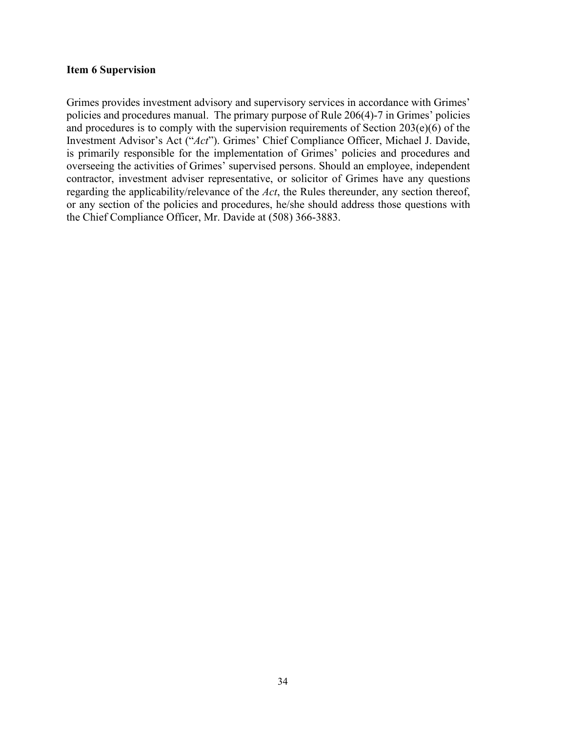#### **Item 6 Supervision**

Grimes provides investment advisory and supervisory services in accordance with Grimes' policies and procedures manual. The primary purpose of Rule 206(4)-7 in Grimes' policies and procedures is to comply with the supervision requirements of Section 203(e)(6) of the Investment Advisor's Act ("*Act*"). Grimes' Chief Compliance Officer, Michael J. Davide, is primarily responsible for the implementation of Grimes' policies and procedures and overseeing the activities of Grimes' supervised persons. Should an employee, independent contractor, investment adviser representative, or solicitor of Grimes have any questions regarding the applicability/relevance of the *Act*, the Rules thereunder, any section thereof, or any section of the policies and procedures, he/she should address those questions with the Chief Compliance Officer, Mr. Davide at (508) 366-3883.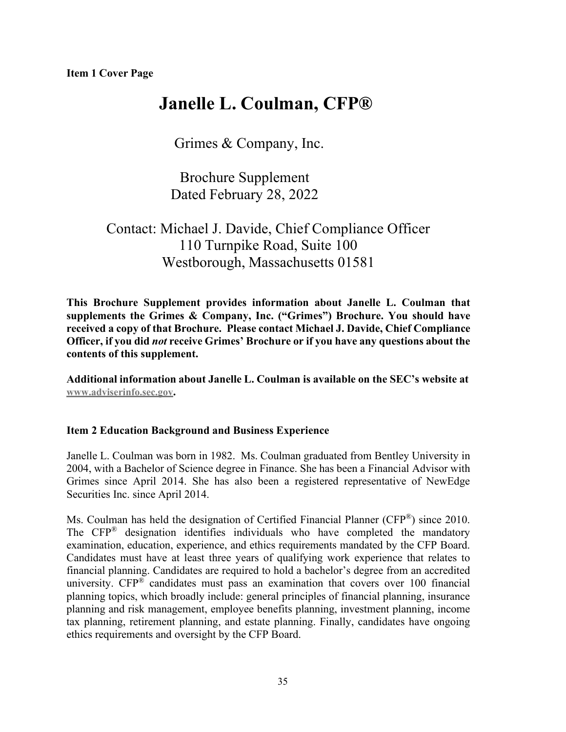## **Janelle L. Coulman, CFP®**

Grimes & Company, Inc.

Brochure Supplement Dated February 28, 2022

## Contact: Michael J. Davide, Chief Compliance Officer 110 Turnpike Road, Suite 100 Westborough, Massachusetts 01581

**This Brochure Supplement provides information about Janelle L. Coulman that supplements the Grimes & Company, Inc. ("Grimes") Brochure. You should have received a copy of that Brochure. Please contact Michael J. Davide, Chief Compliance Officer, if you did** *not* **receive Grimes' Brochure or if you have any questions about the contents of this supplement.**

**Additional information about Janelle L. Coulman is available on the SEC's website at [www.adviserinfo.sec.gov.](http://www.adviserinfo.sec.gov/)**

## **Item 2 Education Background and Business Experience**

Janelle L. Coulman was born in 1982. Ms. Coulman graduated from Bentley University in 2004, with a Bachelor of Science degree in Finance. She has been a Financial Advisor with Grimes since April 2014. She has also been a registered representative of NewEdge Securities Inc. since April 2014.

Ms. Coulman has held the designation of Certified Financial Planner (CFP®) since 2010. The CFP® designation identifies individuals who have completed the mandatory examination, education, experience, and ethics requirements mandated by the CFP Board. Candidates must have at least three years of qualifying work experience that relates to financial planning. Candidates are required to hold a bachelor's degree from an accredited university.  $CFP^{\circledast}$  candidates must pass an examination that covers over 100 financial planning topics, which broadly include: general principles of financial planning, insurance planning and risk management, employee benefits planning, investment planning, income tax planning, retirement planning, and estate planning. Finally, candidates have ongoing ethics requirements and oversight by the CFP Board.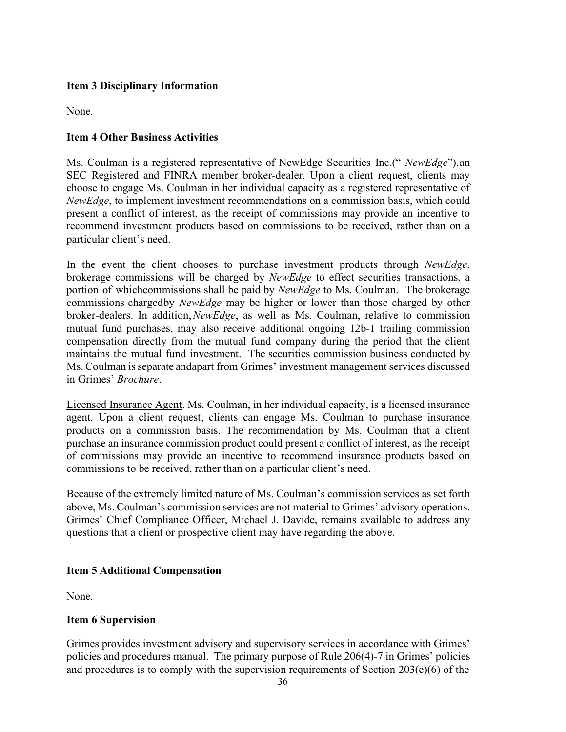## **Item 3 Disciplinary Information**

None.

## **Item 4 Other Business Activities**

Ms. Coulman is a registered representative of NewEdge Securities Inc.(" *NewEdge*"),an SEC Registered and FINRA member broker-dealer. Upon a client request, clients may choose to engage Ms. Coulman in her individual capacity as a registered representative of *NewEdge*, to implement investment recommendations on a commission basis, which could present a conflict of interest, as the receipt of commissions may provide an incentive to recommend investment products based on commissions to be received, rather than on a particular client's need.

In the event the client chooses to purchase investment products through *NewEdge*, brokerage commissions will be charged by *NewEdge* to effect securities transactions, a portion of whichcommissions shall be paid by *NewEdge* to Ms. Coulman. The brokerage commissions chargedby *NewEdge* may be higher or lower than those charged by other broker-dealers. In addition,*NewEdge*, as well as Ms. Coulman, relative to commission mutual fund purchases, may also receive additional ongoing 12b-1 trailing commission compensation directly from the mutual fund company during the period that the client maintains the mutual fund investment. The securities commission business conducted by Ms. Coulman is separate andapart from Grimes' investment management services discussed in Grimes' *Brochure*.

Licensed Insurance Agent. Ms. Coulman, in her individual capacity, is a licensed insurance agent. Upon a client request, clients can engage Ms. Coulman to purchase insurance products on a commission basis. The recommendation by Ms. Coulman that a client purchase an insurance commission product could present a conflict of interest, as the receipt of commissions may provide an incentive to recommend insurance products based on commissions to be received, rather than on a particular client's need.

Because of the extremely limited nature of Ms. Coulman's commission services as set forth above, Ms. Coulman's commission services are not material to Grimes' advisory operations. Grimes' Chief Compliance Officer, Michael J. Davide, remains available to address any questions that a client or prospective client may have regarding the above.

#### **Item 5 Additional Compensation**

None.

#### **Item 6 Supervision**

Grimes provides investment advisory and supervisory services in accordance with Grimes' policies and procedures manual. The primary purpose of Rule 206(4)-7 in Grimes' policies and procedures is to comply with the supervision requirements of Section 203(e)(6) of the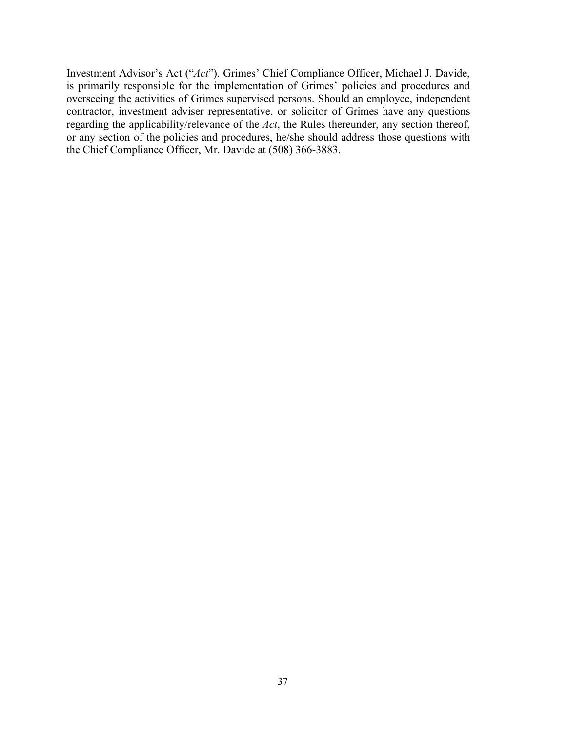Investment Advisor's Act ("*Act*"). Grimes' Chief Compliance Officer, Michael J. Davide, is primarily responsible for the implementation of Grimes' policies and procedures and overseeing the activities of Grimes supervised persons. Should an employee, independent contractor, investment adviser representative, or solicitor of Grimes have any questions regarding the applicability/relevance of the *Act*, the Rules thereunder, any section thereof, or any section of the policies and procedures, he/she should address those questions with the Chief Compliance Officer, Mr. Davide at (508) 366-3883.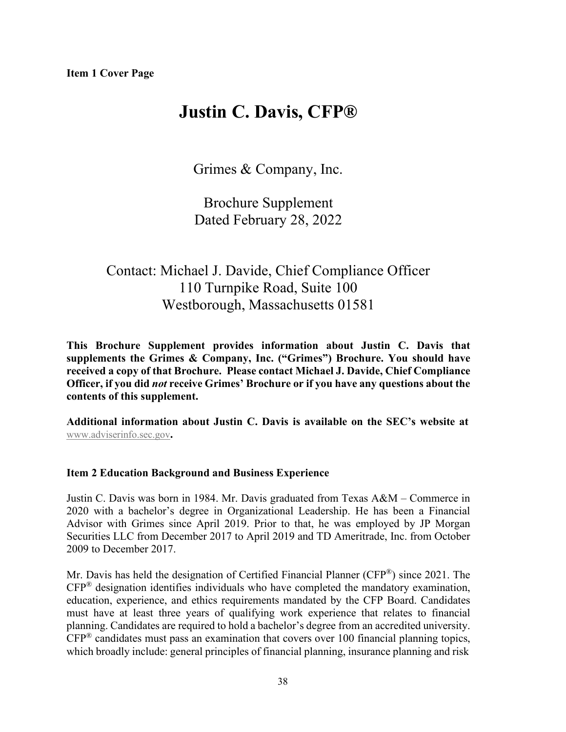# **Justin C. Davis, CFP®**

Grimes & Company, Inc.

Brochure Supplement Dated February 28, 2022

# Contact: Michael J. Davide, Chief Compliance Officer 110 Turnpike Road, Suite 100 Westborough, Massachusetts 01581

**This Brochure Supplement provides information about Justin C. Davis that supplements the Grimes & Company, Inc. ("Grimes") Brochure. You should have received a copy of that Brochure. Please contact Michael J. Davide, Chief Compliance Officer, if you did** *not* **receive Grimes' Brochure or if you have any questions about the contents of this supplement.**

**Additional information about Justin C. Davis is available on the SEC's website at** [www.adviserinfo.sec.gov](http://www.adviserinfo.sec.gov/)**.**

# **Item 2 Education Background and Business Experience**

Justin C. Davis was born in 1984. Mr. Davis graduated from Texas A&M – Commerce in 2020 with a bachelor's degree in Organizational Leadership. He has been a Financial Advisor with Grimes since April 2019. Prior to that, he was employed by JP Morgan Securities LLC from December 2017 to April 2019 and TD Ameritrade, Inc. from October 2009 to December 2017.

Mr. Davis has held the designation of Certified Financial Planner (CFP®) since 2021. The  $CFP^®$  designation identifies individuals who have completed the mandatory examination, education, experience, and ethics requirements mandated by the CFP Board. Candidates must have at least three years of qualifying work experience that relates to financial planning. Candidates are required to hold a bachelor's degree from an accredited university.  $CFP^®$  candidates must pass an examination that covers over 100 financial planning topics, which broadly include: general principles of financial planning, insurance planning and risk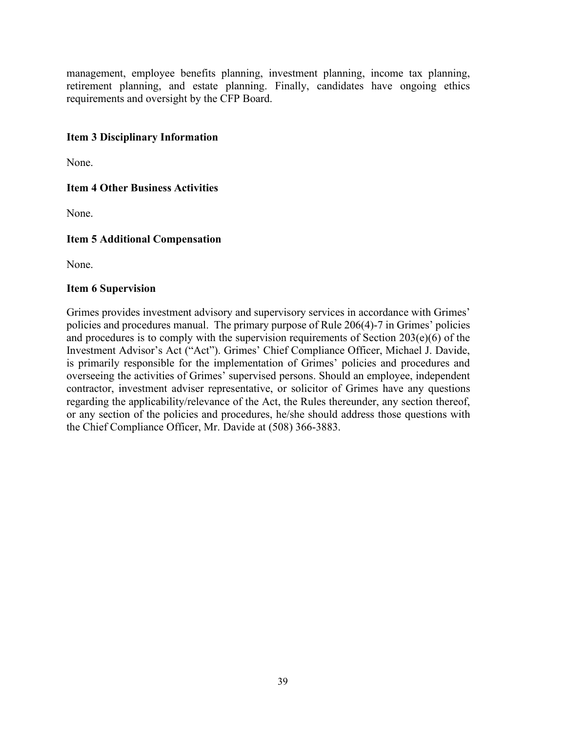management, employee benefits planning, investment planning, income tax planning, retirement planning, and estate planning. Finally, candidates have ongoing ethics requirements and oversight by the CFP Board.

# **Item 3 Disciplinary Information**

None.

# **Item 4 Other Business Activities**

None.

# **Item 5 Additional Compensation**

None.

## **Item 6 Supervision**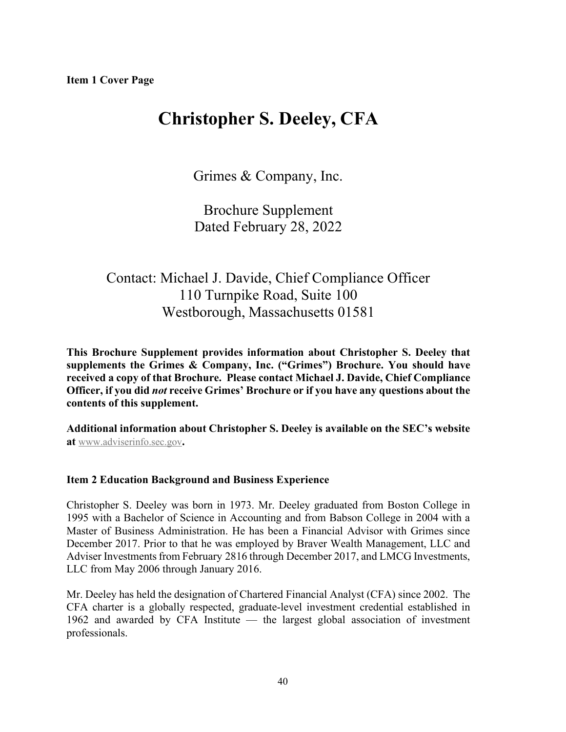# **Christopher S. Deeley, CFA**

Grimes & Company, Inc.

Brochure Supplement Dated February 28, 2022

# Contact: Michael J. Davide, Chief Compliance Officer 110 Turnpike Road, Suite 100 Westborough, Massachusetts 01581

**This Brochure Supplement provides information about Christopher S. Deeley that supplements the Grimes & Company, Inc. ("Grimes") Brochure. You should have received a copy of that Brochure. Please contact Michael J. Davide, Chief Compliance Officer, if you did** *not* **receive Grimes' Brochure or if you have any questions about the contents of this supplement.**

**Additional information about Christopher S. Deeley is available on the SEC's website at** [www.adviserinfo.sec.gov](http://www.adviserinfo.sec.gov/)**.**

## **Item 2 Education Background and Business Experience**

Christopher S. Deeley was born in 1973. Mr. Deeley graduated from Boston College in 1995 with a Bachelor of Science in Accounting and from Babson College in 2004 with a Master of Business Administration. He has been a Financial Advisor with Grimes since December 2017. Prior to that he was employed by Braver Wealth Management, LLC and Adviser Investmentsfrom February 2816 through December 2017, and LMCG Investments, LLC from May 2006 through January 2016.

Mr. Deeley has held the designation of Chartered Financial Analyst (CFA) since 2002. The CFA charter is a globally respected, graduate-level investment credential established in 1962 and awarded by CFA Institute — the largest global association of investment professionals.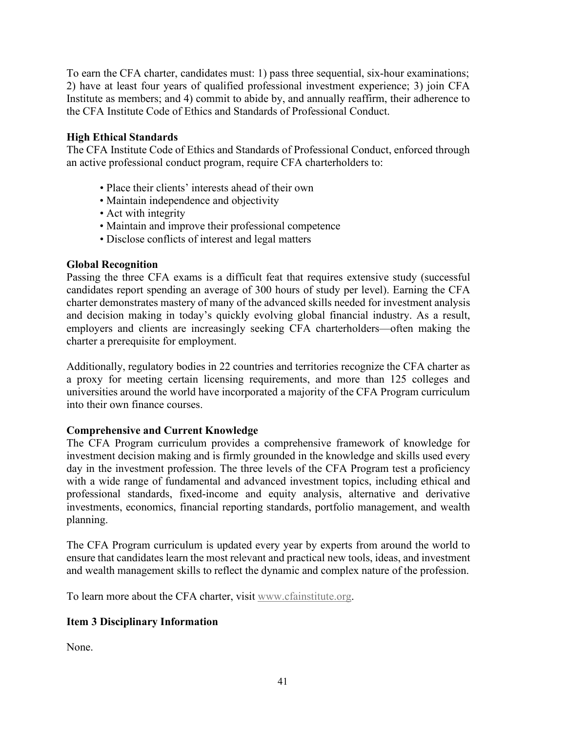To earn the CFA charter, candidates must: 1) pass three sequential, six-hour examinations; 2) have at least four years of qualified professional investment experience; 3) join CFA Institute as members; and 4) commit to abide by, and annually reaffirm, their adherence to the CFA Institute Code of Ethics and Standards of Professional Conduct.

# **High Ethical Standards**

The CFA Institute Code of Ethics and Standards of Professional Conduct, enforced through an active professional conduct program, require CFA charterholders to:

- Place their clients' interests ahead of their own
- Maintain independence and objectivity
- Act with integrity
- Maintain and improve their professional competence
- Disclose conflicts of interest and legal matters

# **Global Recognition**

Passing the three CFA exams is a difficult feat that requires extensive study (successful candidates report spending an average of 300 hours of study per level). Earning the CFA charter demonstrates mastery of many of the advanced skills needed for investment analysis and decision making in today's quickly evolving global financial industry. As a result, employers and clients are increasingly seeking CFA charterholders—often making the charter a prerequisite for employment.

Additionally, regulatory bodies in 22 countries and territories recognize the CFA charter as a proxy for meeting certain licensing requirements, and more than 125 colleges and universities around the world have incorporated a majority of the CFA Program curriculum into their own finance courses.

# **Comprehensive and Current Knowledge**

The CFA Program curriculum provides a comprehensive framework of knowledge for investment decision making and is firmly grounded in the knowledge and skills used every day in the investment profession. The three levels of the CFA Program test a proficiency with a wide range of fundamental and advanced investment topics, including ethical and professional standards, fixed-income and equity analysis, alternative and derivative investments, economics, financial reporting standards, portfolio management, and wealth planning.

The CFA Program curriculum is updated every year by experts from around the world to ensure that candidates learn the most relevant and practical new tools, ideas, and investment and wealth management skills to reflect the dynamic and complex nature of the profession.

To learn more about the CFA charter, visit [www.cfainstitute.org.](http://www.cfainstitute.org/)

# **Item 3 Disciplinary Information**

None.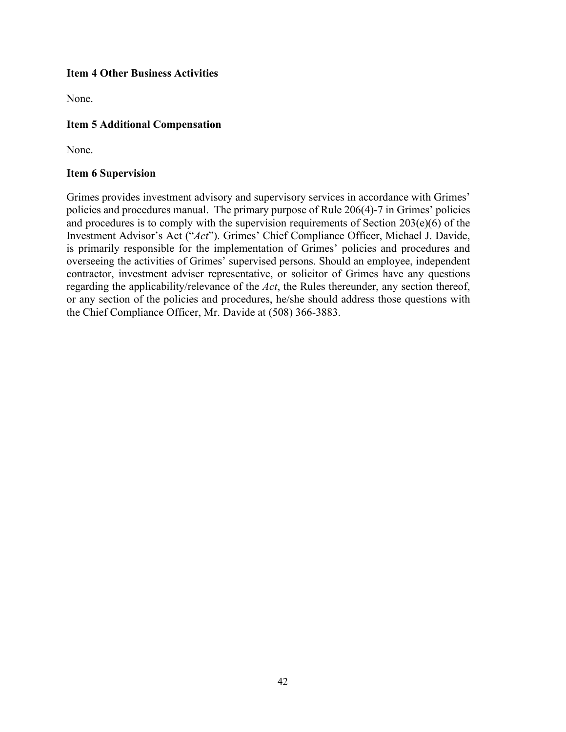# **Item 4 Other Business Activities**

None.

# **Item 5 Additional Compensation**

None.

## **Item 6 Supervision**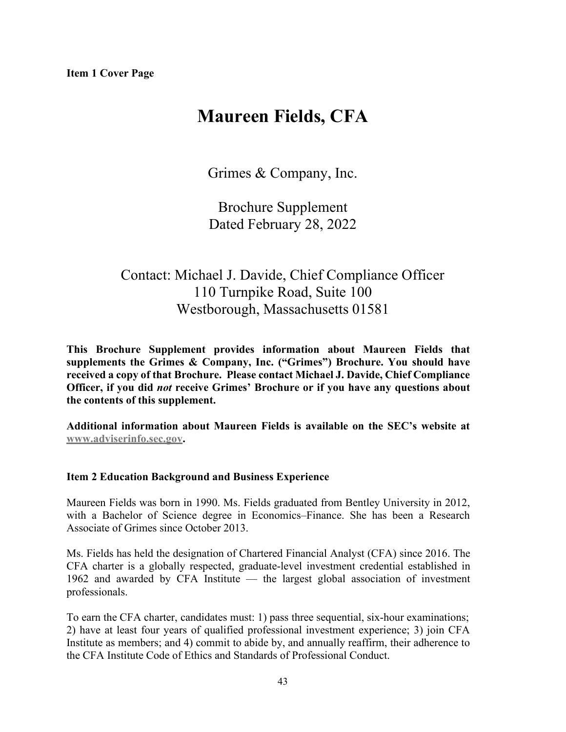# **Maureen Fields, CFA**

Grimes & Company, Inc.

Brochure Supplement Dated February 28, 2022

# Contact: Michael J. Davide, Chief Compliance Officer 110 Turnpike Road, Suite 100 Westborough, Massachusetts 01581

**This Brochure Supplement provides information about Maureen Fields that supplements the Grimes & Company, Inc. ("Grimes") Brochure. You should have received a copy of that Brochure. Please contact Michael J. Davide, Chief Compliance Officer, if you did** *not* **receive Grimes' Brochure or if you have any questions about the contents of this supplement.**

**Additional information about Maureen Fields is available on the SEC's website at [www.adviserinfo.sec.gov.](http://www.adviserinfo.sec.gov/)**

# **Item 2 Education Background and Business Experience**

Maureen Fields was born in 1990. Ms. Fields graduated from Bentley University in 2012, with a Bachelor of Science degree in Economics–Finance. She has been a Research Associate of Grimes since October 2013.

Ms. Fields has held the designation of Chartered Financial Analyst (CFA) since 2016. The CFA charter is a globally respected, graduate-level investment credential established in 1962 and awarded by CFA Institute — the largest global association of investment professionals.

To earn the CFA charter, candidates must: 1) pass three sequential, six-hour examinations; 2) have at least four years of qualified professional investment experience; 3) join CFA Institute as members; and 4) commit to abide by, and annually reaffirm, their adherence to the CFA Institute Code of Ethics and Standards of Professional Conduct.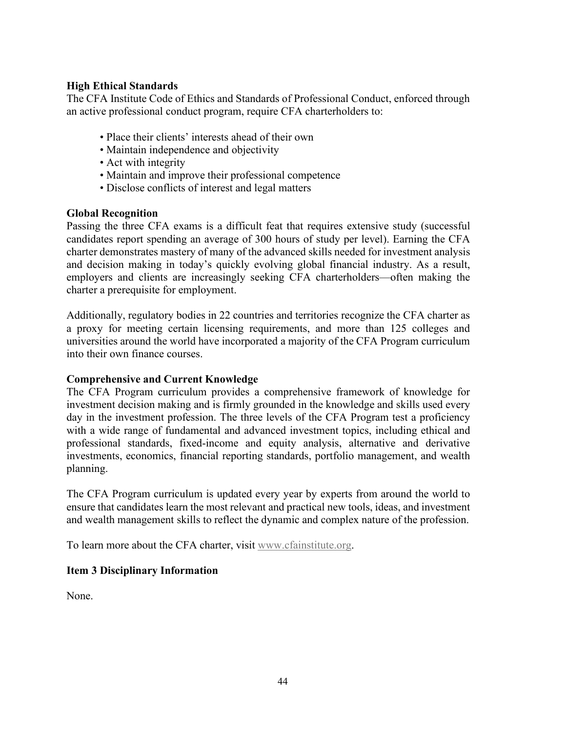# **High Ethical Standards**

The CFA Institute Code of Ethics and Standards of Professional Conduct, enforced through an active professional conduct program, require CFA charterholders to:

- Place their clients' interests ahead of their own
- Maintain independence and objectivity
- Act with integrity
- Maintain and improve their professional competence
- Disclose conflicts of interest and legal matters

## **Global Recognition**

Passing the three CFA exams is a difficult feat that requires extensive study (successful candidates report spending an average of 300 hours of study per level). Earning the CFA charter demonstrates mastery of many of the advanced skills needed for investment analysis and decision making in today's quickly evolving global financial industry. As a result, employers and clients are increasingly seeking CFA charterholders—often making the charter a prerequisite for employment.

Additionally, regulatory bodies in 22 countries and territories recognize the CFA charter as a proxy for meeting certain licensing requirements, and more than 125 colleges and universities around the world have incorporated a majority of the CFA Program curriculum into their own finance courses.

## **Comprehensive and Current Knowledge**

The CFA Program curriculum provides a comprehensive framework of knowledge for investment decision making and is firmly grounded in the knowledge and skills used every day in the investment profession. The three levels of the CFA Program test a proficiency with a wide range of fundamental and advanced investment topics, including ethical and professional standards, fixed-income and equity analysis, alternative and derivative investments, economics, financial reporting standards, portfolio management, and wealth planning.

The CFA Program curriculum is updated every year by experts from around the world to ensure that candidates learn the most relevant and practical new tools, ideas, and investment and wealth management skills to reflect the dynamic and complex nature of the profession.

To learn more about the CFA charter, visit [www.cfainstitute.org.](http://www.cfainstitute.org/)

# **Item 3 Disciplinary Information**

None.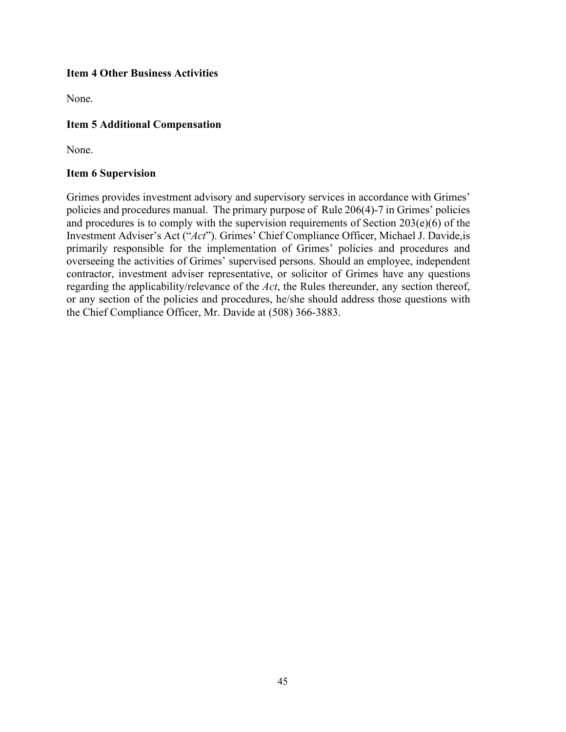# **Item 4 Other Business Activities**

None.

# **Item 5 Additional Compensation**

None.

## **Item 6 Supervision**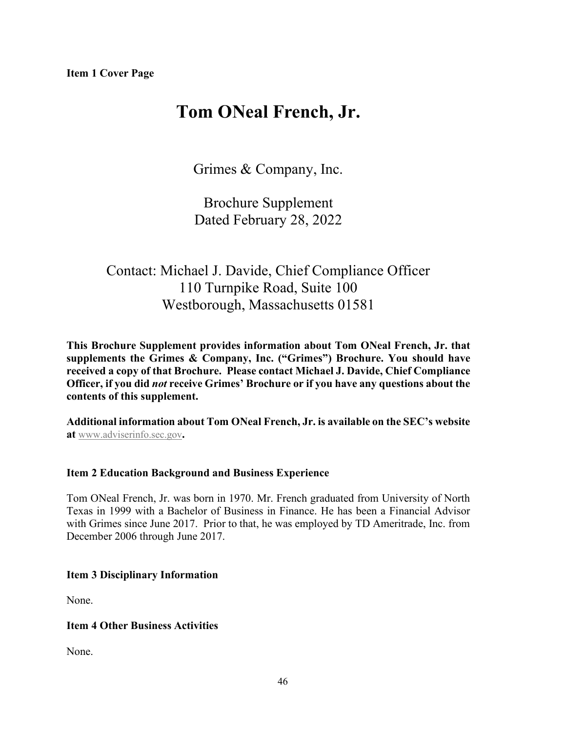# **Tom ONeal French, Jr.**

Grimes & Company, Inc.

Brochure Supplement Dated February 28, 2022

# Contact: Michael J. Davide, Chief Compliance Officer 110 Turnpike Road, Suite 100 Westborough, Massachusetts 01581

**This Brochure Supplement provides information about Tom ONeal French, Jr. that supplements the Grimes & Company, Inc. ("Grimes") Brochure. You should have received a copy of that Brochure. Please contact Michael J. Davide, Chief Compliance Officer, if you did** *not* **receive Grimes' Brochure or if you have any questions about the contents of this supplement.**

**Additional information about Tom ONeal French, Jr. is available on the SEC's website at** [www.adviserinfo.sec.gov](http://www.adviserinfo.sec.gov/)**.**

# **Item 2 Education Background and Business Experience**

Tom ONeal French, Jr. was born in 1970. Mr. French graduated from University of North Texas in 1999 with a Bachelor of Business in Finance. He has been a Financial Advisor with Grimes since June 2017. Prior to that, he was employed by TD Ameritrade, Inc. from December 2006 through June 2017.

# **Item 3 Disciplinary Information**

None.

# **Item 4 Other Business Activities**

None.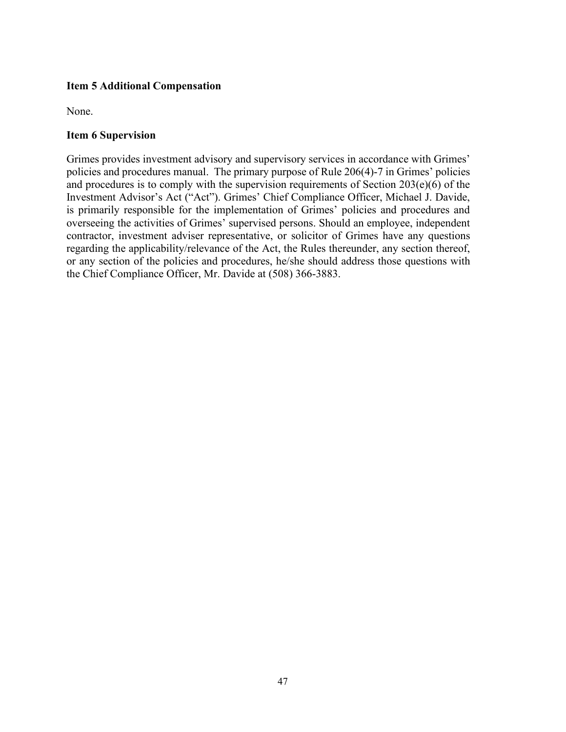# **Item 5 Additional Compensation**

None.

## **Item 6 Supervision**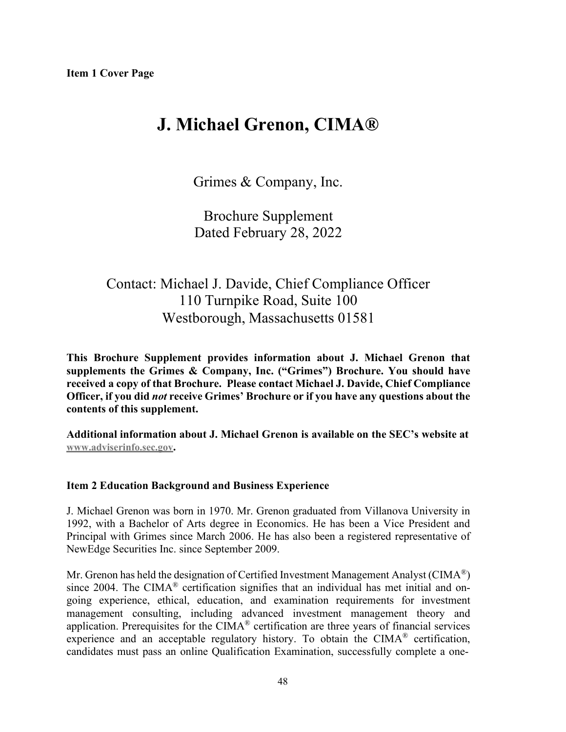# **J. Michael Grenon, CIMA®**

Grimes & Company, Inc.

Brochure Supplement Dated February 28, 2022

# Contact: Michael J. Davide, Chief Compliance Officer 110 Turnpike Road, Suite 100 Westborough, Massachusetts 01581

**This Brochure Supplement provides information about J. Michael Grenon that supplements the Grimes & Company, Inc. ("Grimes") Brochure. You should have received a copy of that Brochure. Please contact Michael J. Davide, Chief Compliance Officer, if you did** *not* **receive Grimes' Brochure or if you have any questions about the contents of this supplement.**

**Additional information about J. Michael Grenon is available on the SEC's website at [www.adviserinfo.sec.gov.](http://www.adviserinfo.sec.gov/)**

# **Item 2 Education Background and Business Experience**

J. Michael Grenon was born in 1970. Mr. Grenon graduated from Villanova University in 1992, with a Bachelor of Arts degree in Economics. He has been a Vice President and Principal with Grimes since March 2006. He has also been a registered representative of NewEdge Securities Inc. since September 2009.

Mr. Grenon has held the designation of Certified Investment Management Analyst (CIMA<sup>®</sup>) since 2004. The CIMA® certification signifies that an individual has met initial and ongoing experience, ethical, education, and examination requirements for investment management consulting, including advanced investment management theory and application. Prerequisites for the CIMA® certification are three years of financial services experience and an acceptable regulatory history. To obtain the CIMA® certification, candidates must pass an online Qualification Examination, successfully complete a one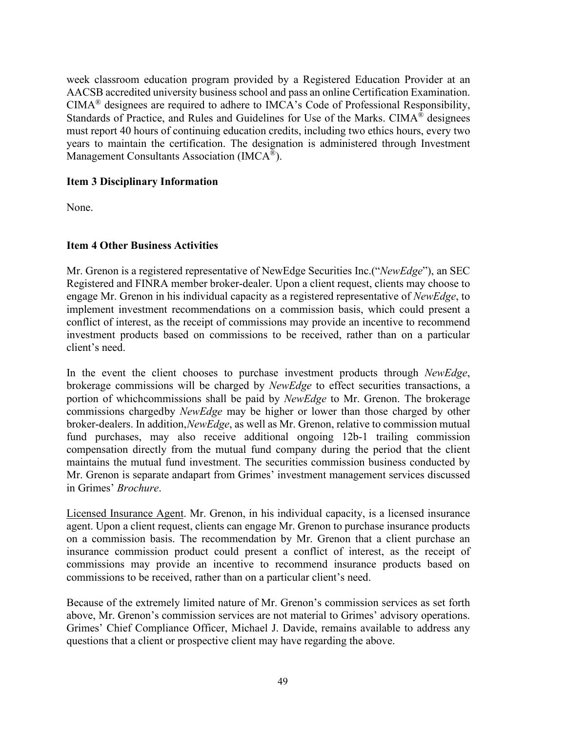week classroom education program provided by a Registered Education Provider at an AACSB accredited university business school and pass an online Certification Examination. CIMA® designees are required to adhere to IMCA's Code of Professional Responsibility, Standards of Practice, and Rules and Guidelines for Use of the Marks. CIMA<sup>®</sup> designees must report 40 hours of continuing education credits, including two ethics hours, every two years to maintain the certification. The designation is administered through Investment Management Consultants Association (IMCA®).

# **Item 3 Disciplinary Information**

None.

# **Item 4 Other Business Activities**

Mr. Grenon is a registered representative of NewEdge Securities Inc.("*NewEdge*"), an SEC Registered and FINRA member broker-dealer. Upon a client request, clients may choose to engage Mr. Grenon in his individual capacity as a registered representative of *NewEdge*, to implement investment recommendations on a commission basis, which could present a conflict of interest, as the receipt of commissions may provide an incentive to recommend investment products based on commissions to be received, rather than on a particular client's need.

In the event the client chooses to purchase investment products through *NewEdge*, brokerage commissions will be charged by *NewEdge* to effect securities transactions, a portion of whichcommissions shall be paid by *NewEdge* to Mr. Grenon. The brokerage commissions chargedby *NewEdge* may be higher or lower than those charged by other broker-dealers. In addition, *NewEdge*, as well as Mr. Grenon, relative to commission mutual fund purchases, may also receive additional ongoing 12b-1 trailing commission compensation directly from the mutual fund company during the period that the client maintains the mutual fund investment. The securities commission business conducted by Mr. Grenon is separate andapart from Grimes' investment management services discussed in Grimes' *Brochure*.

Licensed Insurance Agent. Mr. Grenon, in his individual capacity, is a licensed insurance agent. Upon a client request, clients can engage Mr. Grenon to purchase insurance products on a commission basis. The recommendation by Mr. Grenon that a client purchase an insurance commission product could present a conflict of interest, as the receipt of commissions may provide an incentive to recommend insurance products based on commissions to be received, rather than on a particular client's need.

Because of the extremely limited nature of Mr. Grenon's commission services as set forth above, Mr. Grenon's commission services are not material to Grimes' advisory operations. Grimes' Chief Compliance Officer, Michael J. Davide, remains available to address any questions that a client or prospective client may have regarding the above.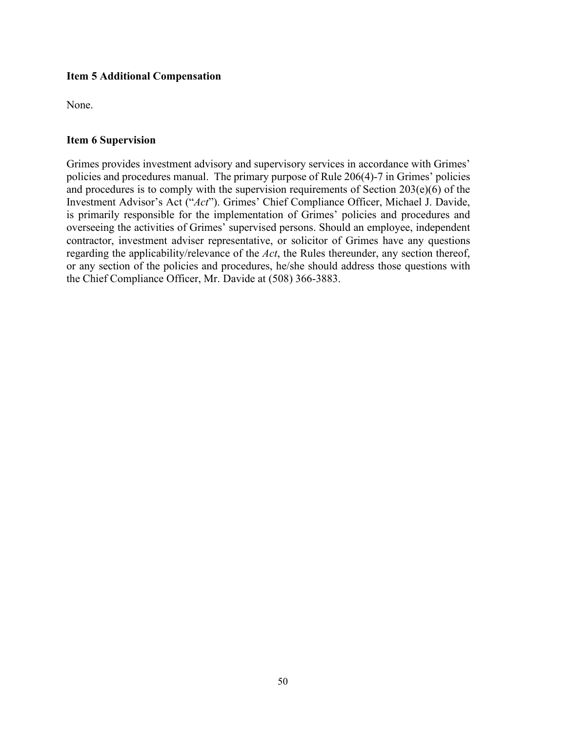# **Item 5 Additional Compensation**

None.

## **Item 6 Supervision**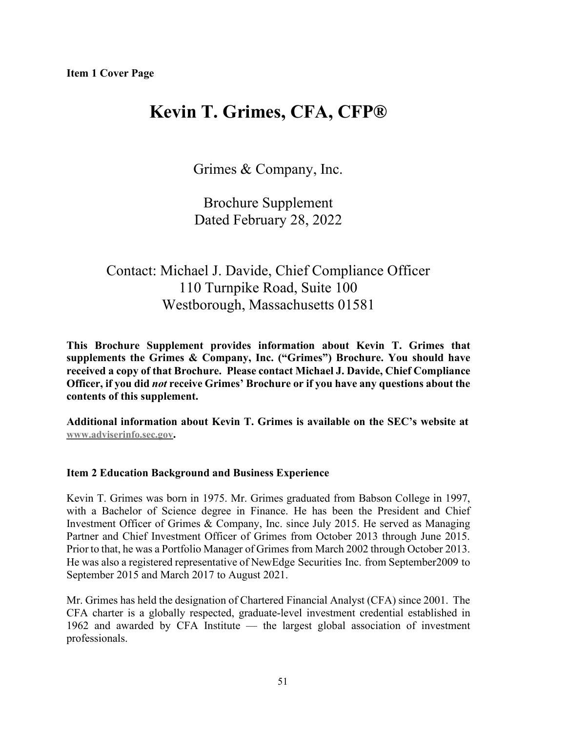# **Kevin T. Grimes, CFA, CFP®**

Grimes & Company, Inc.

Brochure Supplement Dated February 28, 2022

# Contact: Michael J. Davide, Chief Compliance Officer 110 Turnpike Road, Suite 100 Westborough, Massachusetts 01581

**This Brochure Supplement provides information about Kevin T. Grimes that supplements the Grimes & Company, Inc. ("Grimes") Brochure. You should have received a copy of that Brochure. Please contact Michael J. Davide, Chief Compliance Officer, if you did** *not* **receive Grimes' Brochure or if you have any questions about the contents of this supplement.**

**Additional information about Kevin T. Grimes is available on the SEC's website at [www.adviserinfo.sec.gov.](http://www.adviserinfo.sec.gov/)**

# **Item 2 Education Background and Business Experience**

Kevin T. Grimes was born in 1975. Mr. Grimes graduated from Babson College in 1997, with a Bachelor of Science degree in Finance. He has been the President and Chief Investment Officer of Grimes & Company, Inc. since July 2015. He served as Managing Partner and Chief Investment Officer of Grimes from October 2013 through June 2015. Prior to that, he was a Portfolio Manager of Grimes from March 2002 through October 2013. He was also a registered representative of NewEdge Securities Inc. from September2009 to September 2015 and March 2017 to August 2021.

Mr. Grimes has held the designation of Chartered Financial Analyst (CFA) since 2001. The CFA charter is a globally respected, graduate-level investment credential established in 1962 and awarded by CFA Institute — the largest global association of investment professionals.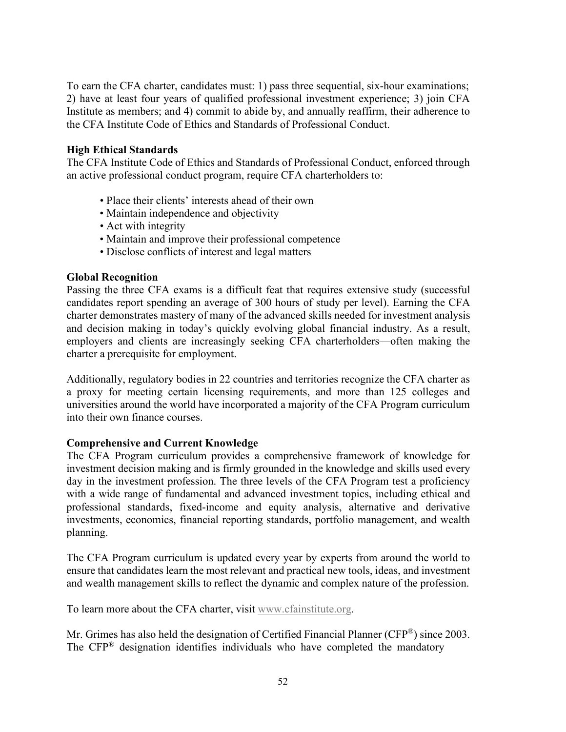To earn the CFA charter, candidates must: 1) pass three sequential, six-hour examinations; 2) have at least four years of qualified professional investment experience; 3) join CFA Institute as members; and 4) commit to abide by, and annually reaffirm, their adherence to the CFA Institute Code of Ethics and Standards of Professional Conduct.

# **High Ethical Standards**

The CFA Institute Code of Ethics and Standards of Professional Conduct, enforced through an active professional conduct program, require CFA charterholders to:

- Place their clients' interests ahead of their own
- Maintain independence and objectivity
- Act with integrity
- Maintain and improve their professional competence
- Disclose conflicts of interest and legal matters

#### **Global Recognition**

Passing the three CFA exams is a difficult feat that requires extensive study (successful candidates report spending an average of 300 hours of study per level). Earning the CFA charter demonstrates mastery of many of the advanced skills needed for investment analysis and decision making in today's quickly evolving global financial industry. As a result, employers and clients are increasingly seeking CFA charterholders—often making the charter a prerequisite for employment.

Additionally, regulatory bodies in 22 countries and territories recognize the CFA charter as a proxy for meeting certain licensing requirements, and more than 125 colleges and universities around the world have incorporated a majority of the CFA Program curriculum into their own finance courses.

## **Comprehensive and Current Knowledge**

The CFA Program curriculum provides a comprehensive framework of knowledge for investment decision making and is firmly grounded in the knowledge and skills used every day in the investment profession. The three levels of the CFA Program test a proficiency with a wide range of fundamental and advanced investment topics, including ethical and professional standards, fixed-income and equity analysis, alternative and derivative investments, economics, financial reporting standards, portfolio management, and wealth planning.

The CFA Program curriculum is updated every year by experts from around the world to ensure that candidates learn the most relevant and practical new tools, ideas, and investment and wealth management skills to reflect the dynamic and complex nature of the profession.

To learn more about the CFA charter, visit [www.cfainstitute.org.](http://www.cfainstitute.org/)

Mr. Grimes has also held the designation of Certified Financial Planner (CFP®) since 2003. The CFP® designation identifies individuals who have completed the mandatory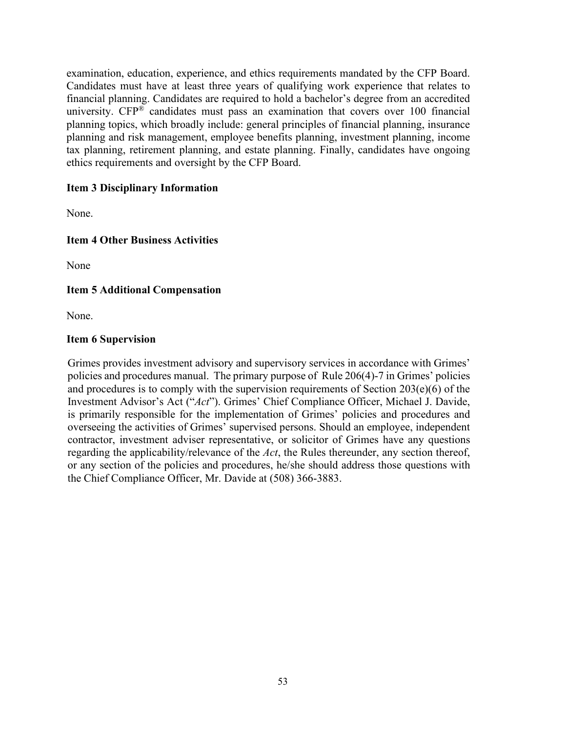examination, education, experience, and ethics requirements mandated by the CFP Board. Candidates must have at least three years of qualifying work experience that relates to financial planning. Candidates are required to hold a bachelor's degree from an accredited university.  $CFP^®$  candidates must pass an examination that covers over 100 financial planning topics, which broadly include: general principles of financial planning, insurance planning and risk management, employee benefits planning, investment planning, income tax planning, retirement planning, and estate planning. Finally, candidates have ongoing ethics requirements and oversight by the CFP Board.

# **Item 3 Disciplinary Information**

None.

# **Item 4 Other Business Activities**

None

# **Item 5 Additional Compensation**

None.

## **Item 6 Supervision**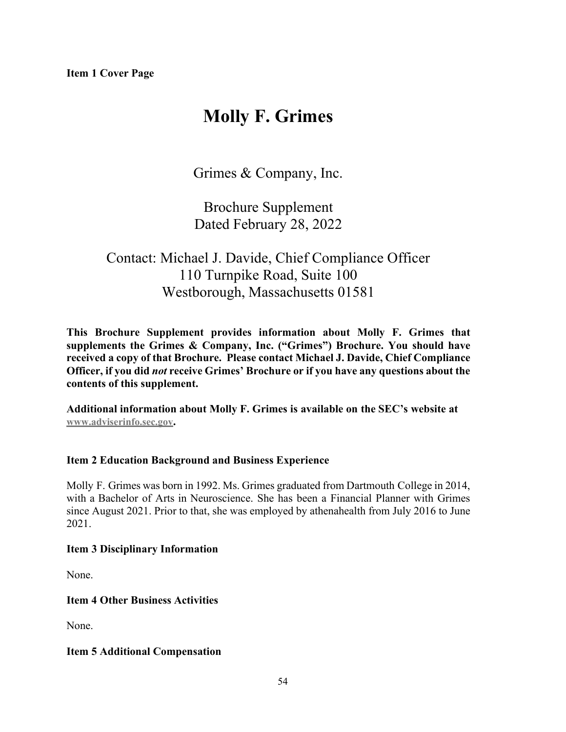# **Molly F. Grimes**

Grimes & Company, Inc.

Brochure Supplement Dated February 28, 2022

# Contact: Michael J. Davide, Chief Compliance Officer 110 Turnpike Road, Suite 100 Westborough, Massachusetts 01581

**This Brochure Supplement provides information about Molly F. Grimes that supplements the Grimes & Company, Inc. ("Grimes") Brochure. You should have received a copy of that Brochure. Please contact Michael J. Davide, Chief Compliance Officer, if you did** *not* **receive Grimes' Brochure or if you have any questions about the contents of this supplement.**

**Additional information about Molly F. Grimes is available on the SEC's website at [www.adviserinfo.sec.gov.](http://www.adviserinfo.sec.gov/)**

# **Item 2 Education Background and Business Experience**

Molly F. Grimes was born in 1992. Ms. Grimes graduated from Dartmouth College in 2014, with a Bachelor of Arts in Neuroscience. She has been a Financial Planner with Grimes since August 2021. Prior to that, she was employed by athenahealth from July 2016 to June 2021.

## **Item 3 Disciplinary Information**

None.

**Item 4 Other Business Activities**

None.

## **Item 5 Additional Compensation**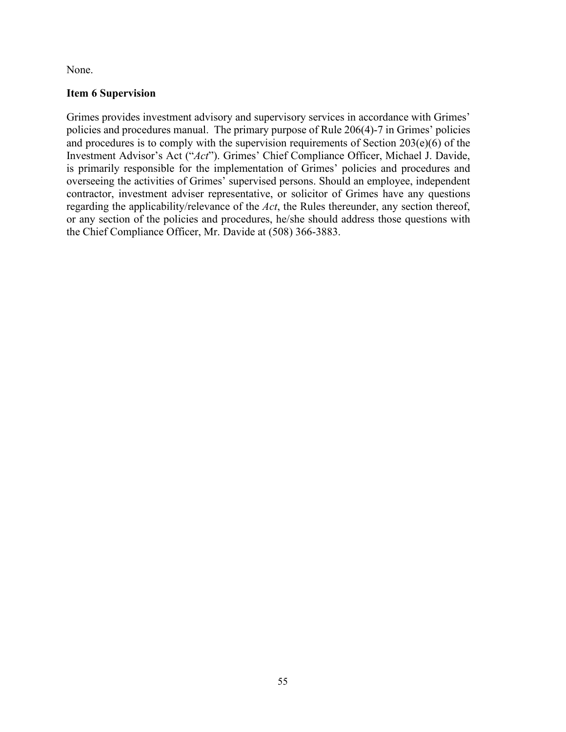None.

# **Item 6 Supervision**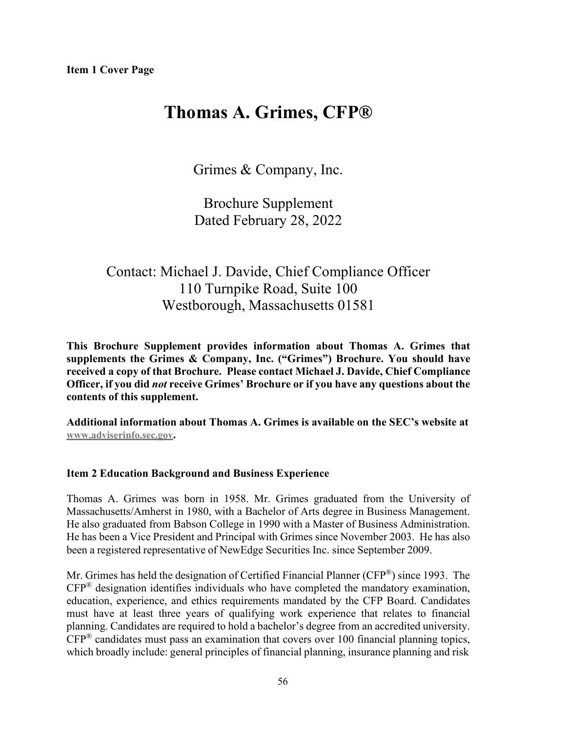# **Thomas A. Grimes, CFP®**

Grimes & Company, Inc.

Brochure Supplement Dated February 28, 2022

# Contact: Michael J. Davide, Chief Compliance Officer 110 Turnpike Road, Suite 100 Westborough, Massachusetts 01581

**This Brochure Supplement provides information about Thomas A. Grimes that supplements the Grimes & Company, Inc. ("Grimes") Brochure. You should have received a copy of that Brochure. Please contact Michael J. Davide, Chief Compliance Officer, if you did** *not* **receive Grimes' Brochure or if you have any questions about the contents of this supplement.**

**Additional information about Thomas A. Grimes is available on the SEC's website at [www.adviserinfo.sec.gov.](http://www.adviserinfo.sec.gov/)**

#### **Item 2 Education Background and Business Experience**

Thomas A. Grimes was born in 1958. Mr. Grimes graduated from the University of Massachusetts/Amherst in 1980, with a Bachelor of Arts degree in Business Management. He also graduated from Babson College in 1990 with a Master of Business Administration. He has been a Vice President and Principal with Grimes since November 2003. He has also been a registered representative of NewEdge Securities Inc. since September 2009.

Mr. Grimes has held the designation of Certified Financial Planner (CFP®) since 1993. The CFP® designation identifies individuals who have completed the mandatory examination, education, experience, and ethics requirements mandated by the CFP Board. Candidates must have at least three years of qualifying work experience that relates to financial planning. Candidates are required to hold a bachelor's degree from an accredited university.  $CFP^®$  candidates must pass an examination that covers over 100 financial planning topics, which broadly include: general principles of financial planning, insurance planning and risk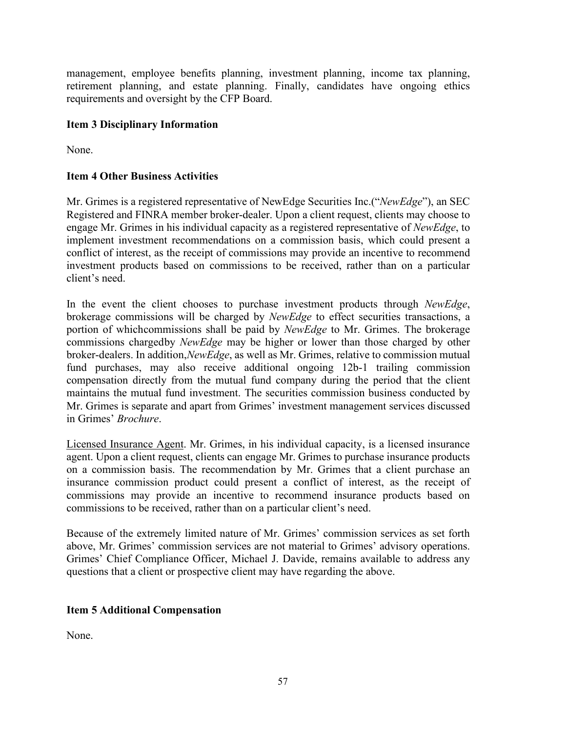management, employee benefits planning, investment planning, income tax planning, retirement planning, and estate planning. Finally, candidates have ongoing ethics requirements and oversight by the CFP Board.

# **Item 3 Disciplinary Information**

None.

# **Item 4 Other Business Activities**

Mr. Grimes is a registered representative of NewEdge Securities Inc.("*NewEdge*"), an SEC Registered and FINRA member broker-dealer. Upon a client request, clients may choose to engage Mr. Grimes in his individual capacity as a registered representative of *NewEdge*, to implement investment recommendations on a commission basis, which could present a conflict of interest, as the receipt of commissions may provide an incentive to recommend investment products based on commissions to be received, rather than on a particular client's need.

In the event the client chooses to purchase investment products through *NewEdge*, brokerage commissions will be charged by *NewEdge* to effect securities transactions, a portion of whichcommissions shall be paid by *NewEdge* to Mr. Grimes. The brokerage commissions chargedby *NewEdge* may be higher or lower than those charged by other broker-dealers. In addition,*NewEdge*, as well as Mr. Grimes, relative to commission mutual fund purchases, may also receive additional ongoing 12b-1 trailing commission compensation directly from the mutual fund company during the period that the client maintains the mutual fund investment. The securities commission business conducted by Mr. Grimes is separate and apart from Grimes' investment management services discussed in Grimes' *Brochure*.

Licensed Insurance Agent. Mr. Grimes, in his individual capacity, is a licensed insurance agent. Upon a client request, clients can engage Mr. Grimes to purchase insurance products on a commission basis. The recommendation by Mr. Grimes that a client purchase an insurance commission product could present a conflict of interest, as the receipt of commissions may provide an incentive to recommend insurance products based on commissions to be received, rather than on a particular client's need.

Because of the extremely limited nature of Mr. Grimes' commission services as set forth above, Mr. Grimes' commission services are not material to Grimes' advisory operations. Grimes' Chief Compliance Officer, Michael J. Davide, remains available to address any questions that a client or prospective client may have regarding the above.

# **Item 5 Additional Compensation**

None.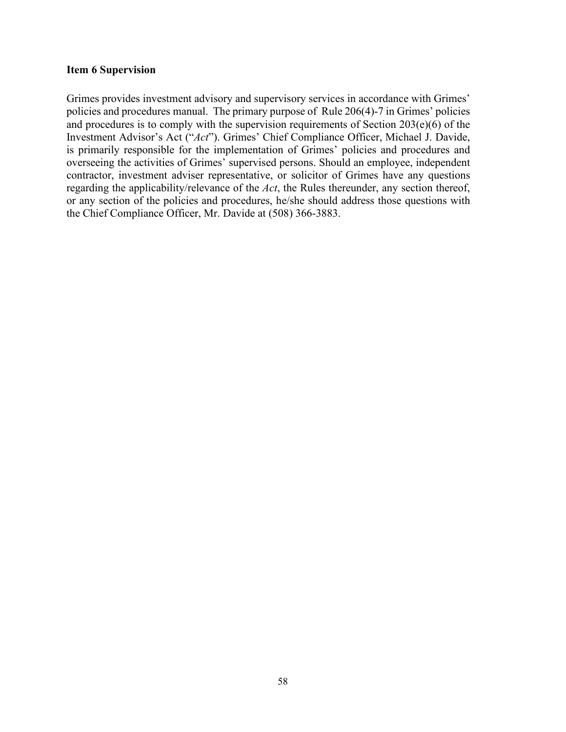#### **Item 6 Supervision**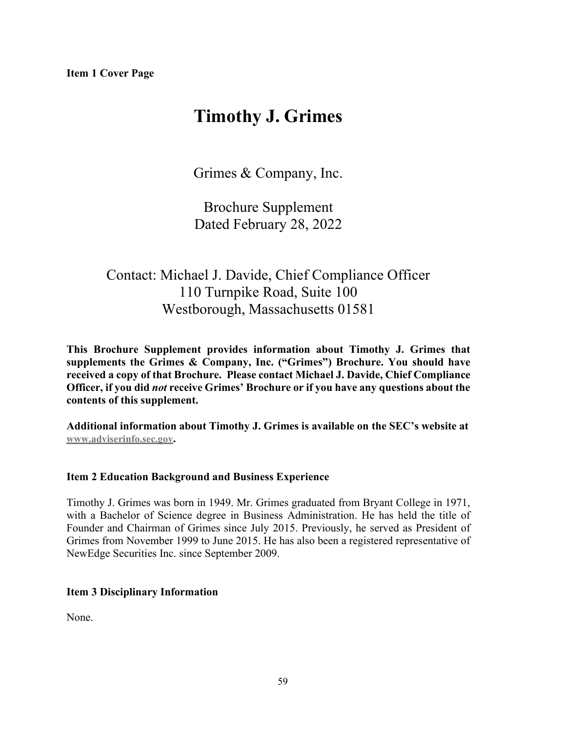# **Timothy J. Grimes**

Grimes & Company, Inc.

Brochure Supplement Dated February 28, 2022

# Contact: Michael J. Davide, Chief Compliance Officer 110 Turnpike Road, Suite 100 Westborough, Massachusetts 01581

**This Brochure Supplement provides information about Timothy J. Grimes that supplements the Grimes & Company, Inc. ("Grimes") Brochure. You should have received a copy of that Brochure. Please contact Michael J. Davide, Chief Compliance Officer, if you did** *not* **receive Grimes' Brochure or if you have any questions about the contents of this supplement.**

**Additional information about Timothy J. Grimes is available on the SEC's website at [www.adviserinfo.sec.gov.](http://www.adviserinfo.sec.gov/)**

# **Item 2 Education Background and Business Experience**

Timothy J. Grimes was born in 1949. Mr. Grimes graduated from Bryant College in 1971, with a Bachelor of Science degree in Business Administration. He has held the title of Founder and Chairman of Grimes since July 2015. Previously, he served as President of Grimes from November 1999 to June 2015. He has also been a registered representative of NewEdge Securities Inc. since September 2009.

# **Item 3 Disciplinary Information**

None.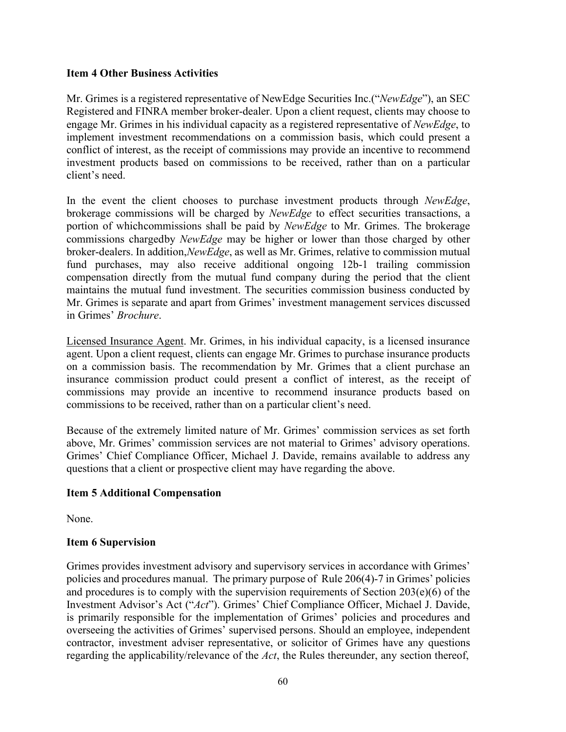## **Item 4 Other Business Activities**

Mr. Grimes is a registered representative of NewEdge Securities Inc.("*NewEdge*"), an SEC Registered and FINRA member broker-dealer. Upon a client request, clients may choose to engage Mr. Grimes in his individual capacity as a registered representative of *NewEdge*, to implement investment recommendations on a commission basis, which could present a conflict of interest, as the receipt of commissions may provide an incentive to recommend investment products based on commissions to be received, rather than on a particular client's need.

In the event the client chooses to purchase investment products through *NewEdge*, brokerage commissions will be charged by *NewEdge* to effect securities transactions, a portion of whichcommissions shall be paid by *NewEdge* to Mr. Grimes. The brokerage commissions chargedby *NewEdge* may be higher or lower than those charged by other broker-dealers. In addition,*NewEdge*, as well as Mr. Grimes, relative to commission mutual fund purchases, may also receive additional ongoing 12b-1 trailing commission compensation directly from the mutual fund company during the period that the client maintains the mutual fund investment. The securities commission business conducted by Mr. Grimes is separate and apart from Grimes' investment management services discussed in Grimes' *Brochure*.

Licensed Insurance Agent. Mr. Grimes, in his individual capacity, is a licensed insurance agent. Upon a client request, clients can engage Mr. Grimes to purchase insurance products on a commission basis. The recommendation by Mr. Grimes that a client purchase an insurance commission product could present a conflict of interest, as the receipt of commissions may provide an incentive to recommend insurance products based on commissions to be received, rather than on a particular client's need.

Because of the extremely limited nature of Mr. Grimes' commission services as set forth above, Mr. Grimes' commission services are not material to Grimes' advisory operations. Grimes' Chief Compliance Officer, Michael J. Davide, remains available to address any questions that a client or prospective client may have regarding the above.

# **Item 5 Additional Compensation**

None.

# **Item 6 Supervision**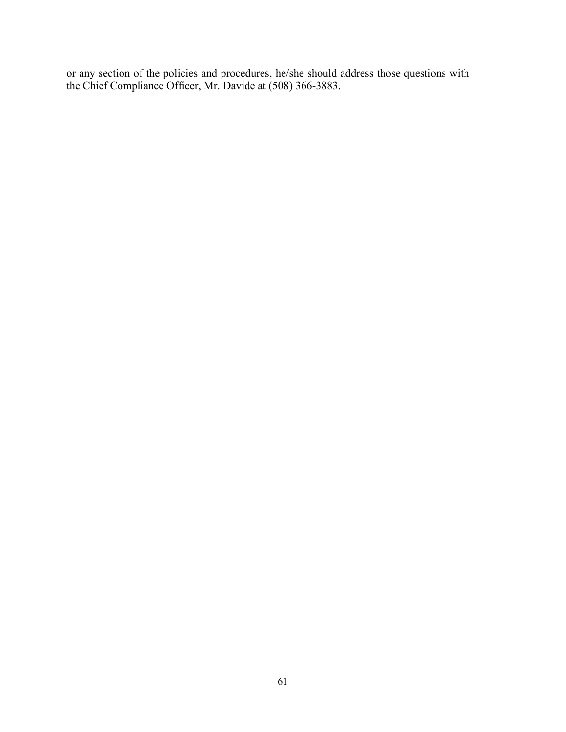or any section of the policies and procedures, he/she should address those questions with the Chief Compliance Officer, Mr. Davide at (508) 366-3883.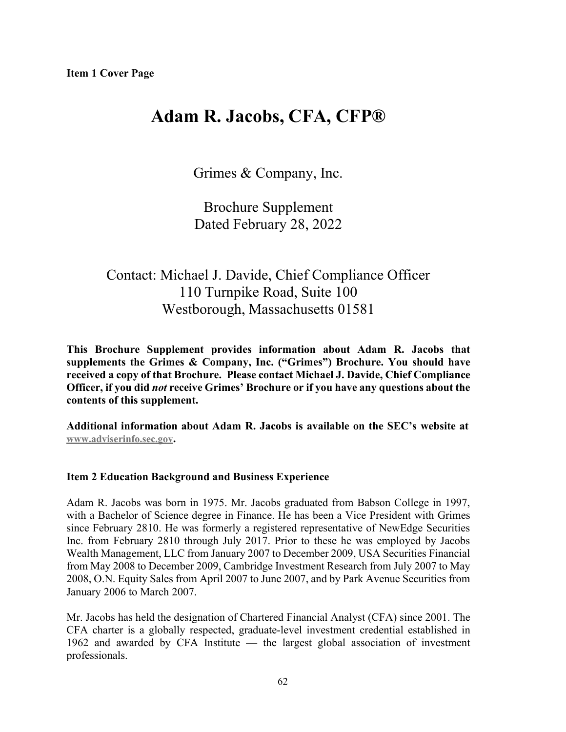# **Adam R. Jacobs, CFA, CFP®**

Grimes & Company, Inc.

Brochure Supplement Dated February 28, 2022

# Contact: Michael J. Davide, Chief Compliance Officer 110 Turnpike Road, Suite 100 Westborough, Massachusetts 01581

**This Brochure Supplement provides information about Adam R. Jacobs that supplements the Grimes & Company, Inc. ("Grimes") Brochure. You should have received a copy of that Brochure. Please contact Michael J. Davide, Chief Compliance Officer, if you did** *not* **receive Grimes' Brochure or if you have any questions about the contents of this supplement.**

**Additional information about Adam R. Jacobs is available on the SEC's website at [www.adviserinfo.sec.gov.](http://www.adviserinfo.sec.gov/)**

## **Item 2 Education Background and Business Experience**

Adam R. Jacobs was born in 1975. Mr. Jacobs graduated from Babson College in 1997, with a Bachelor of Science degree in Finance. He has been a Vice President with Grimes since February 2810. He was formerly a registered representative of NewEdge Securities Inc. from February 2810 through July 2017. Prior to these he was employed by Jacobs Wealth Management, LLC from January 2007 to December 2009, USA Securities Financial from May 2008 to December 2009, Cambridge Investment Research from July 2007 to May 2008, O.N. Equity Sales from April 2007 to June 2007, and by Park Avenue Securities from January 2006 to March 2007.

Mr. Jacobs has held the designation of Chartered Financial Analyst (CFA) since 2001. The CFA charter is a globally respected, graduate-level investment credential established in 1962 and awarded by CFA Institute — the largest global association of investment professionals.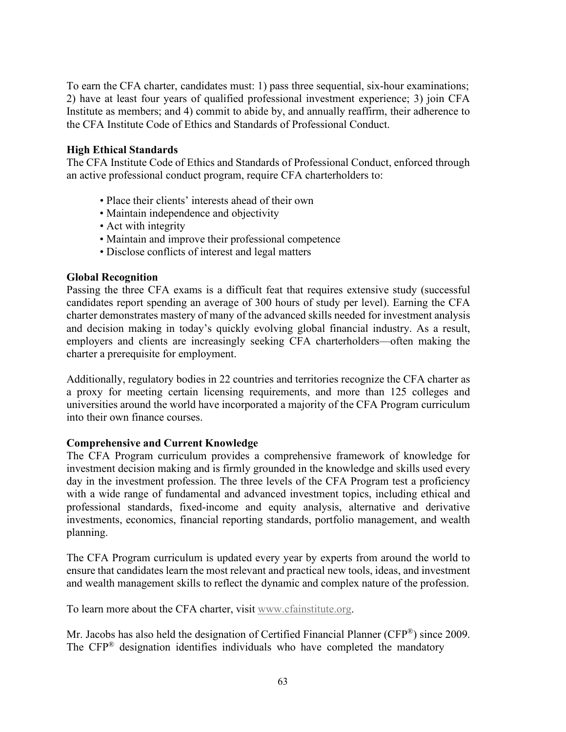To earn the CFA charter, candidates must: 1) pass three sequential, six-hour examinations; 2) have at least four years of qualified professional investment experience; 3) join CFA Institute as members; and 4) commit to abide by, and annually reaffirm, their adherence to the CFA Institute Code of Ethics and Standards of Professional Conduct.

# **High Ethical Standards**

The CFA Institute Code of Ethics and Standards of Professional Conduct, enforced through an active professional conduct program, require CFA charterholders to:

- Place their clients' interests ahead of their own
- Maintain independence and objectivity
- Act with integrity
- Maintain and improve their professional competence
- Disclose conflicts of interest and legal matters

#### **Global Recognition**

Passing the three CFA exams is a difficult feat that requires extensive study (successful candidates report spending an average of 300 hours of study per level). Earning the CFA charter demonstrates mastery of many of the advanced skills needed for investment analysis and decision making in today's quickly evolving global financial industry. As a result, employers and clients are increasingly seeking CFA charterholders—often making the charter a prerequisite for employment.

Additionally, regulatory bodies in 22 countries and territories recognize the CFA charter as a proxy for meeting certain licensing requirements, and more than 125 colleges and universities around the world have incorporated a majority of the CFA Program curriculum into their own finance courses.

## **Comprehensive and Current Knowledge**

The CFA Program curriculum provides a comprehensive framework of knowledge for investment decision making and is firmly grounded in the knowledge and skills used every day in the investment profession. The three levels of the CFA Program test a proficiency with a wide range of fundamental and advanced investment topics, including ethical and professional standards, fixed-income and equity analysis, alternative and derivative investments, economics, financial reporting standards, portfolio management, and wealth planning.

The CFA Program curriculum is updated every year by experts from around the world to ensure that candidates learn the most relevant and practical new tools, ideas, and investment and wealth management skills to reflect the dynamic and complex nature of the profession.

To learn more about the CFA charter, visit [www.cfainstitute.org.](http://www.cfainstitute.org/)

Mr. Jacobs has also held the designation of Certified Financial Planner (CFP®) since 2009. The CFP® designation identifies individuals who have completed the mandatory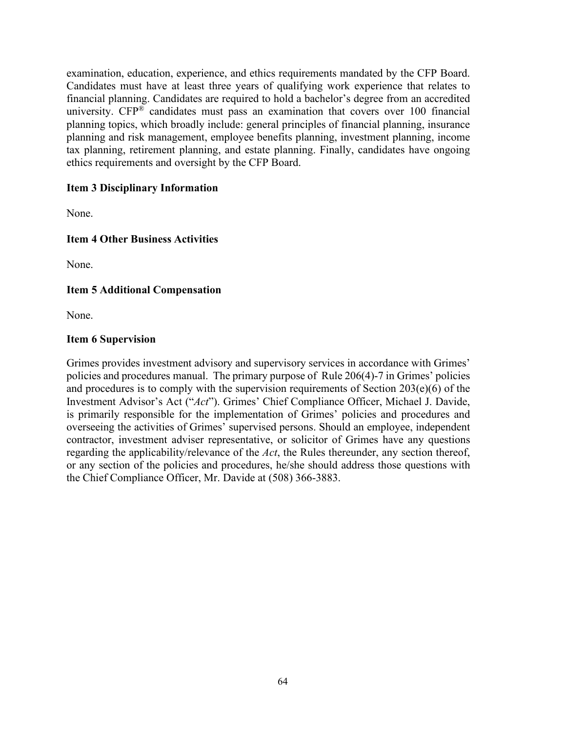examination, education, experience, and ethics requirements mandated by the CFP Board. Candidates must have at least three years of qualifying work experience that relates to financial planning. Candidates are required to hold a bachelor's degree from an accredited university.  $CFP^®$  candidates must pass an examination that covers over 100 financial planning topics, which broadly include: general principles of financial planning, insurance planning and risk management, employee benefits planning, investment planning, income tax planning, retirement planning, and estate planning. Finally, candidates have ongoing ethics requirements and oversight by the CFP Board.

# **Item 3 Disciplinary Information**

None.

# **Item 4 Other Business Activities**

None.

# **Item 5 Additional Compensation**

None.

## **Item 6 Supervision**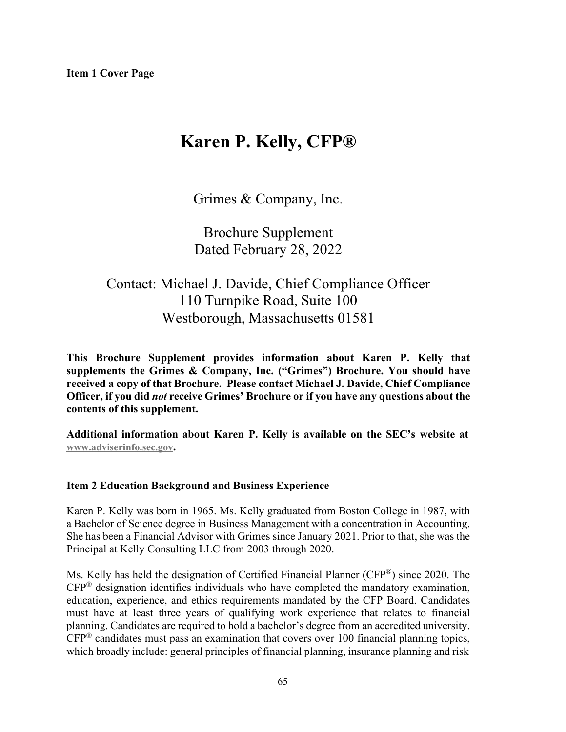# **Karen P. Kelly, CFP®**

Grimes & Company, Inc.

Brochure Supplement Dated February 28, 2022

# Contact: Michael J. Davide, Chief Compliance Officer 110 Turnpike Road, Suite 100 Westborough, Massachusetts 01581

**This Brochure Supplement provides information about Karen P. Kelly that supplements the Grimes & Company, Inc. ("Grimes") Brochure. You should have received a copy of that Brochure. Please contact Michael J. Davide, Chief Compliance Officer, if you did** *not* **receive Grimes' Brochure or if you have any questions about the contents of this supplement.**

**Additional information about Karen P. Kelly is available on the SEC's website at [www.adviserinfo.sec.gov.](http://www.adviserinfo.sec.gov/)**

# **Item 2 Education Background and Business Experience**

Karen P. Kelly was born in 1965. Ms. Kelly graduated from Boston College in 1987, with a Bachelor of Science degree in Business Management with a concentration in Accounting. She has been a Financial Advisor with Grimes since January 2021. Prior to that, she was the Principal at Kelly Consulting LLC from 2003 through 2020.

Ms. Kelly has held the designation of Certified Financial Planner (CFP®) since 2020. The  $CFP^®$  designation identifies individuals who have completed the mandatory examination, education, experience, and ethics requirements mandated by the CFP Board. Candidates must have at least three years of qualifying work experience that relates to financial planning. Candidates are required to hold a bachelor's degree from an accredited university.  $CFP^®$  candidates must pass an examination that covers over 100 financial planning topics, which broadly include: general principles of financial planning, insurance planning and risk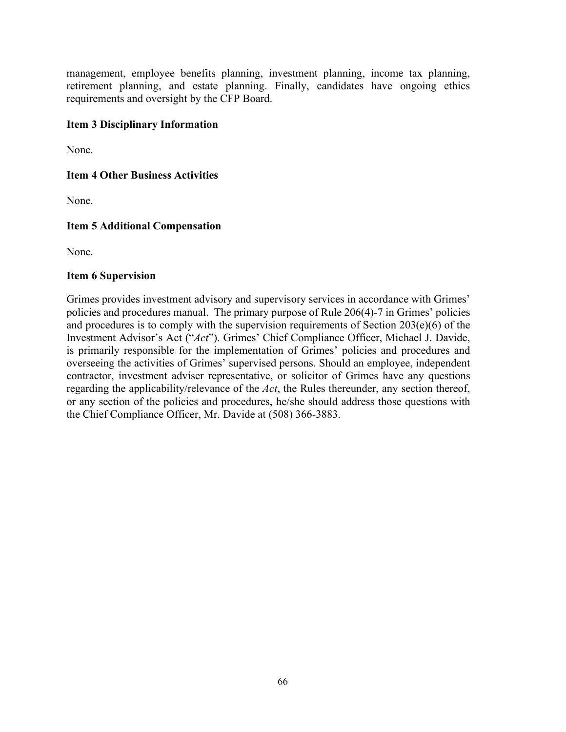management, employee benefits planning, investment planning, income tax planning, retirement planning, and estate planning. Finally, candidates have ongoing ethics requirements and oversight by the CFP Board.

# **Item 3 Disciplinary Information**

None.

# **Item 4 Other Business Activities**

None.

# **Item 5 Additional Compensation**

None.

## **Item 6 Supervision**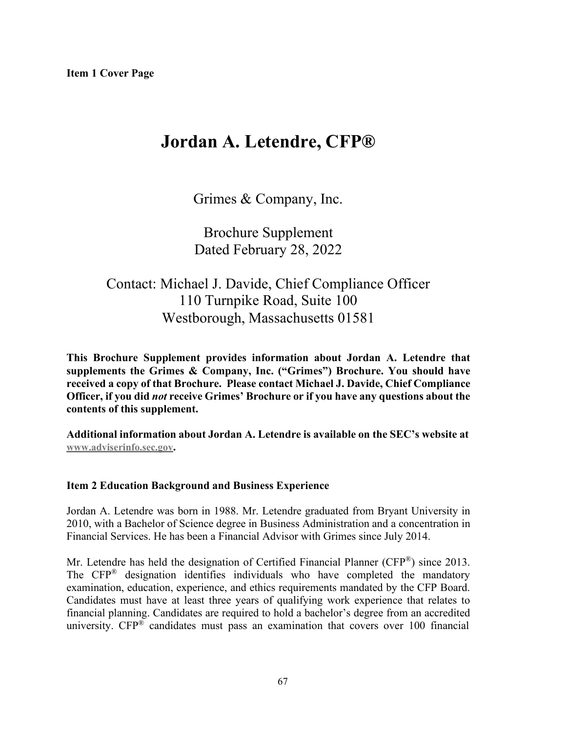# **Jordan A. Letendre, CFP®**

Grimes & Company, Inc.

Brochure Supplement Dated February 28, 2022

# Contact: Michael J. Davide, Chief Compliance Officer 110 Turnpike Road, Suite 100 Westborough, Massachusetts 01581

**This Brochure Supplement provides information about Jordan A. Letendre that supplements the Grimes & Company, Inc. ("Grimes") Brochure. You should have received a copy of that Brochure. Please contact Michael J. Davide, Chief Compliance Officer, if you did** *not* **receive Grimes' Brochure or if you have any questions about the contents of this supplement.**

**Additional information about Jordan A. Letendre is available on the SEC's website at [www.adviserinfo.sec.gov.](http://www.adviserinfo.sec.gov/)**

# **Item 2 Education Background and Business Experience**

Jordan A. Letendre was born in 1988. Mr. Letendre graduated from Bryant University in 2010, with a Bachelor of Science degree in Business Administration and a concentration in Financial Services. He has been a Financial Advisor with Grimes since July 2014.

Mr. Letendre has held the designation of Certified Financial Planner (CFP®) since 2013. The CFP® designation identifies individuals who have completed the mandatory examination, education, experience, and ethics requirements mandated by the CFP Board. Candidates must have at least three years of qualifying work experience that relates to financial planning. Candidates are required to hold a bachelor's degree from an accredited university.  $CFP^{\mathfrak{D}}$  candidates must pass an examination that covers over 100 financial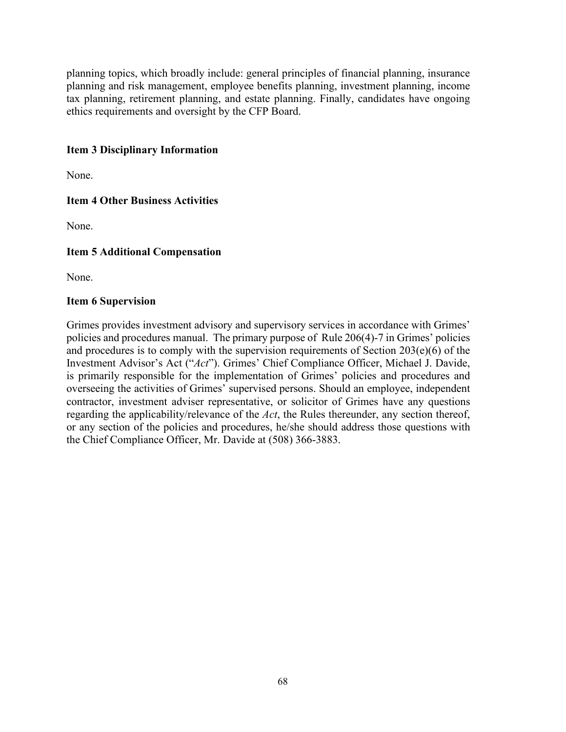planning topics, which broadly include: general principles of financial planning, insurance planning and risk management, employee benefits planning, investment planning, income tax planning, retirement planning, and estate planning. Finally, candidates have ongoing ethics requirements and oversight by the CFP Board.

# **Item 3 Disciplinary Information**

None.

# **Item 4 Other Business Activities**

None.

# **Item 5 Additional Compensation**

None.

## **Item 6 Supervision**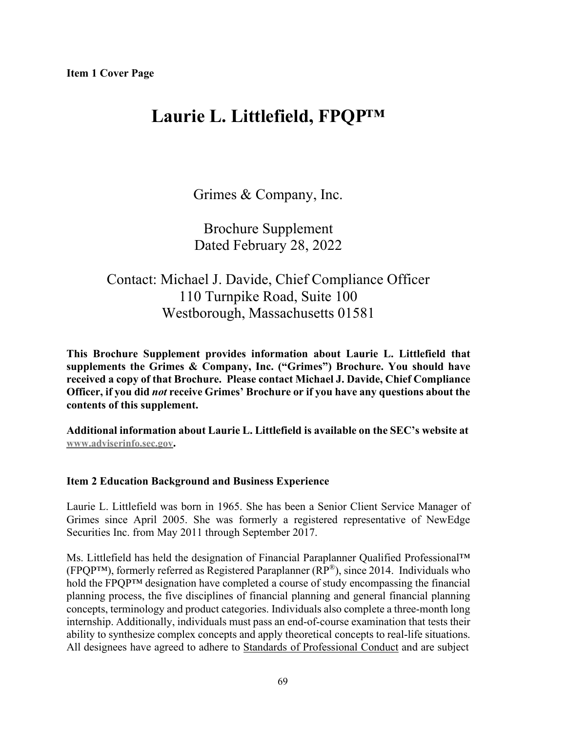# **Laurie L. Littlefield, FPQP™**

Grimes & Company, Inc.

Brochure Supplement Dated February 28, 2022

# Contact: Michael J. Davide, Chief Compliance Officer 110 Turnpike Road, Suite 100 Westborough, Massachusetts 01581

**This Brochure Supplement provides information about Laurie L. Littlefield that supplements the Grimes & Company, Inc. ("Grimes") Brochure. You should have received a copy of that Brochure. Please contact Michael J. Davide, Chief Compliance Officer, if you did** *not* **receive Grimes' Brochure or if you have any questions about the contents of this supplement.**

**Additional information about Laurie L. Littlefield is available on the SEC's website at [www.adviserinfo.sec.gov.](http://www.adviserinfo.sec.gov/)**

## **Item 2 Education Background and Business Experience**

Laurie L. Littlefield was born in 1965. She has been a Senior Client Service Manager of Grimes since April 2005. She was formerly a registered representative of NewEdge Securities Inc. from May 2011 through September 2017.

Ms. Littlefield has held the designation of Financial Paraplanner Qualified Professional™ (FPQP<sup>™)</sup>, formerly referred as Registered Paraplanner ( $RP^®$ ), since 2014. Individuals who hold the FPQP™ designation have completed a course of study encompassing the financial planning process, the five disciplines of financial planning and general financial planning concepts, terminology and product categories. Individuals also complete a three-month long internship. Additionally, individuals must pass an end-of-course examination that tests their ability to synthesize complex concepts and apply theoretical concepts to real-life situations. All designees have agreed to adhere to Standards of [Professional](http://www.cffpdesignations.com/Designee/Standards) Conduct and are subject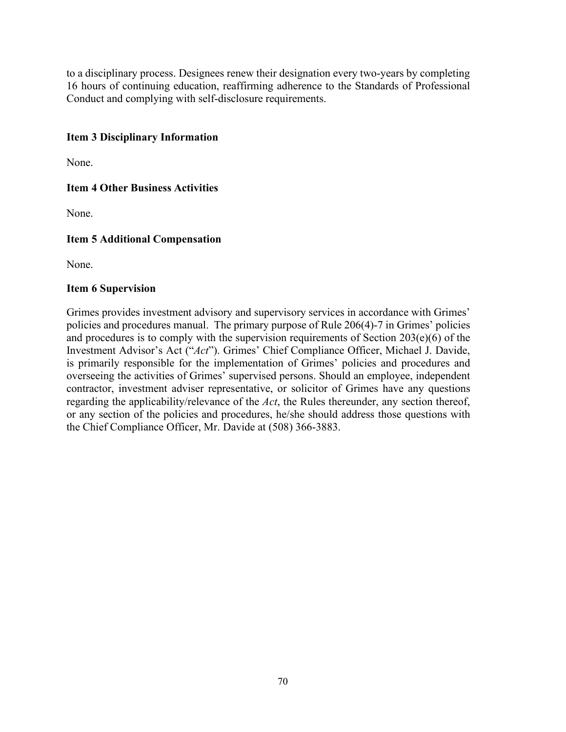to a disciplinary process. Designees renew their designation every two-years by completing 16 hours of continuing education, reaffirming adherence to the Standards of Professional Conduct and complying with self-disclosure requirements.

# **Item 3 Disciplinary Information**

None.

# **Item 4 Other Business Activities**

None.

# **Item 5 Additional Compensation**

None.

## **Item 6 Supervision**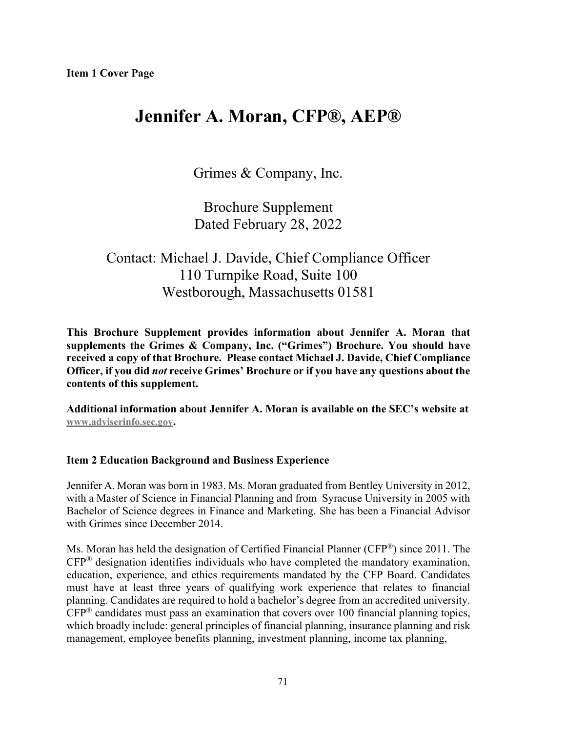# **Jennifer A. Moran, CFP®, AEP®**

Grimes & Company, Inc.

Brochure Supplement Dated February 28, 2022

# Contact: Michael J. Davide, Chief Compliance Officer 110 Turnpike Road, Suite 100 Westborough, Massachusetts 01581

**This Brochure Supplement provides information about Jennifer A. Moran that supplements the Grimes & Company, Inc. ("Grimes") Brochure. You should have received a copy of that Brochure. Please contact Michael J. Davide, Chief Compliance Officer, if you did** *not* **receive Grimes' Brochure or if you have any questions about the contents of this supplement.**

**Additional information about Jennifer A. Moran is available on the SEC's website at [www.adviserinfo.sec.gov.](http://www.adviserinfo.sec.gov/)**

## **Item 2 Education Background and Business Experience**

Jennifer A. Moran was born in 1983. Ms. Moran graduated from Bentley University in 2012, with a Master of Science in Financial Planning and from Syracuse University in 2005 with Bachelor of Science degrees in Finance and Marketing. She has been a Financial Advisor with Grimes since December 2014.

Ms. Moran has held the designation of Certified Financial Planner (CFP®) since 2011. The CFP® designation identifies individuals who have completed the mandatory examination, education, experience, and ethics requirements mandated by the CFP Board. Candidates must have at least three years of qualifying work experience that relates to financial planning. Candidates are required to hold a bachelor's degree from an accredited university.  $CFP^®$  candidates must pass an examination that covers over 100 financial planning topics, which broadly include: general principles of financial planning, insurance planning and risk management, employee benefits planning, investment planning, income tax planning,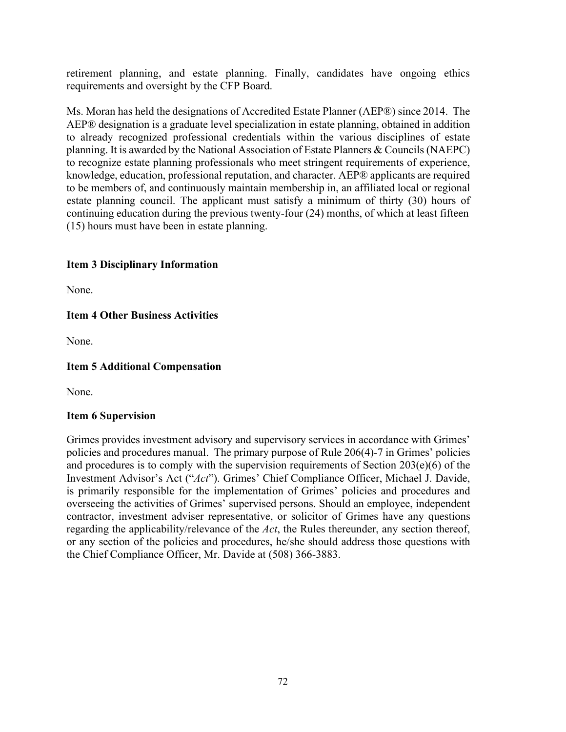retirement planning, and estate planning. Finally, candidates have ongoing ethics requirements and oversight by the CFP Board.

Ms. Moran has held the designations of Accredited Estate Planner (AEP®) since 2014. The AEP® designation is a graduate level specialization in estate planning, obtained in addition to already recognized professional credentials within the various disciplines of estate planning. It is awarded by the National Association of Estate Planners & Councils (NAEPC) to recognize estate planning professionals who meet stringent requirements of experience, knowledge, education, professional reputation, and character. AEP® applicants are required to be members of, and continuously maintain membership in, an affiliated local or regional estate planning council. The applicant must satisfy a minimum of thirty (30) hours of continuing education during the previous twenty-four (24) months, of which at least fifteen (15) hours must have been in estate planning.

# **Item 3 Disciplinary Information**

None.

# **Item 4 Other Business Activities**

None.

# **Item 5 Additional Compensation**

None.

## **Item 6 Supervision**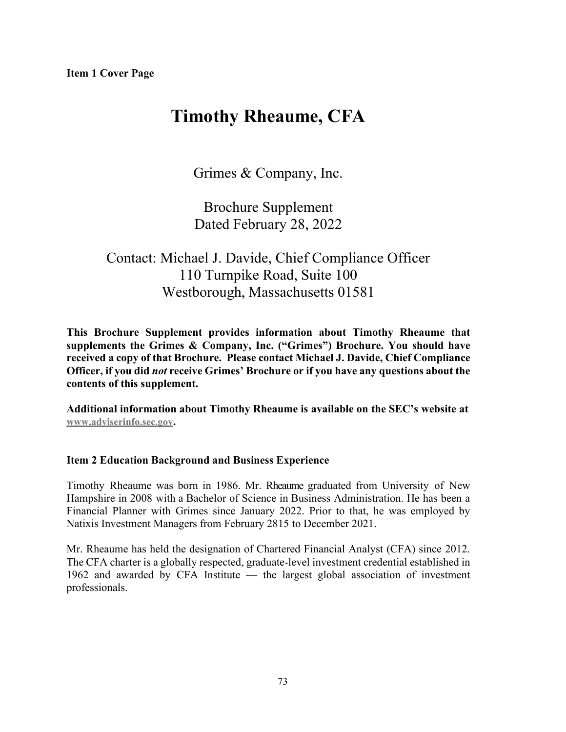# **Timothy Rheaume, CFA**

Grimes & Company, Inc.

Brochure Supplement Dated February 28, 2022

# Contact: Michael J. Davide, Chief Compliance Officer 110 Turnpike Road, Suite 100 Westborough, Massachusetts 01581

**This Brochure Supplement provides information about Timothy Rheaume that supplements the Grimes & Company, Inc. ("Grimes") Brochure. You should have received a copy of that Brochure. Please contact Michael J. Davide, Chief Compliance Officer, if you did** *not* **receive Grimes' Brochure or if you have any questions about the contents of this supplement.**

**Additional information about Timothy Rheaume is available on the SEC's website at [www.adviserinfo.sec.gov.](http://www.adviserinfo.sec.gov/)**

#### **Item 2 Education Background and Business Experience**

Timothy Rheaume was born in 1986. Mr. Rheaume graduated from University of New Hampshire in 2008 with a Bachelor of Science in Business Administration. He has been a Financial Planner with Grimes since January 2022. Prior to that, he was employed by Natixis Investment Managers from February 2815 to December 2021.

Mr. Rheaume has held the designation of Chartered Financial Analyst (CFA) since 2012. The CFA charter is a globally respected, graduate-level investment credential established in 1962 and awarded by CFA Institute — the largest global association of investment professionals.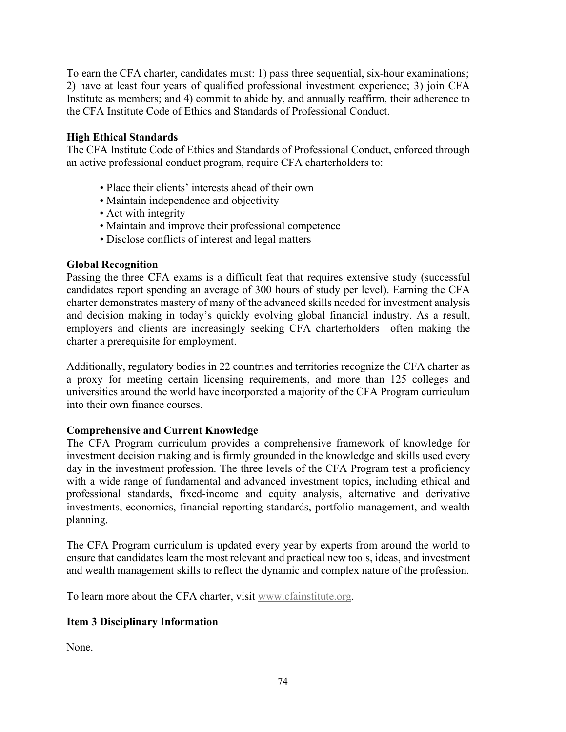To earn the CFA charter, candidates must: 1) pass three sequential, six-hour examinations; 2) have at least four years of qualified professional investment experience; 3) join CFA Institute as members; and 4) commit to abide by, and annually reaffirm, their adherence to the CFA Institute Code of Ethics and Standards of Professional Conduct.

## **High Ethical Standards**

The CFA Institute Code of Ethics and Standards of Professional Conduct, enforced through an active professional conduct program, require CFA charterholders to:

- Place their clients' interests ahead of their own
- Maintain independence and objectivity
- Act with integrity
- Maintain and improve their professional competence
- Disclose conflicts of interest and legal matters

### **Global Recognition**

Passing the three CFA exams is a difficult feat that requires extensive study (successful candidates report spending an average of 300 hours of study per level). Earning the CFA charter demonstrates mastery of many of the advanced skills needed for investment analysis and decision making in today's quickly evolving global financial industry. As a result, employers and clients are increasingly seeking CFA charterholders—often making the charter a prerequisite for employment.

Additionally, regulatory bodies in 22 countries and territories recognize the CFA charter as a proxy for meeting certain licensing requirements, and more than 125 colleges and universities around the world have incorporated a majority of the CFA Program curriculum into their own finance courses.

# **Comprehensive and Current Knowledge**

The CFA Program curriculum provides a comprehensive framework of knowledge for investment decision making and is firmly grounded in the knowledge and skills used every day in the investment profession. The three levels of the CFA Program test a proficiency with a wide range of fundamental and advanced investment topics, including ethical and professional standards, fixed-income and equity analysis, alternative and derivative investments, economics, financial reporting standards, portfolio management, and wealth planning.

The CFA Program curriculum is updated every year by experts from around the world to ensure that candidates learn the most relevant and practical new tools, ideas, and investment and wealth management skills to reflect the dynamic and complex nature of the profession.

To learn more about the CFA charter, visit [www.cfainstitute.org.](http://www.cfainstitute.org/)

# **Item 3 Disciplinary Information**

None.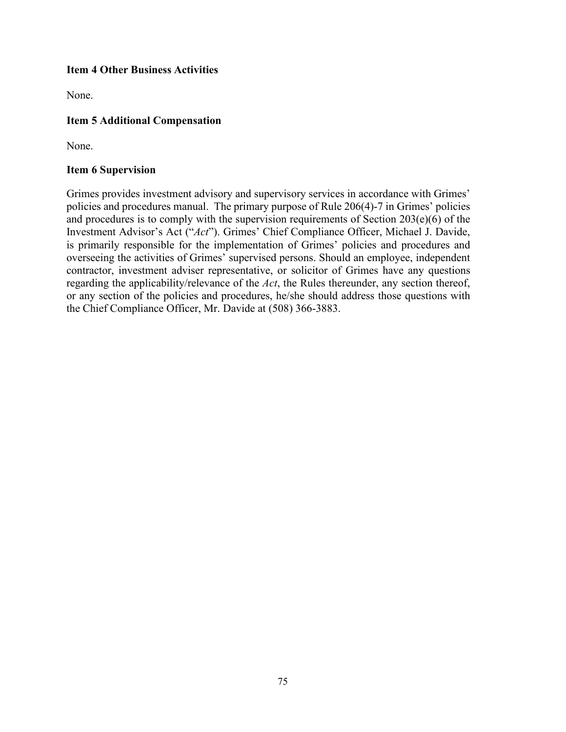## **Item 4 Other Business Activities**

None.

## **Item 5 Additional Compensation**

None.

#### **Item 6 Supervision**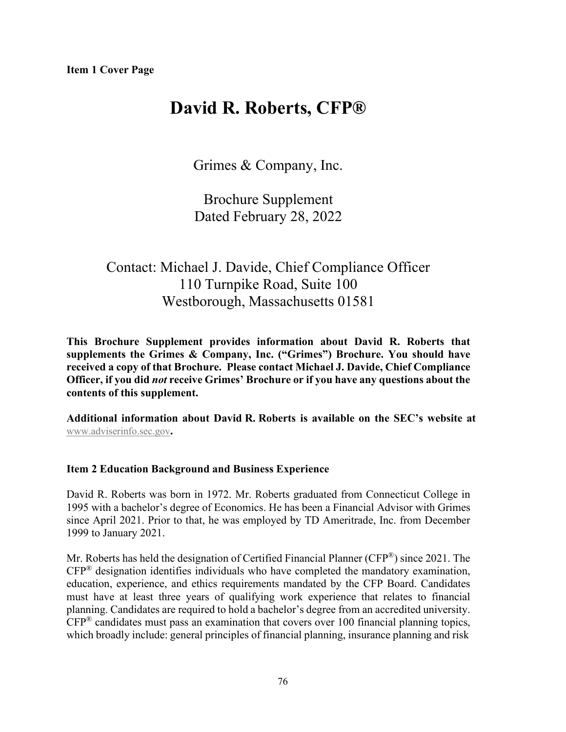# **David R. Roberts, CFP®**

Grimes & Company, Inc.

Brochure Supplement Dated February 28, 2022

# Contact: Michael J. Davide, Chief Compliance Officer 110 Turnpike Road, Suite 100 Westborough, Massachusetts 01581

**This Brochure Supplement provides information about David R. Roberts that supplements the Grimes & Company, Inc. ("Grimes") Brochure. You should have received a copy of that Brochure. Please contact Michael J. Davide, Chief Compliance Officer, if you did** *not* **receive Grimes' Brochure or if you have any questions about the contents of this supplement.**

**Additional information about David R. Roberts is available on the SEC's website at** [www.adviserinfo.sec.gov](http://www.adviserinfo.sec.gov/)**.**

# **Item 2 Education Background and Business Experience**

David R. Roberts was born in 1972. Mr. Roberts graduated from Connecticut College in 1995 with a bachelor's degree of Economics. He has been a Financial Advisor with Grimes since April 2021. Prior to that, he was employed by TD Ameritrade, Inc. from December 1999 to January 2021.

Mr. Roberts has held the designation of Certified Financial Planner (CFP®) since 2021. The CFP® designation identifies individuals who have completed the mandatory examination, education, experience, and ethics requirements mandated by the CFP Board. Candidates must have at least three years of qualifying work experience that relates to financial planning. Candidates are required to hold a bachelor's degree from an accredited university.  $CFP^®$  candidates must pass an examination that covers over 100 financial planning topics, which broadly include: general principles of financial planning, insurance planning and risk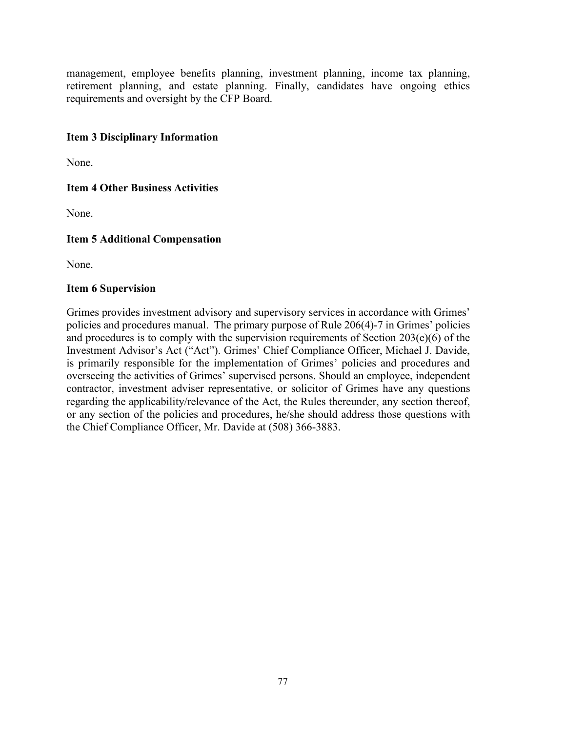management, employee benefits planning, investment planning, income tax planning, retirement planning, and estate planning. Finally, candidates have ongoing ethics requirements and oversight by the CFP Board.

# **Item 3 Disciplinary Information**

None.

### **Item 4 Other Business Activities**

None.

### **Item 5 Additional Compensation**

None.

#### **Item 6 Supervision**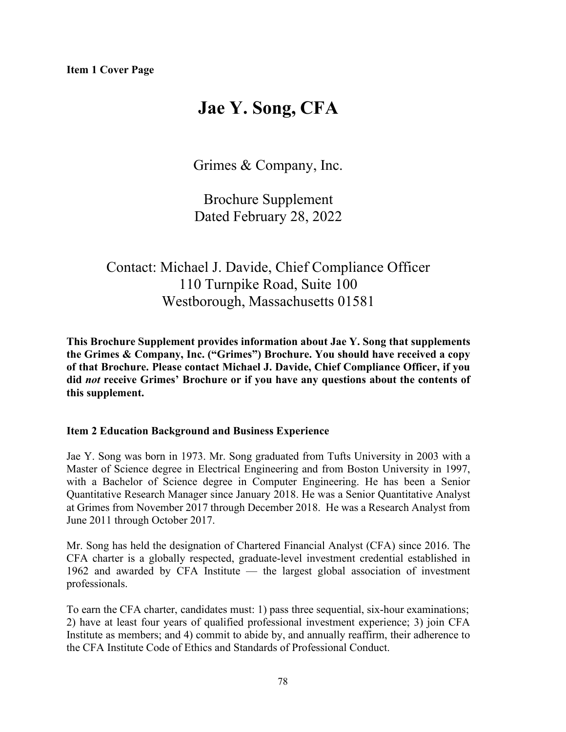# **Jae Y. Song, CFA**

Grimes & Company, Inc.

Brochure Supplement Dated February 28, 2022

# Contact: Michael J. Davide, Chief Compliance Officer 110 Turnpike Road, Suite 100 Westborough, Massachusetts 01581

**This Brochure Supplement provides information about Jae Y. Song that supplements the Grimes & Company, Inc. ("Grimes") Brochure. You should have received a copy of that Brochure. Please contact Michael J. Davide, Chief Compliance Officer, if you did** *not* **receive Grimes' Brochure or if you have any questions about the contents of this supplement.**

#### **Item 2 Education Background and Business Experience**

Jae Y. Song was born in 1973. Mr. Song graduated from Tufts University in 2003 with a Master of Science degree in Electrical Engineering and from Boston University in 1997, with a Bachelor of Science degree in Computer Engineering. He has been a Senior Quantitative Research Manager since January 2018. He was a Senior Quantitative Analyst at Grimes from November 2017 through December 2018. He was a Research Analyst from June 2011 through October 2017.

Mr. Song has held the designation of Chartered Financial Analyst (CFA) since 2016. The CFA charter is a globally respected, graduate-level investment credential established in 1962 and awarded by CFA Institute — the largest global association of investment professionals.

To earn the CFA charter, candidates must: 1) pass three sequential, six-hour examinations; 2) have at least four years of qualified professional investment experience; 3) join CFA Institute as members; and 4) commit to abide by, and annually reaffirm, their adherence to the CFA Institute Code of Ethics and Standards of Professional Conduct.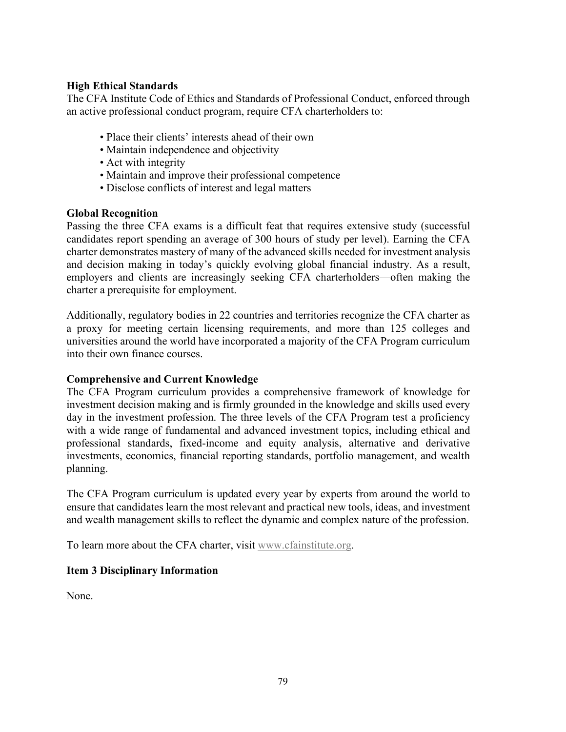## **High Ethical Standards**

The CFA Institute Code of Ethics and Standards of Professional Conduct, enforced through an active professional conduct program, require CFA charterholders to:

- Place their clients' interests ahead of their own
- Maintain independence and objectivity
- Act with integrity
- Maintain and improve their professional competence
- Disclose conflicts of interest and legal matters

#### **Global Recognition**

Passing the three CFA exams is a difficult feat that requires extensive study (successful candidates report spending an average of 300 hours of study per level). Earning the CFA charter demonstrates mastery of many of the advanced skills needed for investment analysis and decision making in today's quickly evolving global financial industry. As a result, employers and clients are increasingly seeking CFA charterholders—often making the charter a prerequisite for employment.

Additionally, regulatory bodies in 22 countries and territories recognize the CFA charter as a proxy for meeting certain licensing requirements, and more than 125 colleges and universities around the world have incorporated a majority of the CFA Program curriculum into their own finance courses.

#### **Comprehensive and Current Knowledge**

The CFA Program curriculum provides a comprehensive framework of knowledge for investment decision making and is firmly grounded in the knowledge and skills used every day in the investment profession. The three levels of the CFA Program test a proficiency with a wide range of fundamental and advanced investment topics, including ethical and professional standards, fixed-income and equity analysis, alternative and derivative investments, economics, financial reporting standards, portfolio management, and wealth planning.

The CFA Program curriculum is updated every year by experts from around the world to ensure that candidates learn the most relevant and practical new tools, ideas, and investment and wealth management skills to reflect the dynamic and complex nature of the profession.

To learn more about the CFA charter, visit [www.cfainstitute.org.](http://www.cfainstitute.org/)

# **Item 3 Disciplinary Information**

None.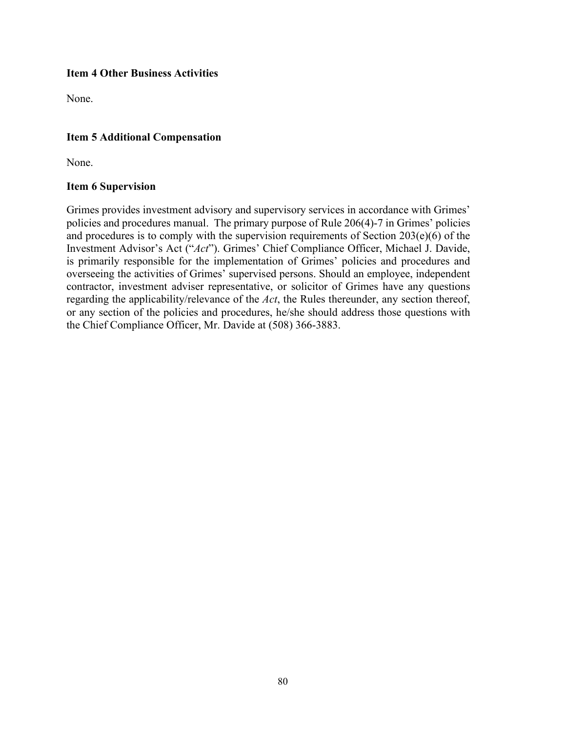## **Item 4 Other Business Activities**

None.

# **Item 5 Additional Compensation**

None.

#### **Item 6 Supervision**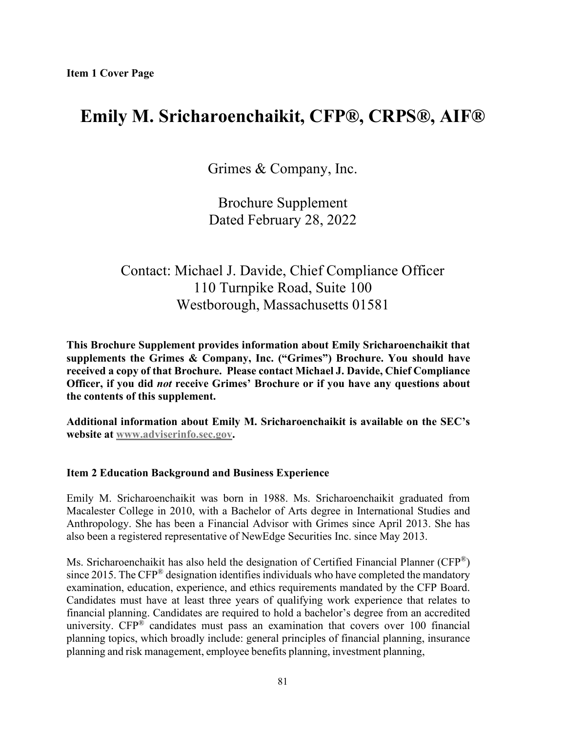# **Emily M. Sricharoenchaikit, CFP®, CRPS®, AIF®**

Grimes & Company, Inc.

Brochure Supplement Dated February 28, 2022

# Contact: Michael J. Davide, Chief Compliance Officer 110 Turnpike Road, Suite 100 Westborough, Massachusetts 01581

**This Brochure Supplement provides information about Emily Sricharoenchaikit that supplements the Grimes & Company, Inc. ("Grimes") Brochure. You should have received a copy of that Brochure. Please contact Michael J. Davide, Chief Compliance Officer, if you did** *not* **receive Grimes' Brochure or if you have any questions about the contents of this supplement.**

**Additional information about Emily M. Sricharoenchaikit is available on the SEC's website at [www.adviserinfo.sec.gov.](http://www.adviserinfo.sec.gov/)**

# **Item 2 Education Background and Business Experience**

Emily M. Sricharoenchaikit was born in 1988. Ms. Sricharoenchaikit graduated from Macalester College in 2010, with a Bachelor of Arts degree in International Studies and Anthropology. She has been a Financial Advisor with Grimes since April 2013. She has also been a registered representative of NewEdge Securities Inc. since May 2013.

Ms. Sricharoenchaikit has also held the designation of Certified Financial Planner (CFP®) since 2015. The  $CFP^{\circledast}$  designation identifies individuals who have completed the mandatory examination, education, experience, and ethics requirements mandated by the CFP Board. Candidates must have at least three years of qualifying work experience that relates to financial planning. Candidates are required to hold a bachelor's degree from an accredited university.  $CFP^{\circledast}$  candidates must pass an examination that covers over 100 financial planning topics, which broadly include: general principles of financial planning, insurance planning and risk management, employee benefits planning, investment planning,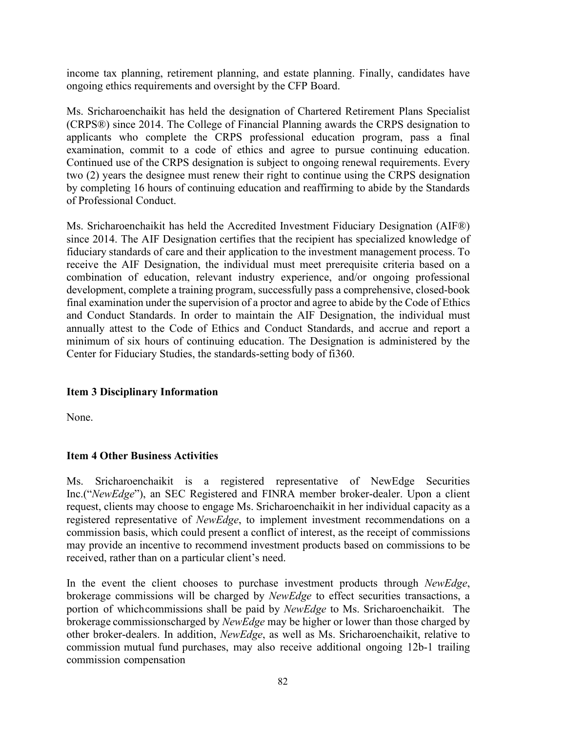income tax planning, retirement planning, and estate planning. Finally, candidates have ongoing ethics requirements and oversight by the CFP Board.

Ms. Sricharoenchaikit has held the designation of Chartered Retirement Plans Specialist (CRPS®) since 2014. The College of Financial Planning awards the CRPS designation to applicants who complete the CRPS professional education program, pass a final examination, commit to a code of ethics and agree to pursue continuing education. Continued use of the CRPS designation is subject to ongoing renewal requirements. Every two (2) years the designee must renew their right to continue using the CRPS designation by completing 16 hours of continuing education and reaffirming to abide by the Standards of Professional Conduct.

Ms. Sricharoenchaikit has held the Accredited Investment Fiduciary Designation (AIF®) since 2014. The AIF Designation certifies that the recipient has specialized knowledge of fiduciary standards of care and their application to the investment management process. To receive the AIF Designation, the individual must meet prerequisite criteria based on a combination of education, relevant industry experience, and/or ongoing professional development, complete a training program, successfully pass a comprehensive, closed-book final examination under the supervision of a proctor and agree to abide by the Code of [Ethics](http://www.fi360.com/main/pdf/codeofethics.pdf) and [Conduct Standards.](http://www.fi360.com/uploads/media/designationqualification.pdf) In order to maintain the AIF Designation, the individual must annually attest to the Code of Ethics and Conduct Standards, and accrue and report a minimum of six hours of continuing education. The Designation is administered by the Center for Fiduciary Studies, the standards-setting body of fi360.

# **Item 3 Disciplinary Information**

None.

#### **Item 4 Other Business Activities**

Ms. Sricharoenchaikit is a registered representative of NewEdge Securities Inc.("*NewEdge*"), an SEC Registered and FINRA member broker-dealer. Upon a client request, clients may choose to engage Ms. Sricharoenchaikit in her individual capacity as a registered representative of *NewEdge*, to implement investment recommendations on a commission basis, which could present a conflict of interest, as the receipt of commissions may provide an incentive to recommend investment products based on commissions to be received, rather than on a particular client's need.

In the event the client chooses to purchase investment products through *NewEdge*, brokerage commissions will be charged by *NewEdge* to effect securities transactions, a portion of whichcommissions shall be paid by *NewEdge* to Ms. Sricharoenchaikit. The brokerage commissionscharged by *NewEdge* may be higher or lower than those charged by other broker-dealers. In addition, *NewEdge*, as well as Ms. Sricharoenchaikit, relative to commission mutual fund purchases, may also receive additional ongoing 12b-1 trailing commission compensation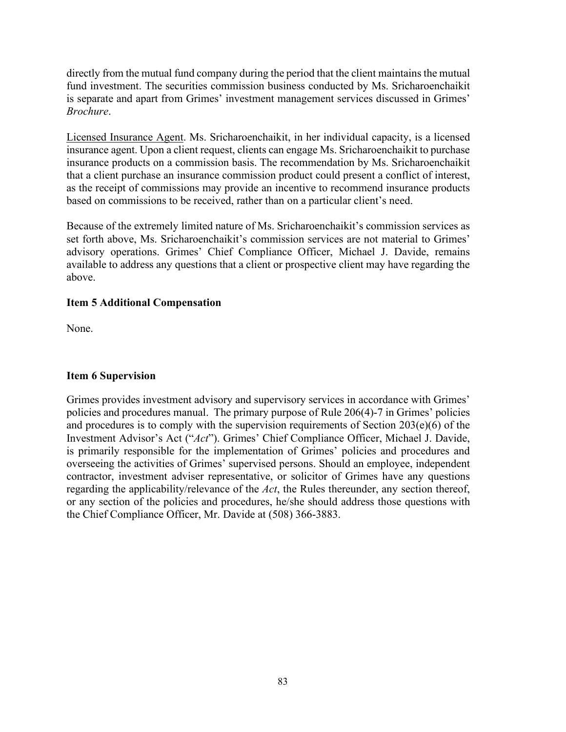directly from the mutual fund company during the period that the client maintains the mutual fund investment. The securities commission business conducted by Ms. Sricharoenchaikit is separate and apart from Grimes' investment management services discussed in Grimes' *Brochure*.

Licensed Insurance Agent. Ms. Sricharoenchaikit, in her individual capacity, is a licensed insurance agent. Upon a client request, clients can engage Ms. Sricharoenchaikit to purchase insurance products on a commission basis. The recommendation by Ms. Sricharoenchaikit that a client purchase an insurance commission product could present a conflict of interest, as the receipt of commissions may provide an incentive to recommend insurance products based on commissions to be received, rather than on a particular client's need.

Because of the extremely limited nature of Ms. Sricharoenchaikit's commission services as set forth above, Ms. Sricharoenchaikit's commission services are not material to Grimes' advisory operations. Grimes' Chief Compliance Officer, Michael J. Davide, remains available to address any questions that a client or prospective client may have regarding the above.

# **Item 5 Additional Compensation**

None.

# **Item 6 Supervision**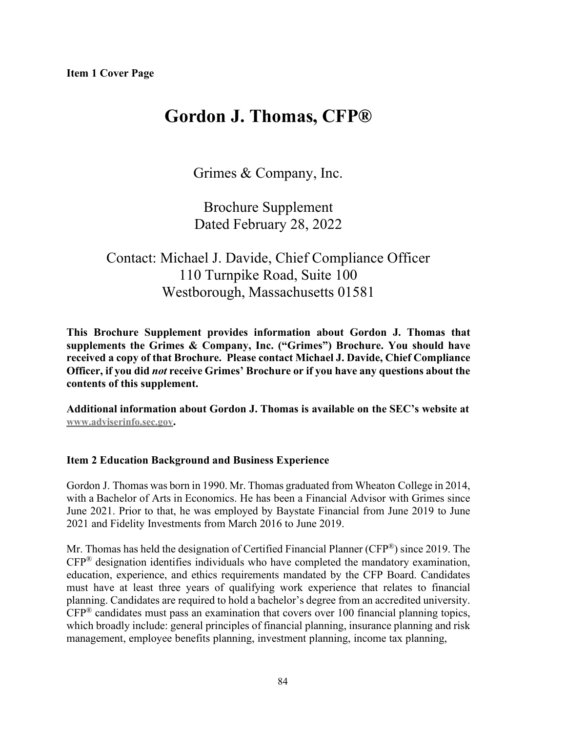# **Gordon J. Thomas, CFP®**

Grimes & Company, Inc.

Brochure Supplement Dated February 28, 2022

# Contact: Michael J. Davide, Chief Compliance Officer 110 Turnpike Road, Suite 100 Westborough, Massachusetts 01581

**This Brochure Supplement provides information about Gordon J. Thomas that supplements the Grimes & Company, Inc. ("Grimes") Brochure. You should have received a copy of that Brochure. Please contact Michael J. Davide, Chief Compliance Officer, if you did** *not* **receive Grimes' Brochure or if you have any questions about the contents of this supplement.**

**Additional information about Gordon J. Thomas is available on the SEC's website at [www.adviserinfo.sec.gov.](http://www.adviserinfo.sec.gov/)**

# **Item 2 Education Background and Business Experience**

Gordon J. Thomas was born in 1990. Mr. Thomas graduated from Wheaton College in 2014, with a Bachelor of Arts in Economics. He has been a Financial Advisor with Grimes since June 2021. Prior to that, he was employed by Baystate Financial from June 2019 to June 2021 and Fidelity Investments from March 2016 to June 2019.

Mr. Thomas has held the designation of Certified Financial Planner (CFP®) since 2019. The CFP® designation identifies individuals who have completed the mandatory examination, education, experience, and ethics requirements mandated by the CFP Board. Candidates must have at least three years of qualifying work experience that relates to financial planning. Candidates are required to hold a bachelor's degree from an accredited university.  $CFP^®$  candidates must pass an examination that covers over 100 financial planning topics, which broadly include: general principles of financial planning, insurance planning and risk management, employee benefits planning, investment planning, income tax planning,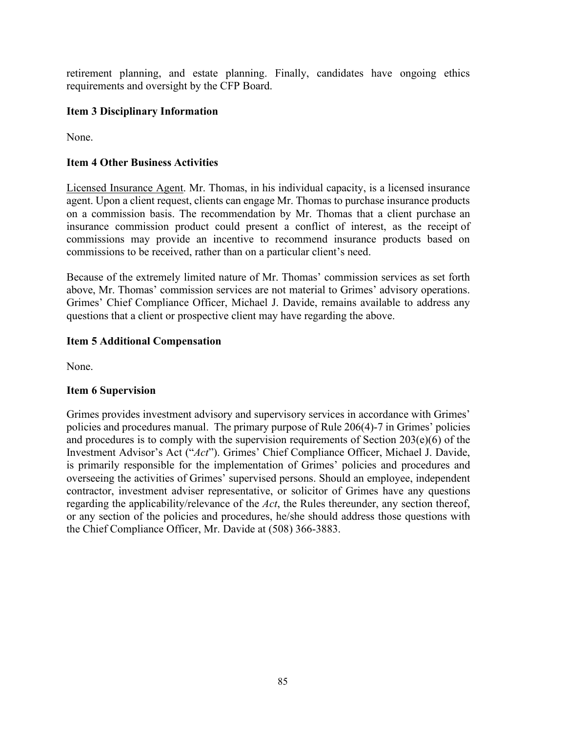retirement planning, and estate planning. Finally, candidates have ongoing ethics requirements and oversight by the CFP Board.

## **Item 3 Disciplinary Information**

None.

## **Item 4 Other Business Activities**

Licensed Insurance Agent. Mr. Thomas, in his individual capacity, is a licensed insurance agent. Upon a client request, clients can engage Mr. Thomas to purchase insurance products on a commission basis. The recommendation by Mr. Thomas that a client purchase an insurance commission product could present a conflict of interest, as the receipt of commissions may provide an incentive to recommend insurance products based on commissions to be received, rather than on a particular client's need.

Because of the extremely limited nature of Mr. Thomas' commission services as set forth above, Mr. Thomas' commission services are not material to Grimes' advisory operations. Grimes' Chief Compliance Officer, Michael J. Davide, remains available to address any questions that a client or prospective client may have regarding the above.

### **Item 5 Additional Compensation**

None.

#### **Item 6 Supervision**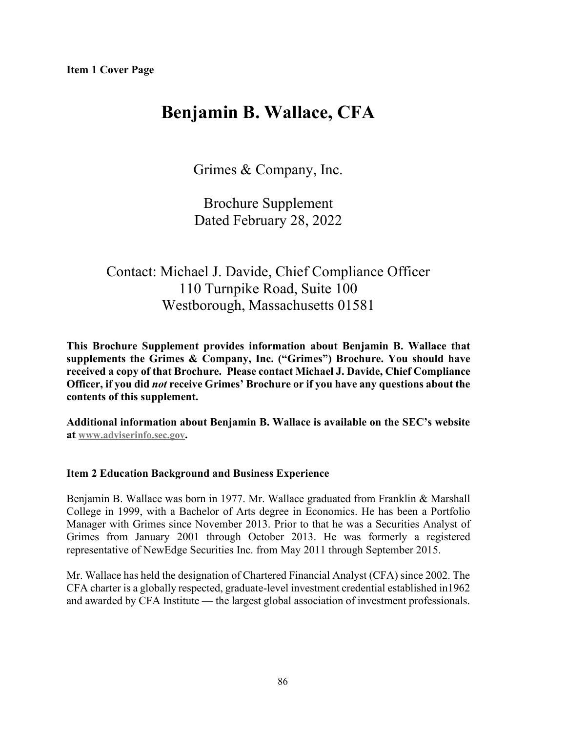# **Benjamin B. Wallace, CFA**

Grimes & Company, Inc.

Brochure Supplement Dated February 28, 2022

# Contact: Michael J. Davide, Chief Compliance Officer 110 Turnpike Road, Suite 100 Westborough, Massachusetts 01581

**This Brochure Supplement provides information about Benjamin B. Wallace that supplements the Grimes & Company, Inc. ("Grimes") Brochure. You should have received a copy of that Brochure. Please contact Michael J. Davide, Chief Compliance Officer, if you did** *not* **receive Grimes' Brochure or if you have any questions about the contents of this supplement.**

**Additional information about Benjamin B. Wallace is available on the SEC's website at [www.adviserinfo.sec.gov.](http://www.adviserinfo.sec.gov/)**

# **Item 2 Education Background and Business Experience**

Benjamin B. Wallace was born in 1977. Mr. Wallace graduated from Franklin & Marshall College in 1999, with a Bachelor of Arts degree in Economics. He has been a Portfolio Manager with Grimes since November 2013. Prior to that he was a Securities Analyst of Grimes from January 2001 through October 2013. He was formerly a registered representative of NewEdge Securities Inc. from May 2011 through September 2015.

Mr. Wallace has held the designation of Chartered Financial Analyst (CFA) since 2002. The CFA charter is a globally respected, graduate-level investment credential established in1962 and awarded by CFA Institute — the largest global association of investment professionals.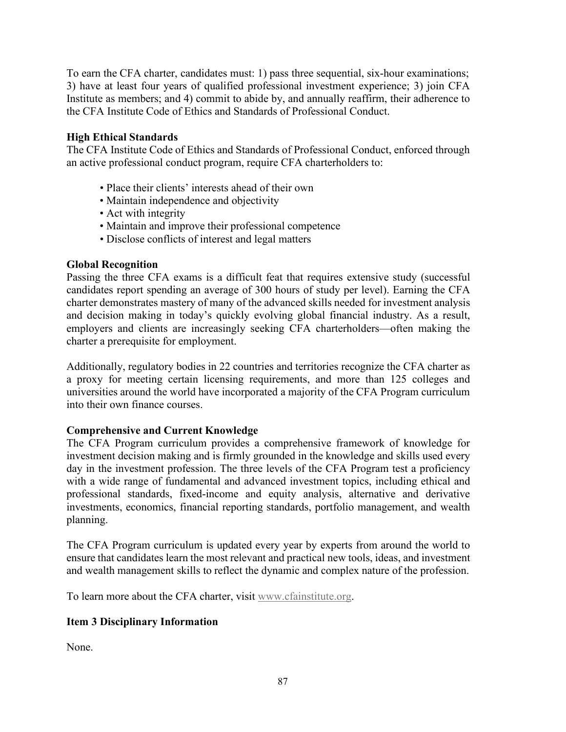To earn the CFA charter, candidates must: 1) pass three sequential, six-hour examinations; 3) have at least four years of qualified professional investment experience; 3) join CFA Institute as members; and 4) commit to abide by, and annually reaffirm, their adherence to the CFA Institute Code of Ethics and Standards of Professional Conduct.

# **High Ethical Standards**

The CFA Institute Code of Ethics and Standards of Professional Conduct, enforced through an active professional conduct program, require CFA charterholders to:

- Place their clients' interests ahead of their own
- Maintain independence and objectivity
- Act with integrity
- Maintain and improve their professional competence
- Disclose conflicts of interest and legal matters

# **Global Recognition**

Passing the three CFA exams is a difficult feat that requires extensive study (successful candidates report spending an average of 300 hours of study per level). Earning the CFA charter demonstrates mastery of many of the advanced skills needed for investment analysis and decision making in today's quickly evolving global financial industry. As a result, employers and clients are increasingly seeking CFA charterholders—often making the charter a prerequisite for employment.

Additionally, regulatory bodies in 22 countries and territories recognize the CFA charter as a proxy for meeting certain licensing requirements, and more than 125 colleges and universities around the world have incorporated a majority of the CFA Program curriculum into their own finance courses.

# **Comprehensive and Current Knowledge**

The CFA Program curriculum provides a comprehensive framework of knowledge for investment decision making and is firmly grounded in the knowledge and skills used every day in the investment profession. The three levels of the CFA Program test a proficiency with a wide range of fundamental and advanced investment topics, including ethical and professional standards, fixed-income and equity analysis, alternative and derivative investments, economics, financial reporting standards, portfolio management, and wealth planning.

The CFA Program curriculum is updated every year by experts from around the world to ensure that candidates learn the most relevant and practical new tools, ideas, and investment and wealth management skills to reflect the dynamic and complex nature of the profession.

To learn more about the CFA charter, visit [www.cfainstitute.org.](http://www.cfainstitute.org/)

# **Item 3 Disciplinary Information**

None.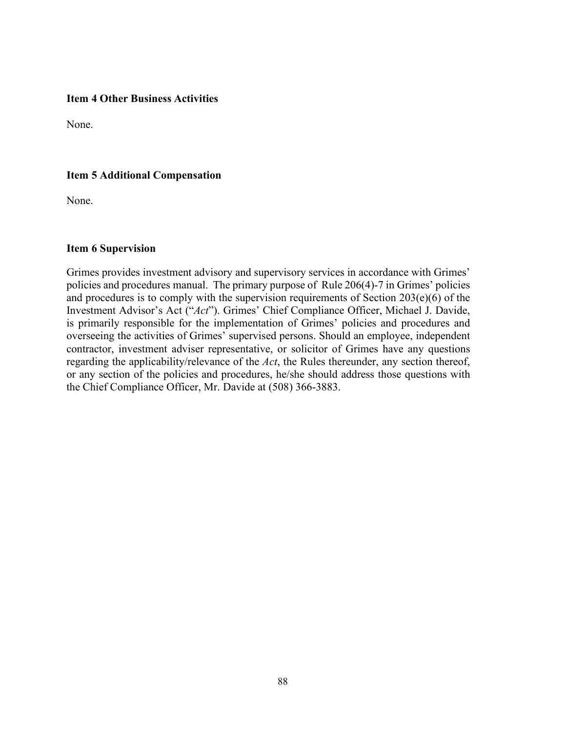#### **Item 4 Other Business Activities**

None.

### **Item 5 Additional Compensation**

None.

#### **Item 6 Supervision**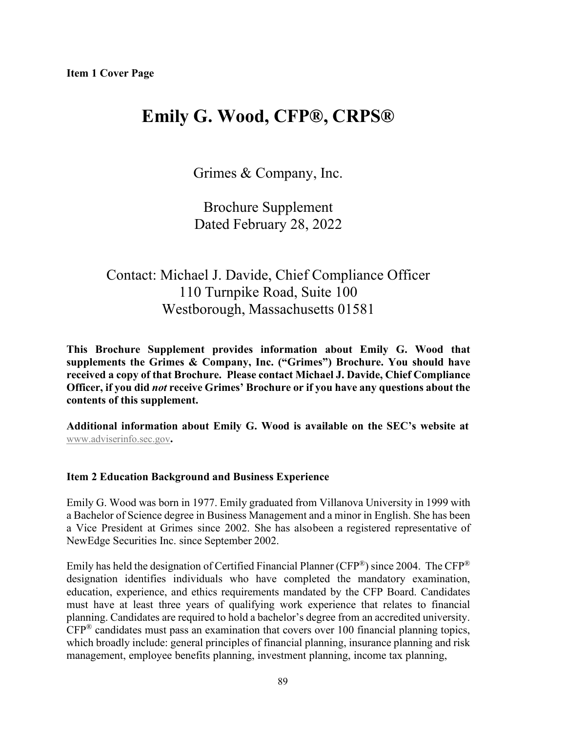# **Emily G. Wood, CFP®, CRPS®**

Grimes & Company, Inc.

Brochure Supplement Dated February 28, 2022

# Contact: Michael J. Davide, Chief Compliance Officer 110 Turnpike Road, Suite 100 Westborough, Massachusetts 01581

**This Brochure Supplement provides information about Emily G. Wood that supplements the Grimes & Company, Inc. ("Grimes") Brochure. You should have received a copy of that Brochure. Please contact Michael J. Davide, Chief Compliance Officer, if you did** *not* **receive Grimes' Brochure or if you have any questions about the contents of this supplement.**

**Additional information about Emily G. Wood is available on the SEC's website at** [www.adviserinfo.sec.gov](http://www.adviserinfo.sec.gov/)**.**

#### **Item 2 Education Background and Business Experience**

Emily G. Wood was born in 1977. Emily graduated from Villanova University in 1999 with a Bachelor of Science degree in Business Management and a minor in English. She has been a Vice President at Grimes since 2002. She has alsobeen a registered representative of NewEdge Securities Inc. since September 2002.

Emily has held the designation of Certified Financial Planner (CFP<sup>®</sup>) since 2004. The CFP<sup>®</sup> designation identifies individuals who have completed the mandatory examination, education, experience, and ethics requirements mandated by the CFP Board. Candidates must have at least three years of qualifying work experience that relates to financial planning. Candidates are required to hold a bachelor's degree from an accredited university.  $CFP^®$  candidates must pass an examination that covers over 100 financial planning topics, which broadly include: general principles of financial planning, insurance planning and risk management, employee benefits planning, investment planning, income tax planning,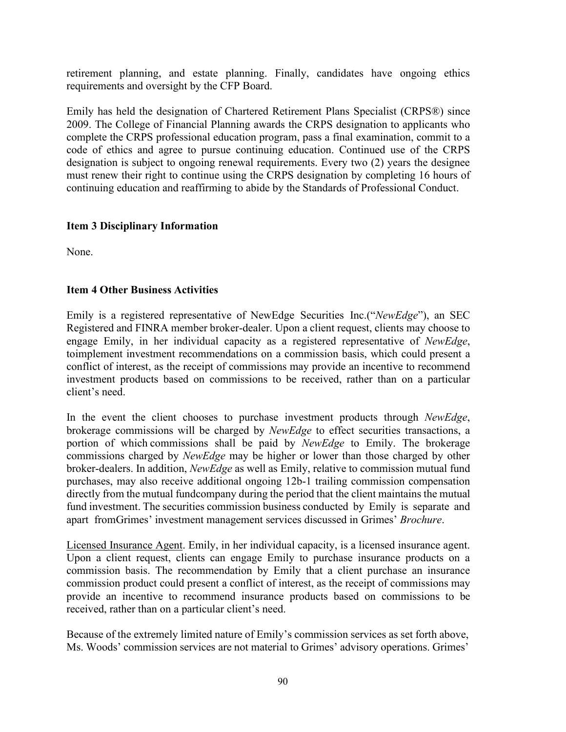retirement planning, and estate planning. Finally, candidates have ongoing ethics requirements and oversight by the CFP Board.

Emily has held the designation of Chartered Retirement Plans Specialist (CRPS®) since 2009. The College of Financial Planning awards the CRPS designation to applicants who complete the CRPS professional education program, pass a final examination, commit to a code of ethics and agree to pursue continuing education. Continued use of the CRPS designation is subject to ongoing renewal requirements. Every two (2) years the designee must renew their right to continue using the CRPS designation by completing 16 hours of continuing education and reaffirming to abide by the Standards of Professional Conduct.

# **Item 3 Disciplinary Information**

None.

# **Item 4 Other Business Activities**

Emily is a registered representative of NewEdge Securities Inc.("*NewEdge*"), an SEC Registered and FINRA member broker-dealer. Upon a client request, clients may choose to engage Emily, in her individual capacity as a registered representative of *NewEdge*, toimplement investment recommendations on a commission basis, which could present a conflict of interest, as the receipt of commissions may provide an incentive to recommend investment products based on commissions to be received, rather than on a particular client's need.

In the event the client chooses to purchase investment products through *NewEdge*, brokerage commissions will be charged by *NewEdge* to effect securities transactions, a portion of which commissions shall be paid by *NewEdge* to Emily. The brokerage commissions charged by *NewEdge* may be higher or lower than those charged by other broker-dealers. In addition, *NewEdge* as well as Emily, relative to commission mutual fund purchases, may also receive additional ongoing 12b-1 trailing commission compensation directly from the mutual fundcompany during the period that the client maintains the mutual fund investment. The securities commission business conducted by Emily is separate and apart fromGrimes' investment management services discussed in Grimes' *Brochure*.

Licensed Insurance Agent. Emily, in her individual capacity, is a licensed insurance agent. Upon a client request, clients can engage Emily to purchase insurance products on a commission basis. The recommendation by Emily that a client purchase an insurance commission product could present a conflict of interest, as the receipt of commissions may provide an incentive to recommend insurance products based on commissions to be received, rather than on a particular client's need.

Because of the extremely limited nature of Emily's commission services as set forth above, Ms. Woods' commission services are not material to Grimes' advisory operations. Grimes'